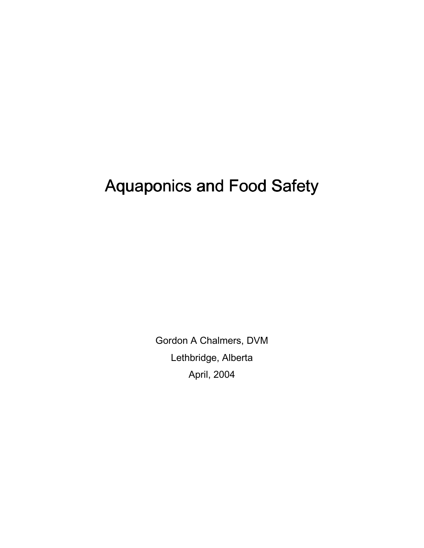# Aquaponics and Food Safety

Gordon A Chalmers, DVM Lethbridge, Alberta April, 2004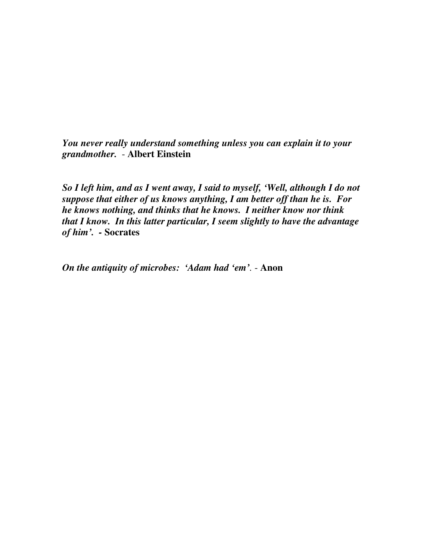*You never really understand something unless you can explain it to your grandmother.* - **Albert Einstein** 

*So I left him, and as I went away, I said to myself, 'Well, although I do not suppose that either of us knows anything, I am better off than he is. For he knows nothing, and thinks that he knows. I neither know nor think that I know. In this latter particular, I seem slightly to have the advantage of him'. -* **Socrates**

*On the antiquity of microbes: 'Adam had 'em'.* - **Anon**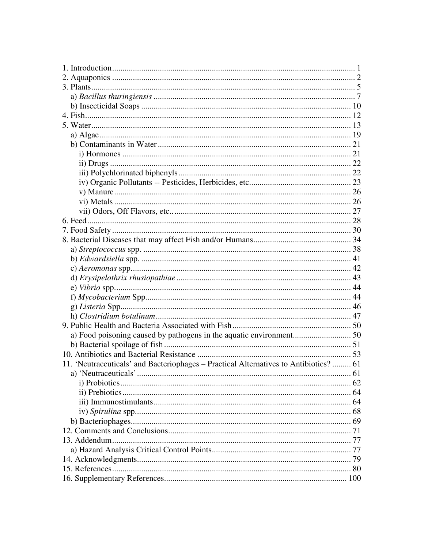| a) Food poisoning caused by pathogens in the aquatic environment 50                   |  |
|---------------------------------------------------------------------------------------|--|
|                                                                                       |  |
|                                                                                       |  |
| 11. 'Neutraceuticals' and Bacteriophages - Practical Alternatives to Antibiotics?  61 |  |
|                                                                                       |  |
|                                                                                       |  |
|                                                                                       |  |
|                                                                                       |  |
|                                                                                       |  |
|                                                                                       |  |
|                                                                                       |  |
|                                                                                       |  |
|                                                                                       |  |
|                                                                                       |  |
|                                                                                       |  |
|                                                                                       |  |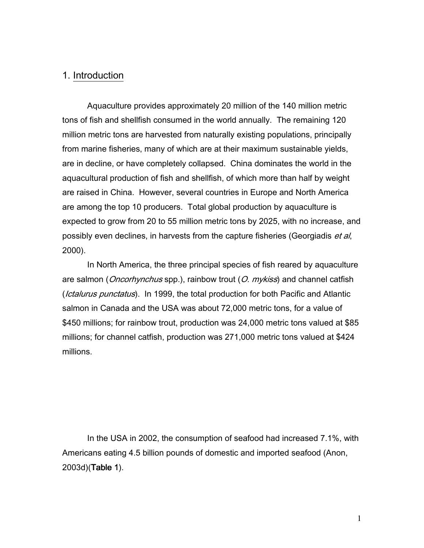# 1. Introduction

Aquaculture provides approximately 20 million of the 140 million metric tons of fish and shellfish consumed in the world annually. The remaining 120 million metric tons are harvested from naturally existing populations, principally from marine fisheries, many of which are at their maximum sustainable yields, are in decline, or have completely collapsed. China dominates the world in the aquacultural production of fish and shellfish, of which more than half by weight are raised in China. However, several countries in Europe and North America are among the top 10 producers. Total global production by aquaculture is expected to grow from 20 to 55 million metric tons by 2025, with no increase, and possibly even declines, in harvests from the capture fisheries (Georgiadis et al, 2000).

In North America, the three principal species of fish reared by aquaculture are salmon (*Oncorhynchus* spp.), rainbow trout (*O. mykiss*) and channel catfish (*Ictalurus punctatus*). In 1999, the total production for both Pacific and Atlantic salmon in Canada and the USA was about 72,000 metric tons, for a value of \$450 millions; for rainbow trout, production was 24,000 metric tons valued at \$85 millions; for channel catfish, production was 271,000 metric tons valued at \$424 millions.

In the USA in 2002, the consumption of seafood had increased 7.1%, with Americans eating 4.5 billion pounds of domestic and imported seafood (Anon,  $2003d$ )(Table 1).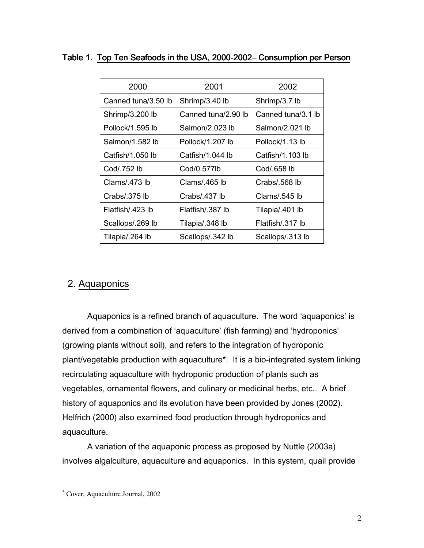| 2000                | 2001                | 2002               |
|---------------------|---------------------|--------------------|
| Canned tuna/3.50 lb | Shrimp/3.40 lb      | Shrimp/3.7 lb      |
| Shrimp/3.200 lb     | Canned tuna/2.90 lb | Canned tuna/3.1 lb |
| Pollock/1.595 lb    | Salmon/2.023 lb     | Salmon/2.021 lb    |
| Salmon/1.582 lb     | Pollock/1.207 lb    | Pollock/1.13 lb    |
| Catfish/1.050 lb    | Catfish/1.044 lb    | Catfish/1.103 lb   |
| Cod/.752 lb         | Cod/0.577lb         | Cod/.658 lb        |
| Clams/.473 lb       | Clams/.465 lb       | Crabs/.568 lb      |
| Crabs/.375 lb       | Crabs/.437 lb       | Clams/.545 lb      |
| Flatfish/.423 lb    | Flatfish/.387 lb    | Tilapia/.401 lb    |
| Scallops/.269 lb    | Tilapia/.348 lb     | Flatfish/.317 lb   |
| Tilapia/.264 lb     | Scallops/.342 lb    | Scallops/.313 lb   |

# Table 1. Top Ten Seafoods in the USA, 2000-2002- Consumption per Person

# 2. Aquaponics

 Aquaponics is a refined branch of aquaculture. The word 'aquaponics' is derived from a combination of 'aquaculture' (fish farming) and 'hydroponics' (growing plants without soil), and refers to the integration of hydroponic plant/vegetable production with aquaculture\*. It is a bio-integrated system linking recirculating aquaculture with hydroponic production of plants such as vegetables, ornamental flowers, and culinary or medicinal herbs, etc.. A brief history of aquaponics and its evolution have been provided by Jones (2002). Helfrich (2000) also examined food production through hydroponics and aquaculture.

A variation of the aquaponic process as proposed by Nuttle (2003a) involves algalculture, aquaculture and aquaponics. In this system, quail provide

 $\overline{a}$ \* Cover, Aquaculture Journal, 2002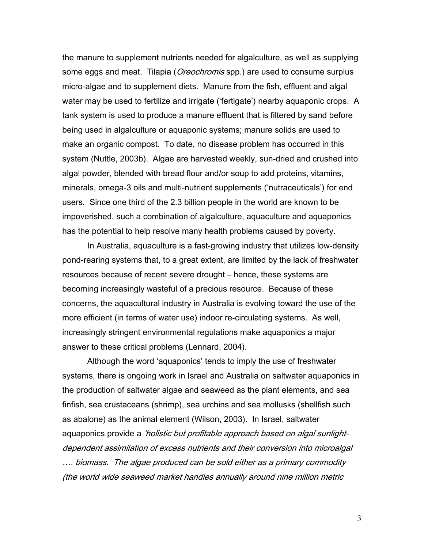the manure to supplement nutrients needed for algalculture, as well as supplying some eggs and meat. Tilapia (*Oreochromis* spp.) are used to consume surplus micro-algae and to supplement diets. Manure from the fish, effluent and algal water may be used to fertilize and irrigate ('fertigate') nearby aquaponic crops. A tank system is used to produce a manure effluent that is filtered by sand before being used in algalculture or aquaponic systems; manure solids are used to make an organic compost. To date, no disease problem has occurred in this system (Nuttle, 2003b). Algae are harvested weekly, sun-dried and crushed into algal powder, blended with bread flour and/or soup to add proteins, vitamins, minerals, omega-3 oils and multi-nutrient supplements ('nutraceuticals') for end users. Since one third of the 2.3 billion people in the world are known to be impoverished, such a combination of algalculture, aquaculture and aquaponics has the potential to help resolve many health problems caused by poverty.

In Australia, aquaculture is a fast-growing industry that utilizes low-density pond-rearing systems that, to a great extent, are limited by the lack of freshwater resources because of recent severe drought – hence, these systems are becoming increasingly wasteful of a precious resource. Because of these concerns, the aquacultural industry in Australia is evolving toward the use of the more efficient (in terms of water use) indoor re-circulating systems. As well, increasingly stringent environmental regulations make aquaponics a major answer to these critical problems (Lennard, 2004).

Although the word 'aquaponics' tends to imply the use of freshwater systems, there is ongoing work in Israel and Australia on saltwater aquaponics in the production of saltwater algae and seaweed as the plant elements, and sea finfish, sea crustaceans (shrimp), sea urchins and sea mollusks (shellfish such as abalone) as the animal element (Wilson, 2003). In Israel, saltwater aquaponics provide a *'holistic but profitable approach based on algal sunlight*dependent assimilation of excess nutrients and their conversion into microalgal …. biomass. The algae produced can be sold either as a primary commodity (the world wide seaweed market handles annually around nine million metric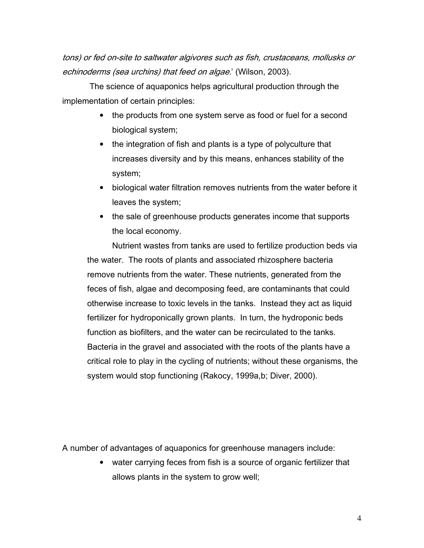tons) or fed on-site to saltwater algivores such as fish, crustaceans, mollusks or echinoderms (sea urchins) that feed on algae.' (Wilson, 2003).

 The science of aquaponics helps agricultural production through the implementation of certain principles:

- the products from one system serve as food or fuel for a second biological system;
- the integration of fish and plants is a type of polyculture that increases diversity and by this means, enhances stability of the system;
- biological water filtration removes nutrients from the water before it leaves the system;
- the sale of greenhouse products generates income that supports the local economy.

Nutrient wastes from tanks are used to fertilize production beds via the water. The roots of plants and associated rhizosphere bacteria remove nutrients from the water. These nutrients, generated from the feces of fish, algae and decomposing feed, are contaminants that could otherwise increase to toxic levels in the tanks. Instead they act as liquid fertilizer for hydroponically grown plants. In turn, the hydroponic beds function as biofilters, and the water can be recirculated to the tanks. Bacteria in the gravel and associated with the roots of the plants have a critical role to play in the cycling of nutrients; without these organisms, the system would stop functioning (Rakocy, 1999a,b; Diver, 2000).

A number of advantages of aquaponics for greenhouse managers include:

• water carrying feces from fish is a source of organic fertilizer that allows plants in the system to grow well;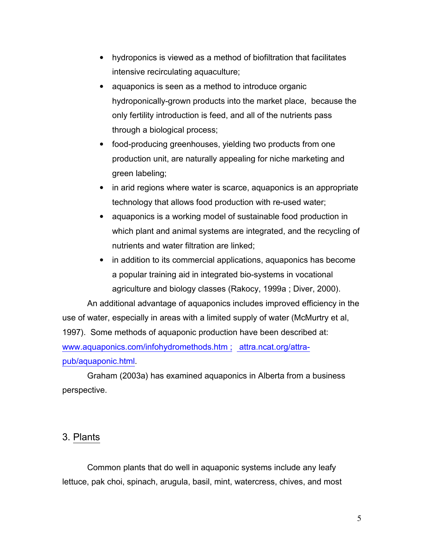- hydroponics is viewed as a method of biofiltration that facilitates intensive recirculating aquaculture;
- aquaponics is seen as a method to introduce organic hydroponically-grown products into the market place, because the only fertility introduction is feed, and all of the nutrients pass through a biological process;
- food-producing greenhouses, yielding two products from one production unit, are naturally appealing for niche marketing and green labeling;
- in arid regions where water is scarce, aguaponics is an appropriate technology that allows food production with re-used water;
- aquaponics is a working model of sustainable food production in which plant and animal systems are integrated, and the recycling of nutrients and water filtration are linked;
- in addition to its commercial applications, aquaponics has become a popular training aid in integrated bio-systems in vocational agriculture and biology classes (Rakocy, 1999a ; Diver, 2000).

An additional advantage of aquaponics includes improved efficiency in the use of water, especially in areas with a limited supply of water (McMurtry et al, 1997). Some methods of aquaponic production have been described at: www.aquaponics.com/infohydromethods.htm ; attra.ncat.org/attrapub/aquaponic.html.

Graham (2003a) has examined aquaponics in Alberta from a business perspective.

# 3. Plants

Common plants that do well in aquaponic systems include any leafy lettuce, pak choi, spinach, arugula, basil, mint, watercress, chives, and most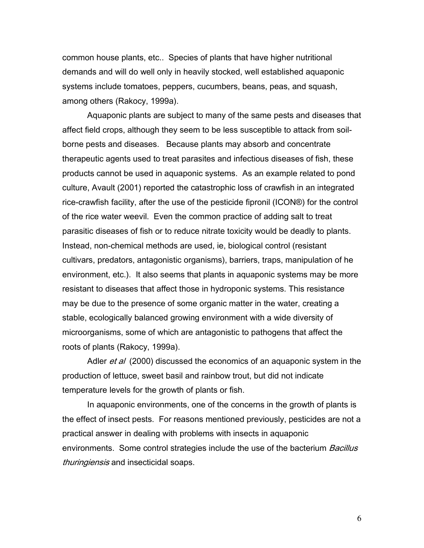common house plants, etc.. Species of plants that have higher nutritional demands and will do well only in heavily stocked, well established aquaponic systems include tomatoes, peppers, cucumbers, beans, peas, and squash, among others (Rakocy, 1999a).

 Aquaponic plants are subject to many of the same pests and diseases that affect field crops, although they seem to be less susceptible to attack from soilborne pests and diseases. Because plants may absorb and concentrate therapeutic agents used to treat parasites and infectious diseases of fish, these products cannot be used in aquaponic systems. As an example related to pond culture, Avault (2001) reported the catastrophic loss of crawfish in an integrated rice-crawfish facility, after the use of the pesticide fipronil (ICON®) for the control of the rice water weevil. Even the common practice of adding salt to treat parasitic diseases of fish or to reduce nitrate toxicity would be deadly to plants. Instead, non-chemical methods are used, ie, biological control (resistant cultivars, predators, antagonistic organisms), barriers, traps, manipulation of he environment, etc.). It also seems that plants in aquaponic systems may be more resistant to diseases that affect those in hydroponic systems. This resistance may be due to the presence of some organic matter in the water, creating a stable, ecologically balanced growing environment with a wide diversity of microorganisms, some of which are antagonistic to pathogens that affect the roots of plants (Rakocy, 1999a).

Adler et al (2000) discussed the economics of an aquaponic system in the production of lettuce, sweet basil and rainbow trout, but did not indicate temperature levels for the growth of plants or fish.

In aquaponic environments, one of the concerns in the growth of plants is the effect of insect pests. For reasons mentioned previously, pesticides are not a practical answer in dealing with problems with insects in aquaponic environments. Some control strategies include the use of the bacterium *Bacillus* thuringiensis and insecticidal soaps.

 $\overline{6}$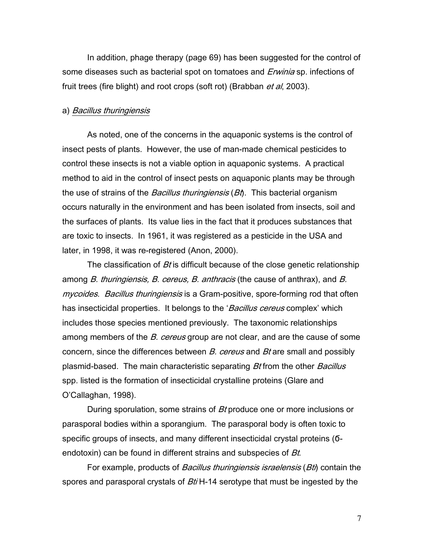In addition, phage therapy (page 69) has been suggested for the control of some diseases such as bacterial spot on tomatoes and Erwinia sp. infections of fruit trees (fire blight) and root crops (soft rot) (Brabban *et al*, 2003).

#### a) Bacillus thuringiensis

As noted, one of the concerns in the aquaponic systems is the control of insect pests of plants. However, the use of man-made chemical pesticides to control these insects is not a viable option in aquaponic systems. A practical method to aid in the control of insect pests on aquaponic plants may be through the use of strains of the *Bacillus thuringiensis* (*Bt*). This bacterial organism occurs naturally in the environment and has been isolated from insects, soil and the surfaces of plants. Its value lies in the fact that it produces substances that are toxic to insects. In 1961, it was registered as a pesticide in the USA and later, in 1998, it was re-registered (Anon, 2000).

The classification of  $Bt$  is difficult because of the close genetic relationship among *B. thuringiensis, B. cereus, B. anthracis* (the cause of anthrax), and *B.* mycoides. Bacillus thuringiensis is a Gram-positive, spore-forming rod that often has insecticidal properties. It belongs to the '*Bacillus cereus* complex' which includes those species mentioned previously. The taxonomic relationships among members of the B. cereus group are not clear, and are the cause of some concern, since the differences between B. cereus and Bt are small and possibly plasmid-based. The main characteristic separating Bt from the other Bacillus spp. listed is the formation of insecticidal crystalline proteins (Glare and O'Callaghan, 1998).

During sporulation, some strains of Bt produce one or more inclusions or parasporal bodies within a sporangium. The parasporal body is often toxic to specific groups of insects, and many different insecticidal crystal proteins (Ϭendotoxin) can be found in different strains and subspecies of Bt.

For example, products of *Bacillus thuringiensis israelensis* (*Bti*) contain the spores and parasporal crystals of Bti H-14 serotype that must be ingested by the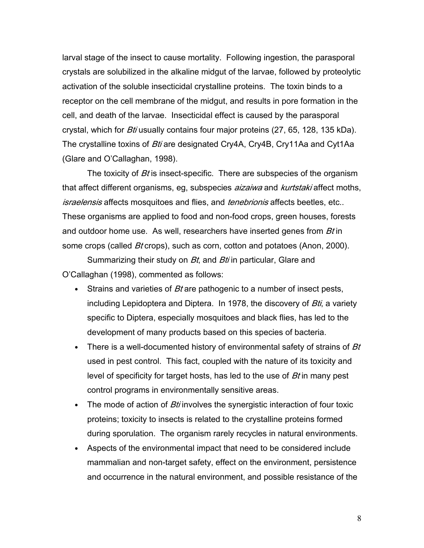larval stage of the insect to cause mortality. Following ingestion, the parasporal crystals are solubilized in the alkaline midgut of the larvae, followed by proteolytic activation of the soluble insecticidal crystalline proteins. The toxin binds to a receptor on the cell membrane of the midgut, and results in pore formation in the cell, and death of the larvae. Insecticidal effect is caused by the parasporal crystal, which for *Bti* usually contains four major proteins (27, 65, 128, 135 kDa). The crystalline toxins of Bti are designated Cry4A, Cry4B, Cry11Aa and Cyt1Aa (Glare and O'Callaghan, 1998).

The toxicity of  $Bt$  is insect-specific. There are subspecies of the organism that affect different organisms, eg, subspecies *aizaiwa* and *kurtstaki* affect moths, israelensis affects mosquitoes and flies, and *tenebrionis* affects beetles, etc.. These organisms are applied to food and non-food crops, green houses, forests and outdoor home use. As well, researchers have inserted genes from *Bt* in some crops (called *Bt* crops), such as corn, cotton and potatoes (Anon, 2000).

Summarizing their study on *Bt*, and *Bti* in particular, Glare and O'Callaghan (1998), commented as follows:

- Strains and varieties of  $Bt$  are pathogenic to a number of insect pests, including Lepidoptera and Diptera. In 1978, the discovery of  $Bt_i$ , a variety specific to Diptera, especially mosquitoes and black flies, has led to the development of many products based on this species of bacteria.
- There is a well-documented history of environmental safety of strains of  $Bt$ used in pest control. This fact, coupled with the nature of its toxicity and level of specificity for target hosts, has led to the use of *Bt* in many pest control programs in environmentally sensitive areas.
- The mode of action of  $Bt$  involves the synergistic interaction of four toxic proteins; toxicity to insects is related to the crystalline proteins formed during sporulation. The organism rarely recycles in natural environments.
- Aspects of the environmental impact that need to be considered include mammalian and non-target safety, effect on the environment, persistence and occurrence in the natural environment, and possible resistance of the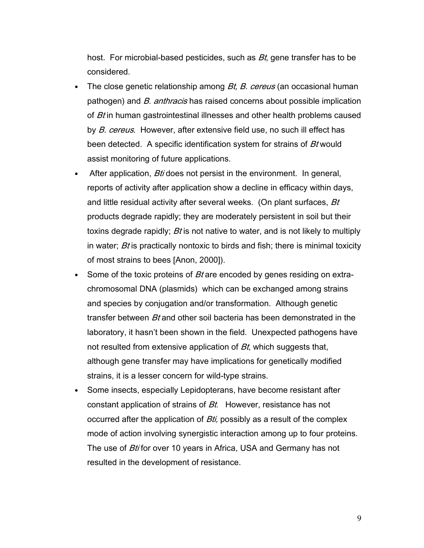host. For microbial-based pesticides, such as  $Bt$ , gene transfer has to be considered.

- The close genetic relationship among *Bt, B. cereus* (an occasional human pathogen) and B. anthracis has raised concerns about possible implication of *Bt* in human gastrointestinal illnesses and other health problems caused by B. cereus. However, after extensive field use, no such ill effect has been detected. A specific identification system for strains of Bt would assist monitoring of future applications.
- After application, *Bti* does not persist in the environment. In general, reports of activity after application show a decline in efficacy within days, and little residual activity after several weeks. (On plant surfaces, Bt products degrade rapidly; they are moderately persistent in soil but their toxins degrade rapidly; *Bt* is not native to water, and is not likely to multiply in water;  $Bt$  is practically nontoxic to birds and fish; there is minimal toxicity of most strains to bees [Anon, 2000]).
- Some of the toxic proteins of  $Bt$  are encoded by genes residing on extrachromosomal DNA (plasmids) which can be exchanged among strains and species by conjugation and/or transformation. Although genetic transfer between *Bt* and other soil bacteria has been demonstrated in the laboratory, it hasn't been shown in the field. Unexpected pathogens have not resulted from extensive application of  $Bt$ , which suggests that, although gene transfer may have implications for genetically modified strains, it is a lesser concern for wild-type strains.
- Some insects, especially Lepidopterans, have become resistant after constant application of strains of Bt. However, resistance has not occurred after the application of  $Bt$ *i*, possibly as a result of the complex mode of action involving synergistic interaction among up to four proteins. The use of *Bti* for over 10 years in Africa, USA and Germany has not resulted in the development of resistance.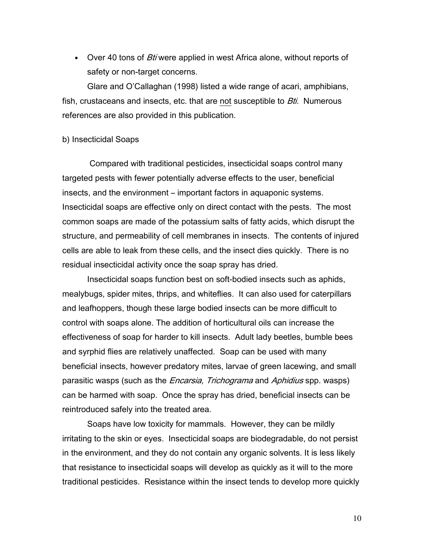• Over 40 tons of *Bti* were applied in west Africa alone, without reports of safety or non-target concerns.

Glare and O'Callaghan (1998) listed a wide range of acari, amphibians, fish, crustaceans and insects, etc. that are not susceptible to *Bti*. Numerous references are also provided in this publication.

#### b) Insecticidal Soaps

 Compared with traditional pesticides, insecticidal soaps control many targeted pests with fewer potentially adverse effects to the user, beneficial insects, and the environment – important factors in aquaponic systems. Insecticidal soaps are effective only on direct contact with the pests. The most common soaps are made of the potassium salts of fatty acids, which disrupt the structure, and permeability of cell membranes in insects. The contents of injured cells are able to leak from these cells, and the insect dies quickly. There is no residual insecticidal activity once the soap spray has dried.

Insecticidal soaps function best on soft-bodied insects such as aphids, mealybugs, spider mites, thrips, and whiteflies. It can also used for caterpillars and leafhoppers, though these large bodied insects can be more difficult to control with soaps alone. The addition of horticultural oils can increase the effectiveness of soap for harder to kill insects. Adult lady beetles, bumble bees and syrphid flies are relatively unaffected. Soap can be used with many beneficial insects, however predatory mites, larvae of green lacewing, and small parasitic wasps (such as the *Encarsia, Trichograma* and Aphidius spp. wasps) can be harmed with soap. Once the spray has dried, beneficial insects can be reintroduced safely into the treated area.

Soaps have low toxicity for mammals. However, they can be mildly irritating to the skin or eyes. Insecticidal soaps are biodegradable, do not persist in the environment, and they do not contain any organic solvents. It is less likely that resistance to insecticidal soaps will develop as quickly as it will to the more traditional pesticides. Resistance within the insect tends to develop more quickly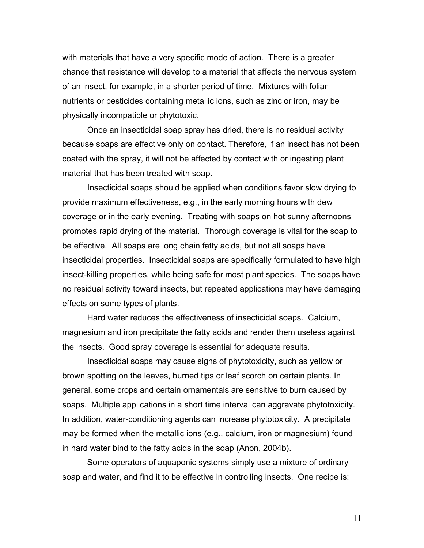with materials that have a very specific mode of action. There is a greater chance that resistance will develop to a material that affects the nervous system of an insect, for example, in a shorter period of time. Mixtures with foliar nutrients or pesticides containing metallic ions, such as zinc or iron, may be physically incompatible or phytotoxic.

Once an insecticidal soap spray has dried, there is no residual activity because soaps are effective only on contact. Therefore, if an insect has not been coated with the spray, it will not be affected by contact with or ingesting plant material that has been treated with soap.

Insecticidal soaps should be applied when conditions favor slow drying to provide maximum effectiveness, e.g., in the early morning hours with dew coverage or in the early evening. Treating with soaps on hot sunny afternoons promotes rapid drying of the material. Thorough coverage is vital for the soap to be effective. All soaps are long chain fatty acids, but not all soaps have insecticidal properties. Insecticidal soaps are specifically formulated to have high insect-killing properties, while being safe for most plant species. The soaps have no residual activity toward insects, but repeated applications may have damaging effects on some types of plants.

Hard water reduces the effectiveness of insecticidal soaps. Calcium, magnesium and iron precipitate the fatty acids and render them useless against the insects. Good spray coverage is essential for adequate results.

Insecticidal soaps may cause signs of phytotoxicity, such as yellow or brown spotting on the leaves, burned tips or leaf scorch on certain plants. In general, some crops and certain ornamentals are sensitive to burn caused by soaps. Multiple applications in a short time interval can aggravate phytotoxicity. In addition, water-conditioning agents can increase phytotoxicity. A precipitate may be formed when the metallic ions (e.g., calcium, iron or magnesium) found in hard water bind to the fatty acids in the soap (Anon, 2004b).

Some operators of aquaponic systems simply use a mixture of ordinary soap and water, and find it to be effective in controlling insects. One recipe is: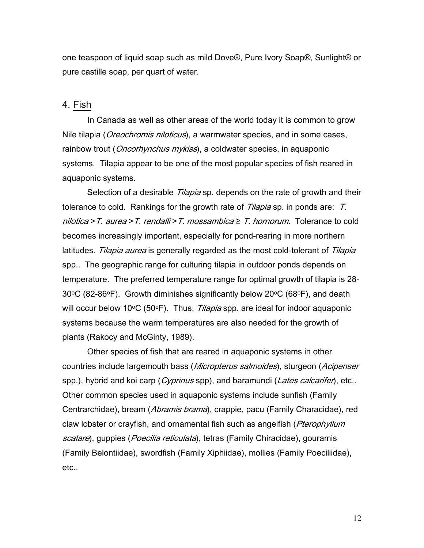one teaspoon of liquid soap such as mild Dove®, Pure Ivory Soap®, Sunlight® or pure castille soap, per quart of water.

# 4. Fish

In Canada as well as other areas of the world today it is common to grow Nile tilapia (*Oreochromis niloticus*), a warmwater species, and in some cases, rainbow trout (*Oncorhynchus mykiss*), a coldwater species, in aquaponic systems. Tilapia appear to be one of the most popular species of fish reared in aquaponic systems.

Selection of a desirable *Tilapia* sp. depends on the rate of growth and their tolerance to cold. Rankings for the growth rate of *Tilapia* sp. in ponds are: T. nilotica > T. aurea > T. rendalli > T. mossambica  $\geq$  T. hornorum. Tolerance to cold becomes increasingly important, especially for pond-rearing in more northern latitudes. Tilapia aurea is generally regarded as the most cold-tolerant of Tilapia spp.. The geographic range for culturing tilapia in outdoor ponds depends on temperature. The preferred temperature range for optimal growth of tilapia is 28-  $30^{\circ}$ C (82-86 $^{\circ}$ F). Growth diminishes significantly below 20 $^{\circ}$ C (68 $^{\circ}$ F), and death will occur below 10°C (50°F). Thus, *Tilapia* spp. are ideal for indoor aquaponic systems because the warm temperatures are also needed for the growth of plants (Rakocy and McGinty, 1989).

Other species of fish that are reared in aquaponic systems in other countries include largemouth bass (*Micropterus salmoides*), sturgeon (*Acipenser* spp.), hybrid and koi carp (*Cyprinus* spp), and baramundi (*Lates calcarifer*), etc.. Other common species used in aquaponic systems include sunfish (Family Centrarchidae), bream (Abramis brama), crappie, pacu (Family Characidae), red claw lobster or crayfish, and ornamental fish such as angelfish (Pterophyllum scalare), guppies (Poecilia reticulata), tetras (Family Chiracidae), gouramis (Family Belontiidae), swordfish (Family Xiphiidae), mollies (Family Poeciliidae), etc..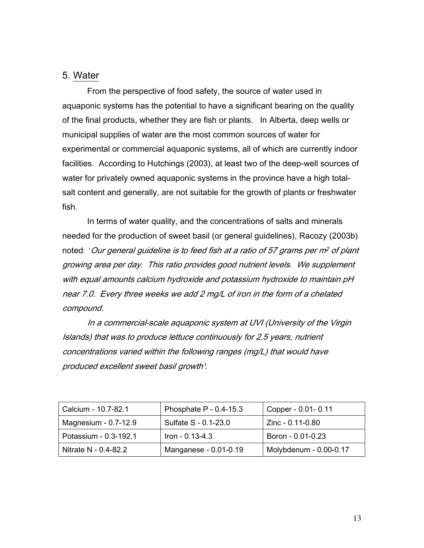# 5. Water

From the perspective of food safety, the source of water used in aquaponic systems has the potential to have a significant bearing on the quality of the final products, whether they are fish or plants. In Alberta, deep wells or municipal supplies of water are the most common sources of water for experimental or commercial aquaponic systems, all of which are currently indoor facilities. According to Hutchings (2003), at least two of the deep-well sources of water for privately owned aquaponic systems in the province have a high totalsalt content and generally, are not suitable for the growth of plants or freshwater fish.

In terms of water quality, and the concentrations of salts and minerals needed for the production of sweet basil (or general guidelines), Racozy (2003b) noted: 'Our general guideline is to feed fish at a ratio of 57 grams per m<sup>2</sup> of plant growing area per day. This ratio provides good nutrient levels. We supplement with equal amounts calcium hydroxide and potassium hydroxide to maintain pH near 7.0. Every three weeks we add 2 mg/L of iron in the form of a chelated compound.

In a commercial-scale aquaponic system at UVI (University of the Virgin Islands) that was to produce lettuce continuously for 2.5 years, nutrient concentrations varied within the following ranges (mg/L) that would have produced excellent sweet basil growth':

| Calcium - 10.7-82.1    | Phosphate $P - 0.4 - 15.3$ | Copper - 0.01 - 0.11   |
|------------------------|----------------------------|------------------------|
| Magnesium - $0.7-12.9$ | Sulfate S - 0.1-23.0       | Zinc - 0.11-0.80       |
| Potassium - 0.3-192.1  | Iron - 0.13-4.3            | Boron - 0.01-0.23      |
| Nitrate N - 0.4-82.2   | Manganese - 0.01-0.19      | Molybdenum - 0.00-0.17 |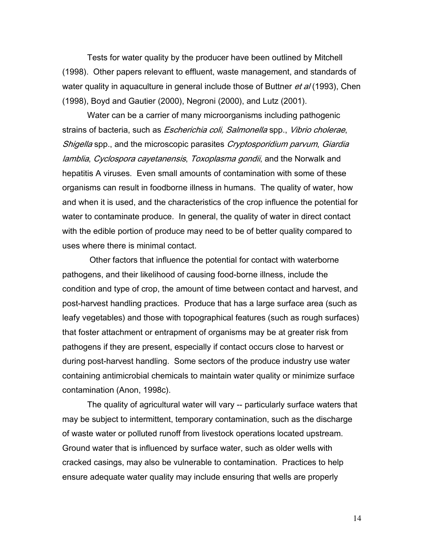Tests for water quality by the producer have been outlined by Mitchell (1998). Other papers relevant to effluent, waste management, and standards of water quality in aquaculture in general include those of Buttner et al (1993), Chen (1998), Boyd and Gautier (2000), Negroni (2000), and Lutz (2001).

Water can be a carrier of many microorganisms including pathogenic strains of bacteria, such as *Escherichia coli, Salmonella* spp., Vibrio cholerae, Shigella spp., and the microscopic parasites Cryptosporidium parvum, Giardia lamblia, Cyclospora cayetanensis, Toxoplasma gondii, and the Norwalk and hepatitis A viruses. Even small amounts of contamination with some of these organisms can result in foodborne illness in humans. The quality of water, how and when it is used, and the characteristics of the crop influence the potential for water to contaminate produce. In general, the quality of water in direct contact with the edible portion of produce may need to be of better quality compared to uses where there is minimal contact.

 Other factors that influence the potential for contact with waterborne pathogens, and their likelihood of causing food-borne illness, include the condition and type of crop, the amount of time between contact and harvest, and post-harvest handling practices. Produce that has a large surface area (such as leafy vegetables) and those with topographical features (such as rough surfaces) that foster attachment or entrapment of organisms may be at greater risk from pathogens if they are present, especially if contact occurs close to harvest or during post-harvest handling. Some sectors of the produce industry use water containing antimicrobial chemicals to maintain water quality or minimize surface contamination (Anon, 1998c).

The quality of agricultural water will vary -- particularly surface waters that may be subject to intermittent, temporary contamination, such as the discharge of waste water or polluted runoff from livestock operations located upstream. Ground water that is influenced by surface water, such as older wells with cracked casings, may also be vulnerable to contamination. Practices to help ensure adequate water quality may include ensuring that wells are properly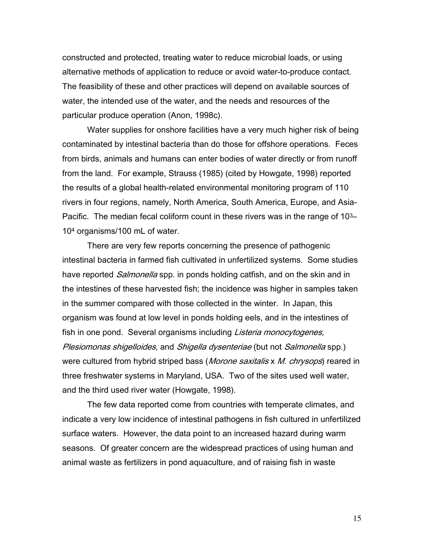constructed and protected, treating water to reduce microbial loads, or using alternative methods of application to reduce or avoid water-to-produce contact. The feasibility of these and other practices will depend on available sources of water, the intended use of the water, and the needs and resources of the particular produce operation (Anon, 1998c).

 Water supplies for onshore facilities have a very much higher risk of being contaminated by intestinal bacteria than do those for offshore operations. Feces from birds, animals and humans can enter bodies of water directly or from runoff from the land. For example, Strauss (1985) (cited by Howgate, 1998) reported the results of a global health-related environmental monitoring program of 110 rivers in four regions, namely, North America, South America, Europe, and Asia-Pacific. The median fecal coliform count in these rivers was in the range of 10<sup>3</sup>– 104 organisms/100 mL of water.

 There are very few reports concerning the presence of pathogenic intestinal bacteria in farmed fish cultivated in unfertilized systems. Some studies have reported *Salmonella* spp. in ponds holding catfish, and on the skin and in the intestines of these harvested fish; the incidence was higher in samples taken in the summer compared with those collected in the winter. In Japan, this organism was found at low level in ponds holding eels, and in the intestines of fish in one pond. Several organisms including *Listeria monocytogenes*, Plesiomonas shigelloides, and Shigella dysenteriae (but not Salmonella spp.) were cultured from hybrid striped bass (Morone saxitalis x M. chrysops) reared in three freshwater systems in Maryland, USA. Two of the sites used well water, and the third used river water (Howgate, 1998).

 The few data reported come from countries with temperate climates, and indicate a very low incidence of intestinal pathogens in fish cultured in unfertilized surface waters. However, the data point to an increased hazard during warm seasons. Of greater concern are the widespread practices of using human and animal waste as fertilizers in pond aquaculture, and of raising fish in waste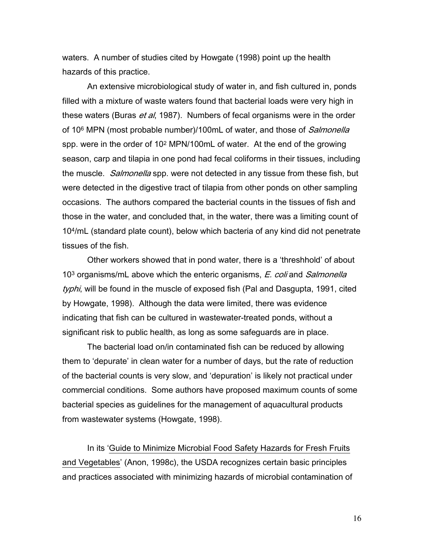waters. A number of studies cited by Howgate (1998) point up the health hazards of this practice.

 An extensive microbiological study of water in, and fish cultured in, ponds filled with a mixture of waste waters found that bacterial loads were very high in these waters (Buras *et al*, 1987). Numbers of fecal organisms were in the order of 10<sup>6</sup> MPN (most probable number)/100mL of water, and those of *Salmonella* spp. were in the order of 102 MPN/100mL of water. At the end of the growing season, carp and tilapia in one pond had fecal coliforms in their tissues, including the muscle. *Salmonella* spp. were not detected in any tissue from these fish, but were detected in the digestive tract of tilapia from other ponds on other sampling occasions. The authors compared the bacterial counts in the tissues of fish and those in the water, and concluded that, in the water, there was a limiting count of 104/mL (standard plate count), below which bacteria of any kind did not penetrate tissues of the fish.

Other workers showed that in pond water, there is a 'threshhold' of about 10<sup>3</sup> organisms/mL above which the enteric organisms, *E. coli* and *Salmonella* typhi, will be found in the muscle of exposed fish (Pal and Dasgupta, 1991, cited by Howgate, 1998). Although the data were limited, there was evidence indicating that fish can be cultured in wastewater-treated ponds, without a significant risk to public health, as long as some safeguards are in place.

The bacterial load on/in contaminated fish can be reduced by allowing them to 'depurate' in clean water for a number of days, but the rate of reduction of the bacterial counts is very slow, and 'depuration' is likely not practical under commercial conditions. Some authors have proposed maximum counts of some bacterial species as guidelines for the management of aquacultural products from wastewater systems (Howgate, 1998).

In its 'Guide to Minimize Microbial Food Safety Hazards for Fresh Fruits and Vegetables' (Anon, 1998c), the USDA recognizes certain basic principles and practices associated with minimizing hazards of microbial contamination of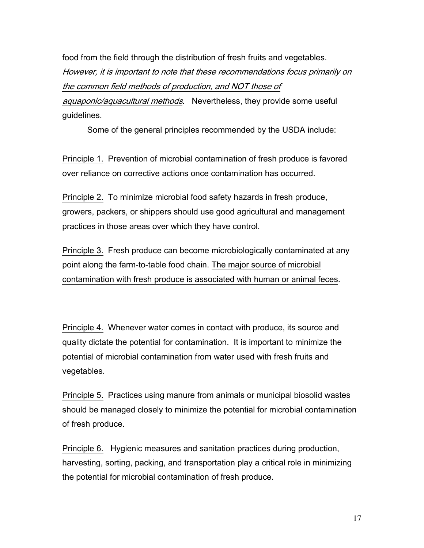food from the field through the distribution of fresh fruits and vegetables. However, it is important to note that these recommendations focus primarily on the common field methods of production, and NOT those of aquaponic/aquacultural methods. Nevertheless, they provide some useful

guidelines.

Some of the general principles recommended by the USDA include:

Principle 1. Prevention of microbial contamination of fresh produce is favored over reliance on corrective actions once contamination has occurred.

Principle 2. To minimize microbial food safety hazards in fresh produce, growers, packers, or shippers should use good agricultural and management practices in those areas over which they have control.

Principle 3. Fresh produce can become microbiologically contaminated at any point along the farm-to-table food chain. The major source of microbial contamination with fresh produce is associated with human or animal feces.

Principle 4. Whenever water comes in contact with produce, its source and quality dictate the potential for contamination. It is important to minimize the potential of microbial contamination from water used with fresh fruits and vegetables.

Principle 5. Practices using manure from animals or municipal biosolid wastes should be managed closely to minimize the potential for microbial contamination of fresh produce.

Principle 6. Hygienic measures and sanitation practices during production, harvesting, sorting, packing, and transportation play a critical role in minimizing the potential for microbial contamination of fresh produce.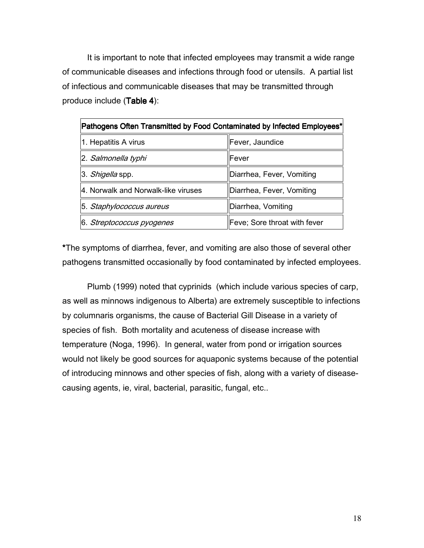It is important to note that infected employees may transmit a wide range of communicable diseases and infections through food or utensils. A partial list of infectious and communicable diseases that may be transmitted through produce include  $(Table 4)$ :

| Pathogens Often Transmitted by Food Contaminated by Infected Employees* |                              |  |  |
|-------------------------------------------------------------------------|------------------------------|--|--|
| 1. Hepatitis A virus                                                    | Fever, Jaundice              |  |  |
| 2. Salmonella typhi                                                     | lFever                       |  |  |
| 3. Shigella spp.                                                        | Diarrhea, Fever, Vomiting    |  |  |
| 4. Norwalk and Norwalk-like viruses                                     | Diarrhea, Fever, Vomiting    |  |  |
| 5. Staphylococcus aureus                                                | Diarrhea, Vomiting           |  |  |
| 6. Streptococcus pyogenes                                               | Feve; Sore throat with fever |  |  |

\*The symptoms of diarrhea, fever, and vomiting are also those of several other pathogens transmitted occasionally by food contaminated by infected employees.

Plumb (1999) noted that cyprinids (which include various species of carp, as well as minnows indigenous to Alberta) are extremely susceptible to infections by columnaris organisms, the cause of Bacterial Gill Disease in a variety of species of fish. Both mortality and acuteness of disease increase with temperature (Noga, 1996). In general, water from pond or irrigation sources would not likely be good sources for aquaponic systems because of the potential of introducing minnows and other species of fish, along with a variety of diseasecausing agents, ie, viral, bacterial, parasitic, fungal, etc..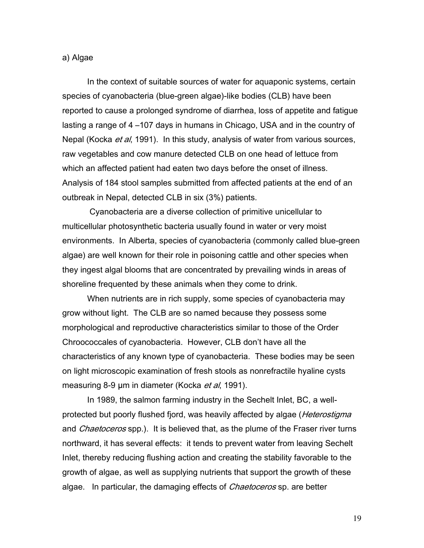#### a) Algae

In the context of suitable sources of water for aquaponic systems, certain species of cyanobacteria (blue-green algae)-like bodies (CLB) have been reported to cause a prolonged syndrome of diarrhea, loss of appetite and fatigue lasting a range of 4 –107 days in humans in Chicago, USA and in the country of Nepal (Kocka *et al*, 1991). In this study, analysis of water from various sources, raw vegetables and cow manure detected CLB on one head of lettuce from which an affected patient had eaten two days before the onset of illness. Analysis of 184 stool samples submitted from affected patients at the end of an outbreak in Nepal, detected CLB in six (3%) patients.

 Cyanobacteria are a diverse collection of primitive unicellular to multicellular photosynthetic bacteria usually found in water or very moist environments. In Alberta, species of cyanobacteria (commonly called blue-green algae) are well known for their role in poisoning cattle and other species when they ingest algal blooms that are concentrated by prevailing winds in areas of shoreline frequented by these animals when they come to drink.

When nutrients are in rich supply, some species of cyanobacteria may grow without light. The CLB are so named because they possess some morphological and reproductive characteristics similar to those of the Order Chroococcales of cyanobacteria. However, CLB don't have all the characteristics of any known type of cyanobacteria. These bodies may be seen on light microscopic examination of fresh stools as nonrefractile hyaline cysts measuring 8-9 µm in diameter (Kocka et al, 1991).

In 1989, the salmon farming industry in the Sechelt Inlet, BC, a wellprotected but poorly flushed fjord, was heavily affected by algae (*Heterostigma* and *Chaetoceros* spp.). It is believed that, as the plume of the Fraser river turns northward, it has several effects: it tends to prevent water from leaving Sechelt Inlet, thereby reducing flushing action and creating the stability favorable to the growth of algae, as well as supplying nutrients that support the growth of these algae. In particular, the damaging effects of *Chaetoceros* sp. are better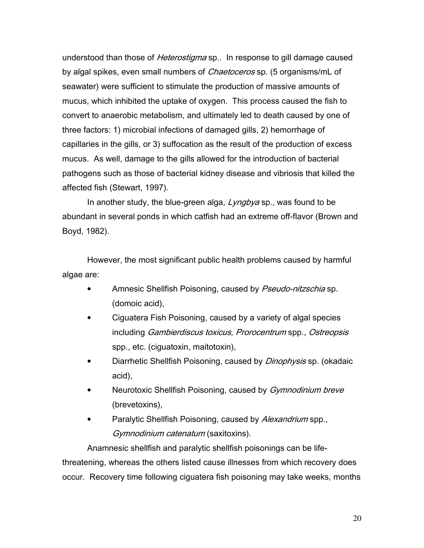understood than those of *Heterostigma* sp.. In response to gill damage caused by algal spikes, even small numbers of *Chaetoceros* sp. (5 organisms/mL of seawater) were sufficient to stimulate the production of massive amounts of mucus, which inhibited the uptake of oxygen. This process caused the fish to convert to anaerobic metabolism, and ultimately led to death caused by one of three factors: 1) microbial infections of damaged gills, 2) hemorrhage of capillaries in the gills, or 3) suffocation as the result of the production of excess mucus. As well, damage to the gills allowed for the introduction of bacterial pathogens such as those of bacterial kidney disease and vibriosis that killed the affected fish (Stewart, 1997).

In another study, the blue-green alga,  $Lyngbya$  sp., was found to be abundant in several ponds in which catfish had an extreme off-flavor (Brown and Boyd, 1982).

However, the most significant public health problems caused by harmful algae are:

- Amnesic Shellfish Poisoning, caused by *Pseudo-nitzschia* sp. (domoic acid),
- Ciguatera Fish Poisoning, caused by a variety of algal species including Gambierdiscus toxicus, Prorocentrum spp., Ostreopsis spp., etc. (ciguatoxin, maitotoxin),
- Diarrhetic Shellfish Poisoning, caused by *Dinophysis* sp. (okadaic acid),
- Neurotoxic Shellfish Poisoning, caused by *Gymnodinium breve* (brevetoxins),
- Paralytic Shellfish Poisoning, caused by Alexandrium spp., Gymnodinium catenatum (saxitoxins).

Anamnesic shellfish and paralytic shellfish poisonings can be lifethreatening, whereas the others listed cause illnesses from which recovery does occur. Recovery time following ciguatera fish poisoning may take weeks, months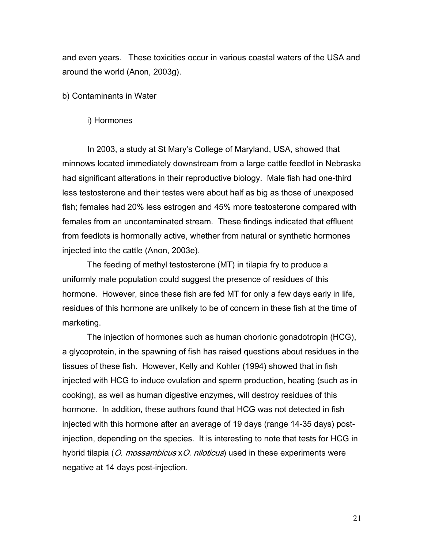and even years. These toxicities occur in various coastal waters of the USA and around the world (Anon, 2003g).

#### b) Contaminants in Water

#### i) Hormones

In 2003, a study at St Mary's College of Maryland, USA, showed that minnows located immediately downstream from a large cattle feedlot in Nebraska had significant alterations in their reproductive biology. Male fish had one-third less testosterone and their testes were about half as big as those of unexposed fish; females had 20% less estrogen and 45% more testosterone compared with females from an uncontaminated stream. These findings indicated that effluent from feedlots is hormonally active, whether from natural or synthetic hormones injected into the cattle (Anon, 2003e).

The feeding of methyl testosterone (MT) in tilapia fry to produce a uniformly male population could suggest the presence of residues of this hormone. However, since these fish are fed MT for only a few days early in life, residues of this hormone are unlikely to be of concern in these fish at the time of marketing.

The injection of hormones such as human chorionic gonadotropin (HCG), a glycoprotein, in the spawning of fish has raised questions about residues in the tissues of these fish. However, Kelly and Kohler (1994) showed that in fish injected with HCG to induce ovulation and sperm production, heating (such as in cooking), as well as human digestive enzymes, will destroy residues of this hormone. In addition, these authors found that HCG was not detected in fish injected with this hormone after an average of 19 days (range 14-35 days) postinjection, depending on the species. It is interesting to note that tests for HCG in hybrid tilapia (O. mossambicus xO. niloticus) used in these experiments were negative at 14 days post-injection.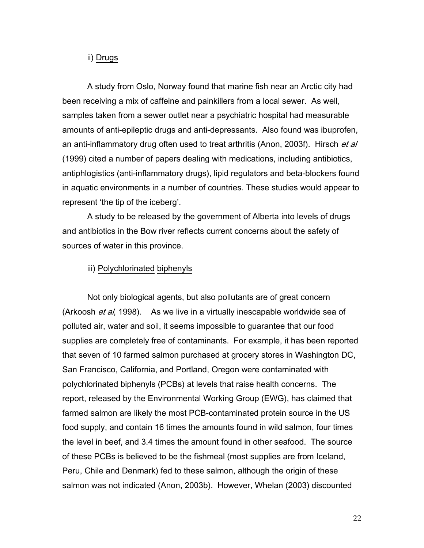## ii) Drugs

A study from Oslo, Norway found that marine fish near an Arctic city had been receiving a mix of caffeine and painkillers from a local sewer. As well, samples taken from a sewer outlet near a psychiatric hospital had measurable amounts of anti-epileptic drugs and anti-depressants. Also found was ibuprofen, an anti-inflammatory drug often used to treat arthritis (Anon, 2003f). Hirsch et al (1999) cited a number of papers dealing with medications, including antibiotics, antiphlogistics (anti-inflammatory drugs), lipid regulators and beta-blockers found in aquatic environments in a number of countries. These studies would appear to represent 'the tip of the iceberg'.

A study to be released by the government of Alberta into levels of drugs and antibiotics in the Bow river reflects current concerns about the safety of sources of water in this province.

### iii) Polychlorinated biphenyls

Not only biological agents, but also pollutants are of great concern (Arkoosh et al, 1998). As we live in a virtually inescapable worldwide sea of polluted air, water and soil, it seems impossible to guarantee that our food supplies are completely free of contaminants. For example, it has been reported that seven of 10 farmed salmon purchased at grocery stores in Washington DC, San Francisco, California, and Portland, Oregon were contaminated with polychlorinated biphenyls (PCBs) at levels that raise health concerns. The report, released by the Environmental Working Group (EWG), has claimed that farmed salmon are likely the most PCB-contaminated protein source in the US food supply, and contain 16 times the amounts found in wild salmon, four times the level in beef, and 3.4 times the amount found in other seafood. The source of these PCBs is believed to be the fishmeal (most supplies are from Iceland, Peru, Chile and Denmark) fed to these salmon, although the origin of these salmon was not indicated (Anon, 2003b). However, Whelan (2003) discounted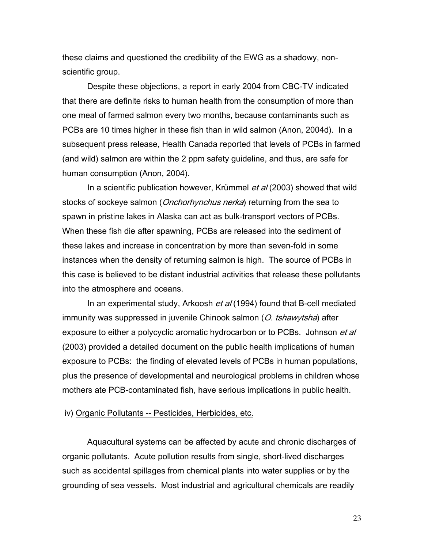these claims and questioned the credibility of the EWG as a shadowy, nonscientific group.

Despite these objections, a report in early 2004 from CBC-TV indicated that there are definite risks to human health from the consumption of more than one meal of farmed salmon every two months, because contaminants such as PCBs are 10 times higher in these fish than in wild salmon (Anon, 2004d). In a subsequent press release, Health Canada reported that levels of PCBs in farmed (and wild) salmon are within the 2 ppm safety guideline, and thus, are safe for human consumption (Anon, 2004).

In a scientific publication however, Krümmel et al (2003) showed that wild stocks of sockeye salmon (*Onchorhynchus nerka*) returning from the sea to spawn in pristine lakes in Alaska can act as bulk-transport vectors of PCBs. When these fish die after spawning, PCBs are released into the sediment of these lakes and increase in concentration by more than seven-fold in some instances when the density of returning salmon is high. The source of PCBs in this case is believed to be distant industrial activities that release these pollutants into the atmosphere and oceans.

In an experimental study, Arkoosh et al (1994) found that B-cell mediated immunity was suppressed in juvenile Chinook salmon (O. tshawytsha) after exposure to either a polycyclic aromatic hydrocarbon or to PCBs. Johnson *et al* (2003) provided a detailed document on the public health implications of human exposure to PCBs: the finding of elevated levels of PCBs in human populations, plus the presence of developmental and neurological problems in children whose mothers ate PCB-contaminated fish, have serious implications in public health.

## iv) Organic Pollutants -- Pesticides, Herbicides, etc.

Aquacultural systems can be affected by acute and chronic discharges of organic pollutants. Acute pollution results from single, short-lived discharges such as accidental spillages from chemical plants into water supplies or by the grounding of sea vessels. Most industrial and agricultural chemicals are readily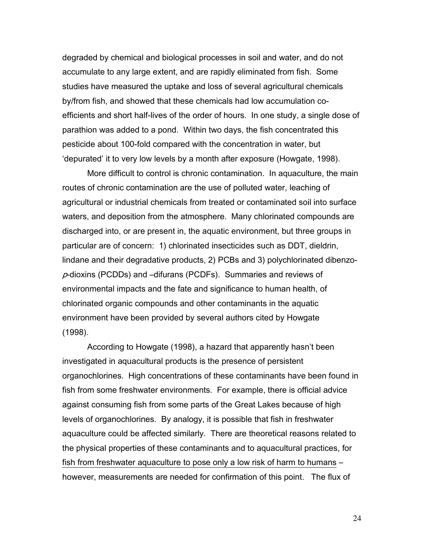degraded by chemical and biological processes in soil and water, and do not accumulate to any large extent, and are rapidly eliminated from fish. Some studies have measured the uptake and loss of several agricultural chemicals by/from fish, and showed that these chemicals had low accumulation coefficients and short half-lives of the order of hours. In one study, a single dose of parathion was added to a pond. Within two days, the fish concentrated this pesticide about 100-fold compared with the concentration in water, but 'depurated' it to very low levels by a month after exposure (Howgate, 1998).

More difficult to control is chronic contamination. In aquaculture, the main routes of chronic contamination are the use of polluted water, leaching of agricultural or industrial chemicals from treated or contaminated soil into surface waters, and deposition from the atmosphere. Many chlorinated compounds are discharged into, or are present in, the aquatic environment, but three groups in particular are of concern: 1) chlorinated insecticides such as DDT, dieldrin, lindane and their degradative products, 2) PCBs and 3) polychlorinated dibenzop-dioxins (PCDDs) and –difurans (PCDFs). Summaries and reviews of environmental impacts and the fate and significance to human health, of chlorinated organic compounds and other contaminants in the aquatic environment have been provided by several authors cited by Howgate (1998).

According to Howgate (1998), a hazard that apparently hasn't been investigated in aquacultural products is the presence of persistent organochlorines. High concentrations of these contaminants have been found in fish from some freshwater environments. For example, there is official advice against consuming fish from some parts of the Great Lakes because of high levels of organochlorines. By analogy, it is possible that fish in freshwater aquaculture could be affected similarly. There are theoretical reasons related to the physical properties of these contaminants and to aquacultural practices, for fish from freshwater aquaculture to pose only a low risk of harm to humans – however, measurements are needed for confirmation of this point. The flux of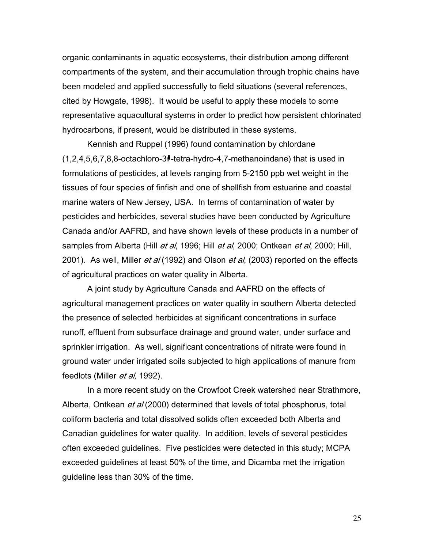organic contaminants in aquatic ecosystems, their distribution among different compartments of the system, and their accumulation through trophic chains have been modeled and applied successfully to field situations (several references, cited by Howgate, 1998). It would be useful to apply these models to some representative aquacultural systems in order to predict how persistent chlorinated hydrocarbons, if present, would be distributed in these systems.

Kennish and Ruppel (1996) found contamination by chlordane  $(1,2,4,5,6,7,8,8\text{-octachloro-3}$ -tetra-hydro-4,7-methanoindane) that is used in formulations of pesticides, at levels ranging from 5-2150 ppb wet weight in the tissues of four species of finfish and one of shellfish from estuarine and coastal marine waters of New Jersey, USA. In terms of contamination of water by pesticides and herbicides, several studies have been conducted by Agriculture Canada and/or AAFRD, and have shown levels of these products in a number of samples from Alberta (Hill *et al*, 1996; Hill *et al*, 2000; Ontkean *et al*, 2000; Hill, 2001). As well, Miller *et al* (1992) and Olson *et al*, (2003) reported on the effects of agricultural practices on water quality in Alberta.

A joint study by Agriculture Canada and AAFRD on the effects of agricultural management practices on water quality in southern Alberta detected the presence of selected herbicides at significant concentrations in surface runoff, effluent from subsurface drainage and ground water, under surface and sprinkler irrigation. As well, significant concentrations of nitrate were found in ground water under irrigated soils subjected to high applications of manure from feedlots (Miller *et al*, 1992).

In a more recent study on the Crowfoot Creek watershed near Strathmore, Alberta, Ontkean et al (2000) determined that levels of total phosphorus, total coliform bacteria and total dissolved solids often exceeded both Alberta and Canadian guidelines for water quality. In addition, levels of several pesticides often exceeded guidelines. Five pesticides were detected in this study; MCPA exceeded guidelines at least 50% of the time, and Dicamba met the irrigation guideline less than 30% of the time.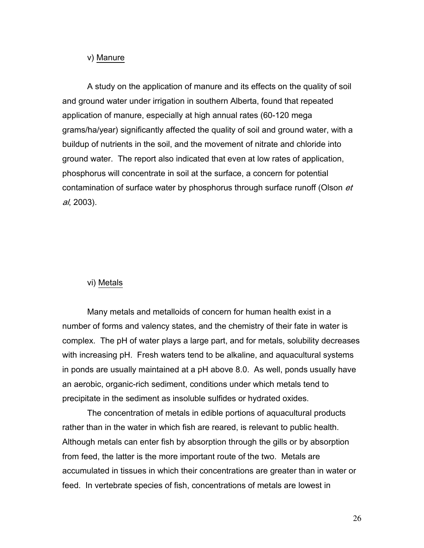#### v) Manure

A study on the application of manure and its effects on the quality of soil and ground water under irrigation in southern Alberta, found that repeated application of manure, especially at high annual rates (60-120 mega grams/ha/year) significantly affected the quality of soil and ground water, with a buildup of nutrients in the soil, and the movement of nitrate and chloride into ground water. The report also indicated that even at low rates of application, phosphorus will concentrate in soil at the surface, a concern for potential contamination of surface water by phosphorus through surface runoff (Olson *et*) al, 2003).

## vi) Metals

Many metals and metalloids of concern for human health exist in a number of forms and valency states, and the chemistry of their fate in water is complex. The pH of water plays a large part, and for metals, solubility decreases with increasing pH. Fresh waters tend to be alkaline, and aquacultural systems in ponds are usually maintained at a pH above 8.0. As well, ponds usually have an aerobic, organic-rich sediment, conditions under which metals tend to precipitate in the sediment as insoluble sulfides or hydrated oxides.

The concentration of metals in edible portions of aquacultural products rather than in the water in which fish are reared, is relevant to public health. Although metals can enter fish by absorption through the gills or by absorption from feed, the latter is the more important route of the two. Metals are accumulated in tissues in which their concentrations are greater than in water or feed. In vertebrate species of fish, concentrations of metals are lowest in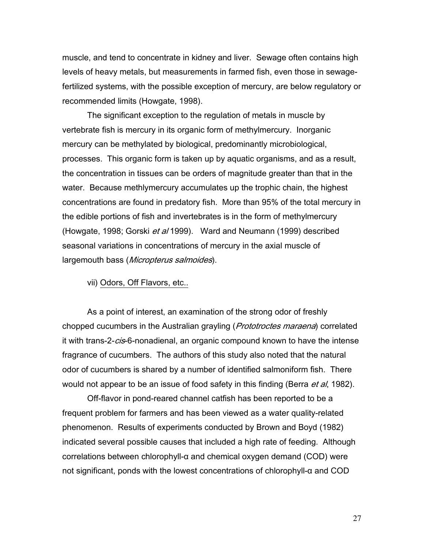muscle, and tend to concentrate in kidney and liver. Sewage often contains high levels of heavy metals, but measurements in farmed fish, even those in sewagefertilized systems, with the possible exception of mercury, are below regulatory or recommended limits (Howgate, 1998).

The significant exception to the regulation of metals in muscle by vertebrate fish is mercury in its organic form of methylmercury. Inorganic mercury can be methylated by biological, predominantly microbiological, processes. This organic form is taken up by aquatic organisms, and as a result, the concentration in tissues can be orders of magnitude greater than that in the water. Because methlymercury accumulates up the trophic chain, the highest concentrations are found in predatory fish. More than 95% of the total mercury in the edible portions of fish and invertebrates is in the form of methylmercury (Howgate, 1998; Gorski et al 1999). Ward and Neumann (1999) described seasonal variations in concentrations of mercury in the axial muscle of largemouth bass (*Micropterus salmoides*).

vii) Odors, Off Flavors, etc..

As a point of interest, an examination of the strong odor of freshly chopped cucumbers in the Australian grayling (*Prototroctes maraena*) correlated it with trans-2-cis-6-nonadienal, an organic compound known to have the intense fragrance of cucumbers. The authors of this study also noted that the natural odor of cucumbers is shared by a number of identified salmoniform fish. There would not appear to be an issue of food safety in this finding (Berra et al, 1982).

Off-flavor in pond-reared channel catfish has been reported to be a frequent problem for farmers and has been viewed as a water quality-related phenomenon. Results of experiments conducted by Brown and Boyd (1982) indicated several possible causes that included a high rate of feeding. Although correlations between chlorophyll-α and chemical oxygen demand (COD) were not significant, ponds with the lowest concentrations of chlorophyll-α and COD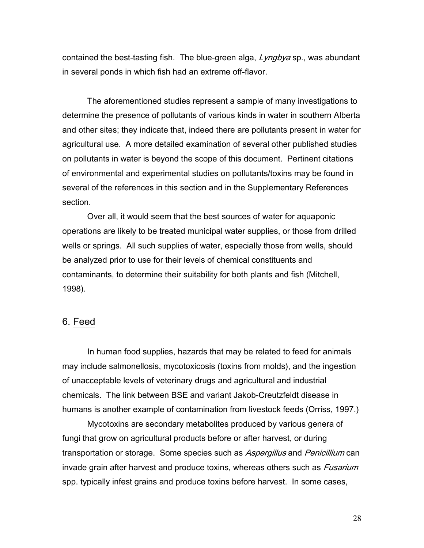contained the best-tasting fish. The blue-green alga, *Lyngbya* sp., was abundant in several ponds in which fish had an extreme off-flavor.

The aforementioned studies represent a sample of many investigations to determine the presence of pollutants of various kinds in water in southern Alberta and other sites; they indicate that, indeed there are pollutants present in water for agricultural use. A more detailed examination of several other published studies on pollutants in water is beyond the scope of this document. Pertinent citations of environmental and experimental studies on pollutants/toxins may be found in several of the references in this section and in the Supplementary References section.

Over all, it would seem that the best sources of water for aquaponic operations are likely to be treated municipal water supplies, or those from drilled wells or springs. All such supplies of water, especially those from wells, should be analyzed prior to use for their levels of chemical constituents and contaminants, to determine their suitability for both plants and fish (Mitchell, 1998).

# 6. Feed

In human food supplies, hazards that may be related to feed for animals may include salmonellosis, mycotoxicosis (toxins from molds), and the ingestion of unacceptable levels of veterinary drugs and agricultural and industrial chemicals. The link between BSE and variant Jakob-Creutzfeldt disease in humans is another example of contamination from livestock feeds (Orriss, 1997.)

Mycotoxins are secondary metabolites produced by various genera of fungi that grow on agricultural products before or after harvest, or during transportation or storage. Some species such as Aspergillus and Penicillium can invade grain after harvest and produce toxins, whereas others such as Fusarium spp. typically infest grains and produce toxins before harvest. In some cases,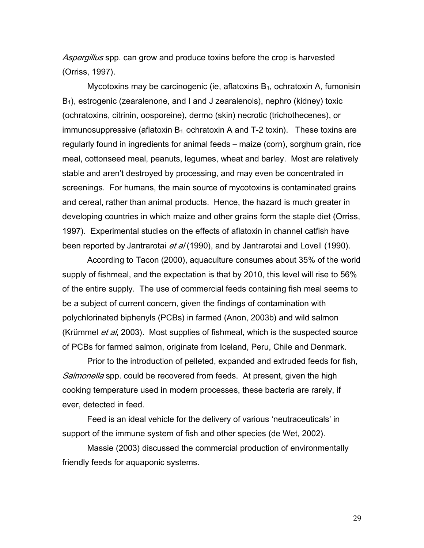Aspergillus spp. can grow and produce toxins before the crop is harvested (Orriss, 1997).

Mycotoxins may be carcinogenic (ie, aflatoxins  $B_1$ , ochratoxin A, fumonisin  $B_1$ ), estrogenic (zearalenone, and I and J zearalenols), nephro (kidney) toxic (ochratoxins, citrinin, oosporeine), dermo (skin) necrotic (trichothecenes), or immunosuppressive (aflatoxin  $B_1$  ochratoxin A and T-2 toxin). These toxins are regularly found in ingredients for animal feeds – maize (corn), sorghum grain, rice meal, cottonseed meal, peanuts, legumes, wheat and barley. Most are relatively stable and aren't destroyed by processing, and may even be concentrated in screenings. For humans, the main source of mycotoxins is contaminated grains and cereal, rather than animal products. Hence, the hazard is much greater in developing countries in which maize and other grains form the staple diet (Orriss, 1997). Experimental studies on the effects of aflatoxin in channel catfish have been reported by Jantrarotai et al (1990), and by Jantrarotai and Lovell (1990).

According to Tacon (2000), aquaculture consumes about 35% of the world supply of fishmeal, and the expectation is that by 2010, this level will rise to 56% of the entire supply. The use of commercial feeds containing fish meal seems to be a subject of current concern, given the findings of contamination with polychlorinated biphenyls (PCBs) in farmed (Anon, 2003b) and wild salmon (Krümmel *et al*, 2003). Most supplies of fishmeal, which is the suspected source of PCBs for farmed salmon, originate from Iceland, Peru, Chile and Denmark.

Prior to the introduction of pelleted, expanded and extruded feeds for fish, Salmonella spp. could be recovered from feeds. At present, given the high cooking temperature used in modern processes, these bacteria are rarely, if ever, detected in feed.

Feed is an ideal vehicle for the delivery of various 'neutraceuticals' in support of the immune system of fish and other species (de Wet, 2002).

Massie (2003) discussed the commercial production of environmentally friendly feeds for aquaponic systems.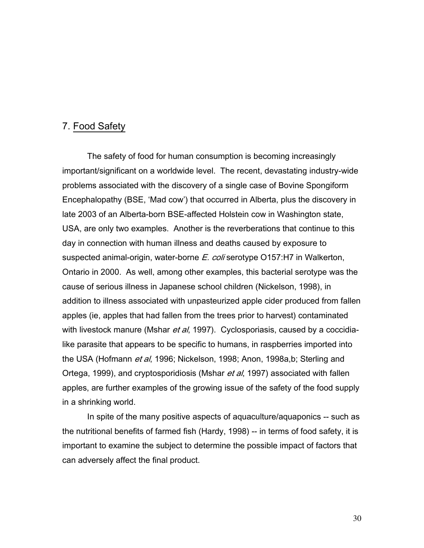# 7. Food Safety

The safety of food for human consumption is becoming increasingly important/significant on a worldwide level. The recent, devastating industry-wide problems associated with the discovery of a single case of Bovine Spongiform Encephalopathy (BSE, 'Mad cow') that occurred in Alberta, plus the discovery in late 2003 of an Alberta-born BSE-affected Holstein cow in Washington state, USA, are only two examples. Another is the reverberations that continue to this day in connection with human illness and deaths caused by exposure to suspected animal-origin, water-borne *E. coli* serotype O157:H7 in Walkerton, Ontario in 2000. As well, among other examples, this bacterial serotype was the cause of serious illness in Japanese school children (Nickelson, 1998), in addition to illness associated with unpasteurized apple cider produced from fallen apples (ie, apples that had fallen from the trees prior to harvest) contaminated with livestock manure (Mshar *et al*, 1997). Cyclosporiasis, caused by a coccidialike parasite that appears to be specific to humans, in raspberries imported into the USA (Hofmann *et al*, 1996; Nickelson, 1998; Anon, 1998a,b; Sterling and Ortega, 1999), and cryptosporidiosis (Mshar *et al*, 1997) associated with fallen apples, are further examples of the growing issue of the safety of the food supply in a shrinking world.

In spite of the many positive aspects of aquaculture/aquaponics -- such as the nutritional benefits of farmed fish (Hardy, 1998) -- in terms of food safety, it is important to examine the subject to determine the possible impact of factors that can adversely affect the final product.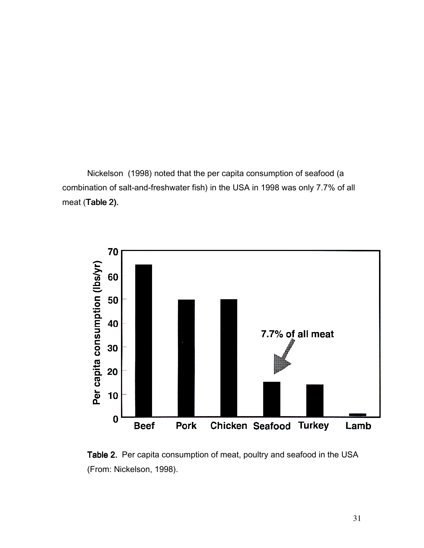Nickelson (1998) noted that the per capita consumption of seafood (a combination of salt-and-freshwater fish) in the USA in 1998 was only 7.7% of all meat (Table 2).



Table 2. Per capita consumption of meat, poultry and seafood in the USA (From: Nickelson, 1998).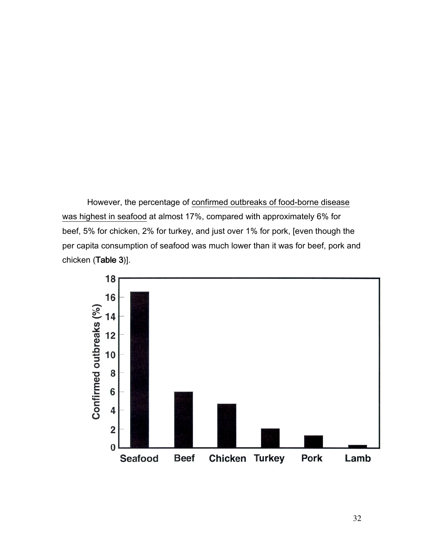However, the percentage of confirmed outbreaks of food-borne disease was highest in seafood at almost 17%, compared with approximately 6% for beef, 5% for chicken, 2% for turkey, and just over 1% for pork, [even though the per capita consumption of seafood was much lower than it was for beef, pork and chicken (Table 3)].

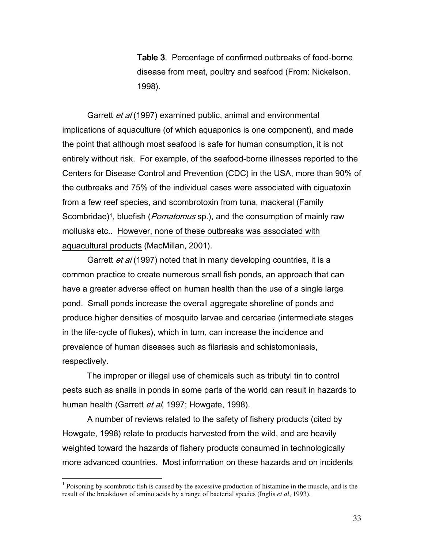Table 3. Percentage of confirmed outbreaks of food-borne disease from meat, poultry and seafood (From: Nickelson, 1998).

Garrett *et al* (1997) examined public, animal and environmental implications of aquaculture (of which aquaponics is one component), and made the point that although most seafood is safe for human consumption, it is not entirely without risk. For example, of the seafood-borne illnesses reported to the Centers for Disease Control and Prevention (CDC) in the USA, more than 90% of the outbreaks and 75% of the individual cases were associated with ciguatoxin from a few reef species, and scombrotoxin from tuna, mackeral (Family Scombridae)<sup>1</sup>, bluefish (*Pomatomus* sp.), and the consumption of mainly raw mollusks etc.. However, none of these outbreaks was associated with aquacultural products (MacMillan, 2001).

Garrett *et al* (1997) noted that in many developing countries, it is a common practice to create numerous small fish ponds, an approach that can have a greater adverse effect on human health than the use of a single large pond. Small ponds increase the overall aggregate shoreline of ponds and produce higher densities of mosquito larvae and cercariae (intermediate stages in the life-cycle of flukes), which in turn, can increase the incidence and prevalence of human diseases such as filariasis and schistomoniasis, respectively.

The improper or illegal use of chemicals such as tributyl tin to control pests such as snails in ponds in some parts of the world can result in hazards to human health (Garrett et al, 1997; Howgate, 1998).

A number of reviews related to the safety of fishery products (cited by Howgate, 1998) relate to products harvested from the wild, and are heavily weighted toward the hazards of fishery products consumed in technologically more advanced countries. Most information on these hazards and on incidents

<sup>&</sup>lt;sup>1</sup> Poisoning by scombrotic fish is caused by the excessive production of histamine in the muscle, and is the result of the breakdown of amino acids by a range of bacterial species (Inglis *et al*, 1993).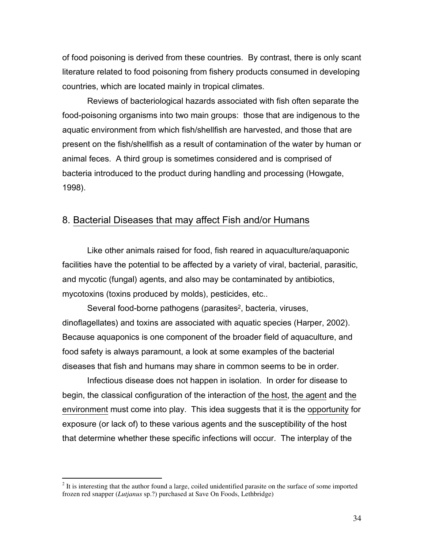of food poisoning is derived from these countries. By contrast, there is only scant literature related to food poisoning from fishery products consumed in developing countries, which are located mainly in tropical climates.

Reviews of bacteriological hazards associated with fish often separate the food-poisoning organisms into two main groups: those that are indigenous to the aquatic environment from which fish/shellfish are harvested, and those that are present on the fish/shellfish as a result of contamination of the water by human or animal feces. A third group is sometimes considered and is comprised of bacteria introduced to the product during handling and processing (Howgate, 1998).

## 8. Bacterial Diseases that may affect Fish and/or Humans

Like other animals raised for food, fish reared in aquaculture/aquaponic facilities have the potential to be affected by a variety of viral, bacterial, parasitic, and mycotic (fungal) agents, and also may be contaminated by antibiotics, mycotoxins (toxins produced by molds), pesticides, etc..

Several food-borne pathogens (parasites<sup>2</sup>, bacteria, viruses, dinoflagellates) and toxins are associated with aquatic species (Harper, 2002). Because aquaponics is one component of the broader field of aquaculture, and food safety is always paramount, a look at some examples of the bacterial diseases that fish and humans may share in common seems to be in order.

Infectious disease does not happen in isolation. In order for disease to begin, the classical configuration of the interaction of the host, the agent and the environment must come into play. This idea suggests that it is the opportunity for exposure (or lack of) to these various agents and the susceptibility of the host that determine whether these specific infections will occur. The interplay of the

<sup>&</sup>lt;sup>2</sup> It is interesting that the author found a large, coiled unidentified parasite on the surface of some imported frozen red snapper (*Lutjanus* sp.?) purchased at Save On Foods, Lethbridge)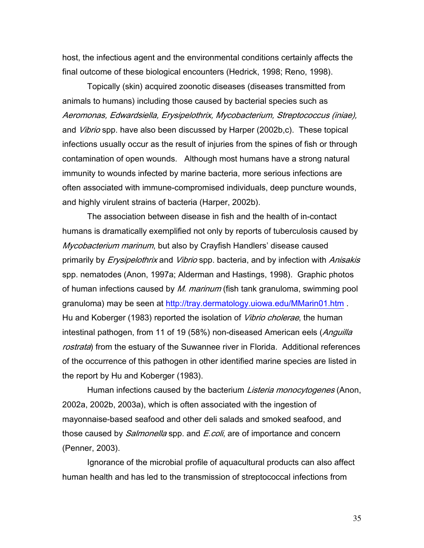host, the infectious agent and the environmental conditions certainly affects the final outcome of these biological encounters (Hedrick, 1998; Reno, 1998).

Topically (skin) acquired zoonotic diseases (diseases transmitted from animals to humans) including those caused by bacterial species such as Aeromonas, Edwardsiella, Erysipelothrix, Mycobacterium, Streptococcus (iniae), and *Vibrio* spp. have also been discussed by Harper (2002b,c). These topical infections usually occur as the result of injuries from the spines of fish or through contamination of open wounds. Although most humans have a strong natural immunity to wounds infected by marine bacteria, more serious infections are often associated with immune-compromised individuals, deep puncture wounds, and highly virulent strains of bacteria (Harper, 2002b).

The association between disease in fish and the health of in-contact humans is dramatically exemplified not only by reports of tuberculosis caused by Mycobacterium marinum, but also by Crayfish Handlers' disease caused primarily by *Erysipelothrix* and *Vibrio* spp. bacteria, and by infection with *Anisakis* spp. nematodes (Anon, 1997a; Alderman and Hastings, 1998). Graphic photos of human infections caused by *M. marinum* (fish tank granuloma, swimming pool granuloma) may be seen at http://tray.dermatology.uiowa.edu/MMarin01.htm . Hu and Koberger (1983) reported the isolation of *Vibrio cholerae*, the human intestinal pathogen, from 11 of 19 (58%) non-diseased American eels (*Anguilla* rostrata) from the estuary of the Suwannee river in Florida. Additional references of the occurrence of this pathogen in other identified marine species are listed in the report by Hu and Koberger (1983).

Human infections caused by the bacterium *Listeria monocytogenes* (Anon, 2002a, 2002b, 2003a), which is often associated with the ingestion of mayonnaise-based seafood and other deli salads and smoked seafood, and those caused by *Salmonella* spp. and *E.coli*, are of importance and concern (Penner, 2003).

Ignorance of the microbial profile of aquacultural products can also affect human health and has led to the transmission of streptococcal infections from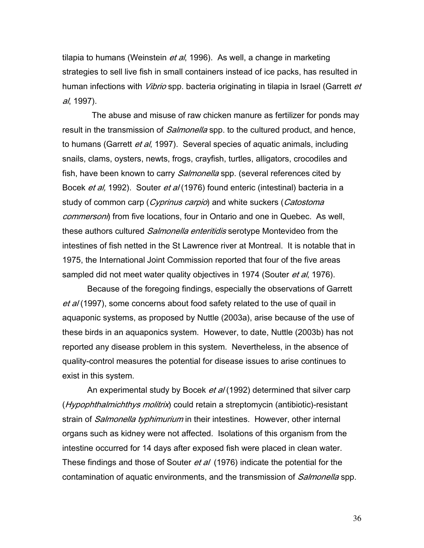tilapia to humans (Weinstein *et al*, 1996). As well, a change in marketing strategies to sell live fish in small containers instead of ice packs, has resulted in human infections with *Vibrio* spp. bacteria originating in tilapia in Israel (Garrett et al, 1997).

 The abuse and misuse of raw chicken manure as fertilizer for ponds may result in the transmission of *Salmonella* spp. to the cultured product, and hence, to humans (Garrett et al, 1997). Several species of aquatic animals, including snails, clams, oysters, newts, frogs, crayfish, turtles, alligators, crocodiles and fish, have been known to carry *Salmonella* spp. (several references cited by Bocek *et al*, 1992). Souter *et al* (1976) found enteric (intestinal) bacteria in a study of common carp (*Cyprinus carpio*) and white suckers (*Catostoma* commersoni) from five locations, four in Ontario and one in Quebec. As well, these authors cultured *Salmonella enteritidis* serotype Montevideo from the intestines of fish netted in the St Lawrence river at Montreal. It is notable that in 1975, the International Joint Commission reported that four of the five areas sampled did not meet water quality objectives in 1974 (Souter et al, 1976).

Because of the foregoing findings, especially the observations of Garrett et al (1997), some concerns about food safety related to the use of quail in aquaponic systems, as proposed by Nuttle (2003a), arise because of the use of these birds in an aquaponics system. However, to date, Nuttle (2003b) has not reported any disease problem in this system. Nevertheless, in the absence of quality-control measures the potential for disease issues to arise continues to exist in this system.

An experimental study by Bocek et al (1992) determined that silver carp (*Hypophthalmichthys molitrix*) could retain a streptomycin (antibiotic)-resistant strain of *Salmonella typhimurium* in their intestines. However, other internal organs such as kidney were not affected. Isolations of this organism from the intestine occurred for 14 days after exposed fish were placed in clean water. These findings and those of Souter *et al* (1976) indicate the potential for the contamination of aquatic environments, and the transmission of *Salmonella* spp.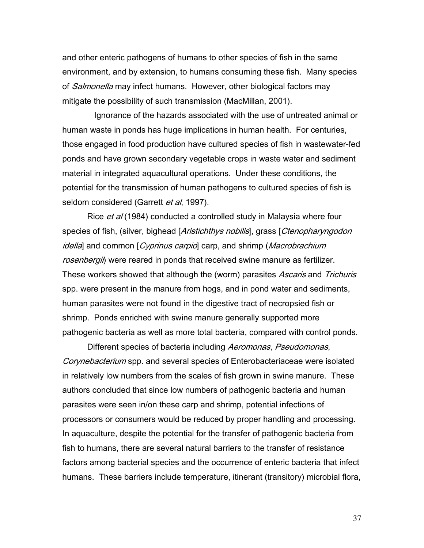and other enteric pathogens of humans to other species of fish in the same environment, and by extension, to humans consuming these fish. Many species of *Salmonella* may infect humans. However, other biological factors may mitigate the possibility of such transmission (MacMillan, 2001).

 Ignorance of the hazards associated with the use of untreated animal or human waste in ponds has huge implications in human health. For centuries, those engaged in food production have cultured species of fish in wastewater-fed ponds and have grown secondary vegetable crops in waste water and sediment material in integrated aquacultural operations. Under these conditions, the potential for the transmission of human pathogens to cultured species of fish is seldom considered (Garrett et al, 1997).

Rice et al (1984) conducted a controlled study in Malaysia where four species of fish, (silver, bighead [Aristichthys nobilis], grass [Ctenopharyngodon idella) and common [Cyprinus carpio] carp, and shrimp (Macrobrachium rosenbergii) were reared in ponds that received swine manure as fertilizer. These workers showed that although the (worm) parasites Ascaris and Trichuris spp. were present in the manure from hogs, and in pond water and sediments, human parasites were not found in the digestive tract of necropsied fish or shrimp. Ponds enriched with swine manure generally supported more pathogenic bacteria as well as more total bacteria, compared with control ponds.

Different species of bacteria including Aeromonas, Pseudomonas, Corynebacterium spp. and several species of Enterobacteriaceae were isolated in relatively low numbers from the scales of fish grown in swine manure. These authors concluded that since low numbers of pathogenic bacteria and human parasites were seen in/on these carp and shrimp, potential infections of processors or consumers would be reduced by proper handling and processing. In aquaculture, despite the potential for the transfer of pathogenic bacteria from fish to humans, there are several natural barriers to the transfer of resistance factors among bacterial species and the occurrence of enteric bacteria that infect humans. These barriers include temperature, itinerant (transitory) microbial flora,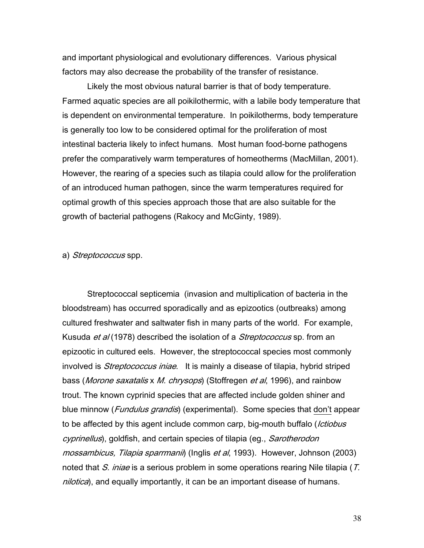and important physiological and evolutionary differences. Various physical factors may also decrease the probability of the transfer of resistance.

Likely the most obvious natural barrier is that of body temperature. Farmed aquatic species are all poikilothermic, with a labile body temperature that is dependent on environmental temperature. In poikilotherms, body temperature is generally too low to be considered optimal for the proliferation of most intestinal bacteria likely to infect humans. Most human food-borne pathogens prefer the comparatively warm temperatures of homeotherms (MacMillan, 2001). However, the rearing of a species such as tilapia could allow for the proliferation of an introduced human pathogen, since the warm temperatures required for optimal growth of this species approach those that are also suitable for the growth of bacterial pathogens (Rakocy and McGinty, 1989).

#### a) Streptococcus spp.

Streptococcal septicemia (invasion and multiplication of bacteria in the bloodstream) has occurred sporadically and as epizootics (outbreaks) among cultured freshwater and saltwater fish in many parts of the world. For example, Kusuda et al (1978) described the isolation of a *Streptococcus* sp. from an epizootic in cultured eels. However, the streptococcal species most commonly involved is *Streptococcus iniae*. It is mainly a disease of tilapia, hybrid striped bass (*Morone saxatalis x M. chrysops*) (Stoffregen *et al*, 1996), and rainbow trout. The known cyprinid species that are affected include golden shiner and blue minnow (*Fundulus grandis*) (experimental). Some species that don't appear to be affected by this agent include common carp, big-mouth buffalo (*Ictiobus* cyprinellus), goldfish, and certain species of tilapia (eg., Sarotherodon mossambicus, Tilapia sparrmanii) (Inglis et al, 1993). However, Johnson (2003) noted that S. iniae is a serious problem in some operations rearing Nile tilapia (T. nilotica), and equally importantly, it can be an important disease of humans.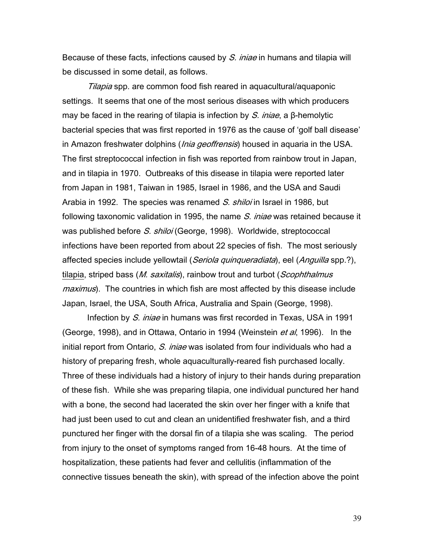Because of these facts, infections caused by S. iniae in humans and tilapia will be discussed in some detail, as follows.

Tilapia spp. are common food fish reared in aquacultural/aquaponic settings. It seems that one of the most serious diseases with which producers may be faced in the rearing of tilapia is infection by S. injae, a β-hemolytic bacterial species that was first reported in 1976 as the cause of 'golf ball disease' in Amazon freshwater dolphins (*Inia geoffrensis*) housed in aquaria in the USA. The first streptococcal infection in fish was reported from rainbow trout in Japan, and in tilapia in 1970. Outbreaks of this disease in tilapia were reported later from Japan in 1981, Taiwan in 1985, Israel in 1986, and the USA and Saudi Arabia in 1992. The species was renamed S. shiloi in Israel in 1986, but following taxonomic validation in 1995, the name S. iniae was retained because it was published before S. shiloi (George, 1998). Worldwide, streptococcal infections have been reported from about 22 species of fish. The most seriously affected species include yellowtail (*Seriola quinqueradiata*), eel (*Anguilla* spp.?), tilapia, striped bass (M. saxitalis), rainbow trout and turbot (Scophthalmus maximus). The countries in which fish are most affected by this disease include Japan, Israel, the USA, South Africa, Australia and Spain (George, 1998).

Infection by S. iniae in humans was first recorded in Texas, USA in 1991 (George, 1998), and in Ottawa, Ontario in 1994 (Weinstein *et al*, 1996). In the initial report from Ontario, S. iniae was isolated from four individuals who had a history of preparing fresh, whole aquaculturally-reared fish purchased locally. Three of these individuals had a history of injury to their hands during preparation of these fish. While she was preparing tilapia, one individual punctured her hand with a bone, the second had lacerated the skin over her finger with a knife that had just been used to cut and clean an unidentified freshwater fish, and a third punctured her finger with the dorsal fin of a tilapia she was scaling. The period from injury to the onset of symptoms ranged from 16-48 hours. At the time of hospitalization, these patients had fever and cellulitis (inflammation of the connective tissues beneath the skin), with spread of the infection above the point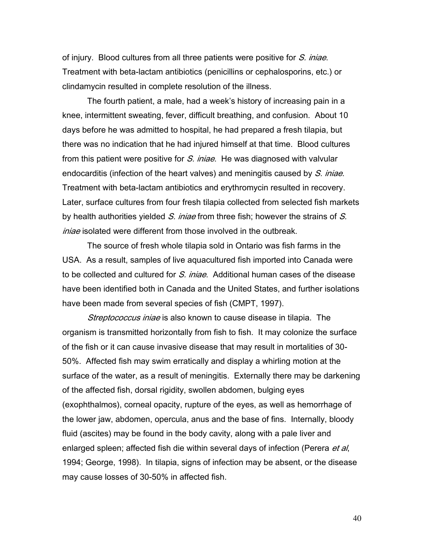of injury. Blood cultures from all three patients were positive for S. injae. Treatment with beta-lactam antibiotics (penicillins or cephalosporins, etc.) or clindamycin resulted in complete resolution of the illness.

The fourth patient, a male, had a week's history of increasing pain in a knee, intermittent sweating, fever, difficult breathing, and confusion. About 10 days before he was admitted to hospital, he had prepared a fresh tilapia, but there was no indication that he had injured himself at that time. Blood cultures from this patient were positive for S. *iniae*. He was diagnosed with valvular endocarditis (infection of the heart valves) and meningitis caused by S. iniae. Treatment with beta-lactam antibiotics and erythromycin resulted in recovery. Later, surface cultures from four fresh tilapia collected from selected fish markets by health authorities yielded S. iniae from three fish; however the strains of S. *iniae* isolated were different from those involved in the outbreak.

The source of fresh whole tilapia sold in Ontario was fish farms in the USA. As a result, samples of live aquacultured fish imported into Canada were to be collected and cultured for S. iniae. Additional human cases of the disease have been identified both in Canada and the United States, and further isolations have been made from several species of fish (CMPT, 1997).

Streptococcus iniae is also known to cause disease in tilapia. The organism is transmitted horizontally from fish to fish. It may colonize the surface of the fish or it can cause invasive disease that may result in mortalities of 30- 50%. Affected fish may swim erratically and display a whirling motion at the surface of the water, as a result of meningitis. Externally there may be darkening of the affected fish, dorsal rigidity, swollen abdomen, bulging eyes (exophthalmos), corneal opacity, rupture of the eyes, as well as hemorrhage of the lower jaw, abdomen, opercula, anus and the base of fins. Internally, bloody fluid (ascites) may be found in the body cavity, along with a pale liver and enlarged spleen; affected fish die within several days of infection (Perera et al, 1994; George, 1998). In tilapia, signs of infection may be absent, or the disease may cause losses of 30-50% in affected fish.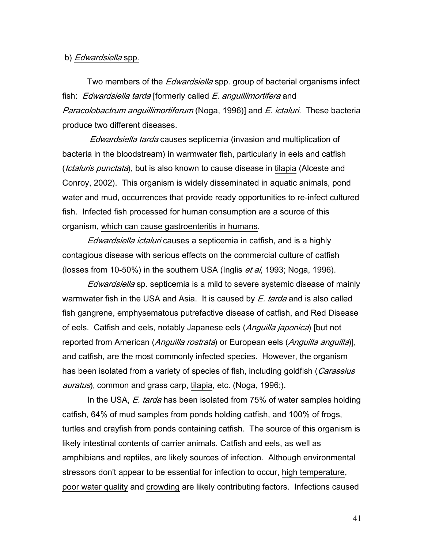#### b) *Edwardsiella* spp.

Two members of the *Edwardsiella* spp. group of bacterial organisms infect fish: *Edwardsiella tarda* [formerly called *E. anguillimortifera* and Paracolobactrum anguillimortiferum (Noga, 1996)] and E. ictaluri. These bacteria produce two different diseases.

Edwardsiella tarda causes septicemia (invasion and multiplication of bacteria in the bloodstream) in warmwater fish, particularly in eels and catfish (*Ictaluris punctata*), but is also known to cause disease in tilapia (Alceste and Conroy, 2002). This organism is widely disseminated in aquatic animals, pond water and mud, occurrences that provide ready opportunities to re-infect cultured fish. Infected fish processed for human consumption are a source of this organism, which can cause gastroenteritis in humans.

Edwardsiella ictaluri causes a septicemia in catfish, and is a highly contagious disease with serious effects on the commercial culture of catfish (losses from 10-50%) in the southern USA (Inglis *et al*, 1993; Noga, 1996).

Edwardsiella sp. septicemia is a mild to severe systemic disease of mainly warmwater fish in the USA and Asia. It is caused by  $E$ . tarda and is also called fish gangrene, emphysematous putrefactive disease of catfish, and Red Disease of eels. Catfish and eels, notably Japanese eels (Anguilla japonica) [but not reported from American (Anguilla rostrata) or European eels (Anguilla anguilla)], and catfish, are the most commonly infected species. However, the organism has been isolated from a variety of species of fish, including goldfish (Carassius auratus), common and grass carp, tilapia, etc. (Noga, 1996;).

In the USA, *E. tarda* has been isolated from 75% of water samples holding catfish, 64% of mud samples from ponds holding catfish, and 100% of frogs, turtles and crayfish from ponds containing catfish. The source of this organism is likely intestinal contents of carrier animals. Catfish and eels, as well as amphibians and reptiles, are likely sources of infection. Although environmental stressors don't appear to be essential for infection to occur, high temperature, poor water quality and crowding are likely contributing factors. Infections caused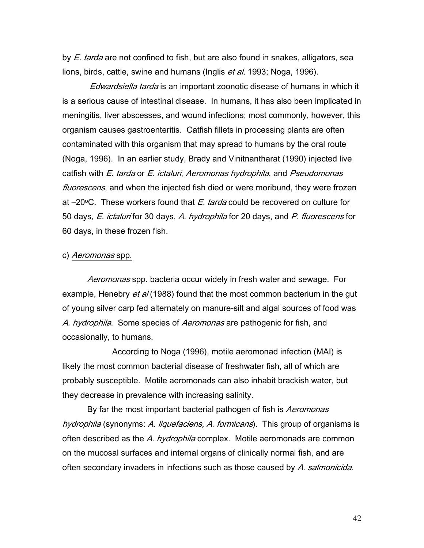by *E. tarda* are not confined to fish, but are also found in snakes, alligators, sea lions, birds, cattle, swine and humans (Inglis et al, 1993; Noga, 1996).

Edwardsiella tarda is an important zoonotic disease of humans in which it is a serious cause of intestinal disease. In humans, it has also been implicated in meningitis, liver abscesses, and wound infections; most commonly, however, this organism causes gastroenteritis. Catfish fillets in processing plants are often contaminated with this organism that may spread to humans by the oral route (Noga, 1996). In an earlier study, Brady and Vinitnantharat (1990) injected live catfish with E. tarda or E. ictaluri, Aeromonas hydrophila, and Pseudomonas fluorescens, and when the injected fish died or were moribund, they were frozen at  $-20$ <sup>o</sup>C. These workers found that  $E$  tarda could be recovered on culture for 50 days, E. ictaluri for 30 days, A. hydrophila for 20 days, and P. fluorescens for 60 days, in these frozen fish.

#### c) *Aeromonas* spp.

Aeromonas spp. bacteria occur widely in fresh water and sewage. For example, Henebry *et al* (1988) found that the most common bacterium in the gut of young silver carp fed alternately on manure-silt and algal sources of food was A. hydrophila. Some species of Aeromonas are pathogenic for fish, and occasionally, to humans.

 According to Noga (1996), motile aeromonad infection (MAI) is likely the most common bacterial disease of freshwater fish, all of which are probably susceptible. Motile aeromonads can also inhabit brackish water, but they decrease in prevalence with increasing salinity.

By far the most important bacterial pathogen of fish is Aeromonas hydrophila (synonyms: A. liquefaciens, A. formicans). This group of organisms is often described as the A. hydrophila complex. Motile aeromonads are common on the mucosal surfaces and internal organs of clinically normal fish, and are often secondary invaders in infections such as those caused by A. salmonicida.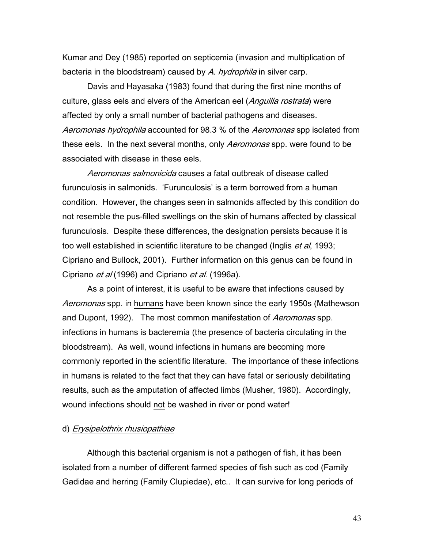Kumar and Dey (1985) reported on septicemia (invasion and multiplication of bacteria in the bloodstream) caused by A. hydrophila in silver carp.

Davis and Hayasaka (1983) found that during the first nine months of culture, glass eels and elvers of the American eel (*Anguilla rostrata*) were affected by only a small number of bacterial pathogens and diseases. Aeromonas hydrophila accounted for 98.3 % of the Aeromonas spp isolated from these eels. In the next several months, only *Aeromonas* spp. were found to be associated with disease in these eels.

 Aeromonas salmonicida causes a fatal outbreak of disease called furunculosis in salmonids. 'Furunculosis' is a term borrowed from a human condition. However, the changes seen in salmonids affected by this condition do not resemble the pus-filled swellings on the skin of humans affected by classical furunculosis. Despite these differences, the designation persists because it is too well established in scientific literature to be changed (Inglis *et al*, 1993; Cipriano and Bullock, 2001). Further information on this genus can be found in Cipriano *et al* (1996) and Cipriano *et al.* (1996a).

 As a point of interest, it is useful to be aware that infections caused by Aeromonas spp. in humans have been known since the early 1950s (Mathewson and Dupont, 1992). The most common manifestation of *Aeromonas* spp. infections in humans is bacteremia (the presence of bacteria circulating in the bloodstream). As well, wound infections in humans are becoming more commonly reported in the scientific literature. The importance of these infections in humans is related to the fact that they can have fatal or seriously debilitating results, such as the amputation of affected limbs (Musher, 1980). Accordingly, wound infections should not be washed in river or pond water!

#### d) Erysipelothrix rhusiopathiae

 Although this bacterial organism is not a pathogen of fish, it has been isolated from a number of different farmed species of fish such as cod (Family Gadidae and herring (Family Clupiedae), etc.. It can survive for long periods of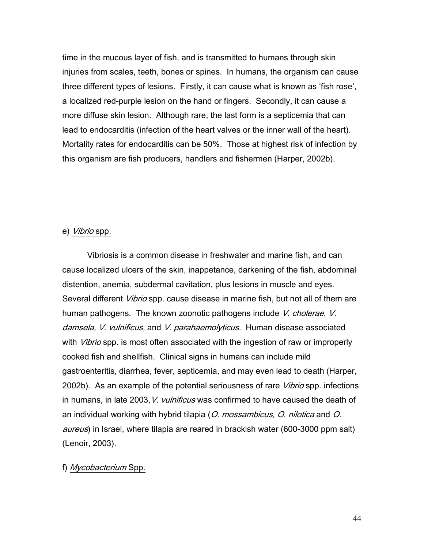time in the mucous layer of fish, and is transmitted to humans through skin injuries from scales, teeth, bones or spines. In humans, the organism can cause three different types of lesions. Firstly, it can cause what is known as 'fish rose', a localized red-purple lesion on the hand or fingers. Secondly, it can cause a more diffuse skin lesion. Although rare, the last form is a septicemia that can lead to endocarditis (infection of the heart valves or the inner wall of the heart). Mortality rates for endocarditis can be 50%. Those at highest risk of infection by this organism are fish producers, handlers and fishermen (Harper, 2002b).

#### e) Vibrio spp.

 Vibriosis is a common disease in freshwater and marine fish, and can cause localized ulcers of the skin, inappetance, darkening of the fish, abdominal distention, anemia, subdermal cavitation, plus lesions in muscle and eyes. Several different *Vibrio* spp. cause disease in marine fish, but not all of them are human pathogens. The known zoonotic pathogens include V. cholerae, V. damsela, V. vulnificus, and V. parahaemolyticus. Human disease associated with *Vibrio* spp. is most often associated with the ingestion of raw or improperly cooked fish and shellfish. Clinical signs in humans can include mild gastroenteritis, diarrhea, fever, septicemia, and may even lead to death (Harper, 2002b). As an example of the potential seriousness of rare *Vibrio* spp. infections in humans, in late 2003, V. vulnificus was confirmed to have caused the death of an individual working with hybrid tilapia (O. mossambicus, O. nilotica and O. aureus) in Israel, where tilapia are reared in brackish water (600-3000 ppm salt) (Lenoir, 2003).

#### f) Mycobacterium Spp.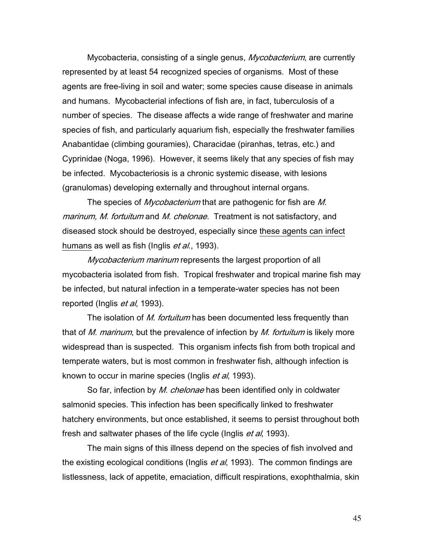Mycobacteria, consisting of a single genus, *Mycobacterium*, are currently represented by at least 54 recognized species of organisms. Most of these agents are free-living in soil and water; some species cause disease in animals and humans. Mycobacterial infections of fish are, in fact, tuberculosis of a number of species. The disease affects a wide range of freshwater and marine species of fish, and particularly aquarium fish, especially the freshwater families Anabantidae (climbing gouramies), Characidae (piranhas, tetras, etc.) and Cyprinidae (Noga, 1996). However, it seems likely that any species of fish may be infected. Mycobacteriosis is a chronic systemic disease, with lesions (granulomas) developing externally and throughout internal organs.

The species of *Mycobacterium* that are pathogenic for fish are M. marinum, M. fortuitum and M. chelonae. Treatment is not satisfactory, and diseased stock should be destroyed, especially since these agents can infect humans as well as fish (Inglis *et al.*, 1993).

Mycobacterium marinum represents the largest proportion of all mycobacteria isolated from fish. Tropical freshwater and tropical marine fish may be infected, but natural infection in a temperate-water species has not been reported (Inglis *et al*, 1993).

The isolation of *M. fortuitum* has been documented less frequently than that of M. marinum, but the prevalence of infection by M. fortuitum is likely more widespread than is suspected. This organism infects fish from both tropical and temperate waters, but is most common in freshwater fish, although infection is known to occur in marine species (Inglis *et al*, 1993).

So far, infection by *M. chelonae* has been identified only in coldwater salmonid species. This infection has been specifically linked to freshwater hatchery environments, but once established, it seems to persist throughout both fresh and saltwater phases of the life cycle (Inglis et al, 1993).

The main signs of this illness depend on the species of fish involved and the existing ecological conditions (Inglis *et al*, 1993). The common findings are listlessness, lack of appetite, emaciation, difficult respirations, exophthalmia, skin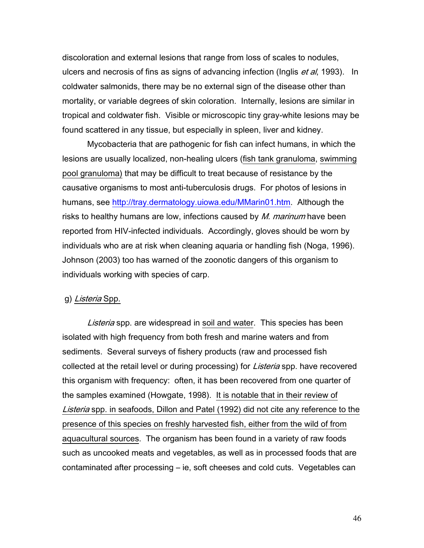discoloration and external lesions that range from loss of scales to nodules, ulcers and necrosis of fins as signs of advancing infection (Inglis et al, 1993). In coldwater salmonids, there may be no external sign of the disease other than mortality, or variable degrees of skin coloration. Internally, lesions are similar in tropical and coldwater fish. Visible or microscopic tiny gray-white lesions may be found scattered in any tissue, but especially in spleen, liver and kidney.

Mycobacteria that are pathogenic for fish can infect humans, in which the lesions are usually localized, non-healing ulcers (fish tank granuloma, swimming pool granuloma) that may be difficult to treat because of resistance by the causative organisms to most anti-tuberculosis drugs. For photos of lesions in humans, see http://tray.dermatology.uiowa.edu/MMarin01.htm. Although the risks to healthy humans are low, infections caused by M. marinum have been reported from HIV-infected individuals. Accordingly, gloves should be worn by individuals who are at risk when cleaning aquaria or handling fish (Noga, 1996). Johnson (2003) too has warned of the zoonotic dangers of this organism to individuals working with species of carp.

#### g) Listeria Spp.

Listeria spp. are widespread in soil and water. This species has been isolated with high frequency from both fresh and marine waters and from sediments. Several surveys of fishery products (raw and processed fish collected at the retail level or during processing) for *Listeria* spp. have recovered this organism with frequency: often, it has been recovered from one quarter of the samples examined (Howgate, 1998). It is notable that in their review of Listeria spp. in seafoods, Dillon and Patel (1992) did not cite any reference to the presence of this species on freshly harvested fish, either from the wild of from aquacultural sources. The organism has been found in a variety of raw foods such as uncooked meats and vegetables, as well as in processed foods that are contaminated after processing – ie, soft cheeses and cold cuts. Vegetables can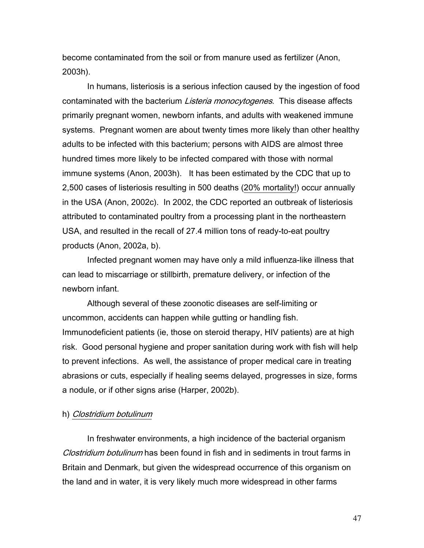become contaminated from the soil or from manure used as fertilizer (Anon, 2003h).

 In humans, listeriosis is a serious infection caused by the ingestion of food contaminated with the bacterium Listeria monocytogenes. This disease affects primarily pregnant women, newborn infants, and adults with weakened immune systems. Pregnant women are about twenty times more likely than other healthy adults to be infected with this bacterium; persons with AIDS are almost three hundred times more likely to be infected compared with those with normal immune systems (Anon, 2003h). It has been estimated by the CDC that up to 2,500 cases of listeriosis resulting in 500 deaths (20% mortality!) occur annually in the USA (Anon, 2002c). In 2002, the CDC reported an outbreak of listeriosis attributed to contaminated poultry from a processing plant in the northeastern USA, and resulted in the recall of 27.4 million tons of ready-to-eat poultry products (Anon, 2002a, b).

Infected pregnant women may have only a mild influenza-like illness that can lead to miscarriage or stillbirth, premature delivery, or infection of the newborn infant.

Although several of these zoonotic diseases are self-limiting or uncommon, accidents can happen while gutting or handling fish. Immunodeficient patients (ie, those on steroid therapy, HIV patients) are at high risk. Good personal hygiene and proper sanitation during work with fish will help to prevent infections. As well, the assistance of proper medical care in treating abrasions or cuts, especially if healing seems delayed, progresses in size, forms a nodule, or if other signs arise (Harper, 2002b).

#### h) Clostridium botulinum

In freshwater environments, a high incidence of the bacterial organism Clostridium botulinum has been found in fish and in sediments in trout farms in Britain and Denmark, but given the widespread occurrence of this organism on the land and in water, it is very likely much more widespread in other farms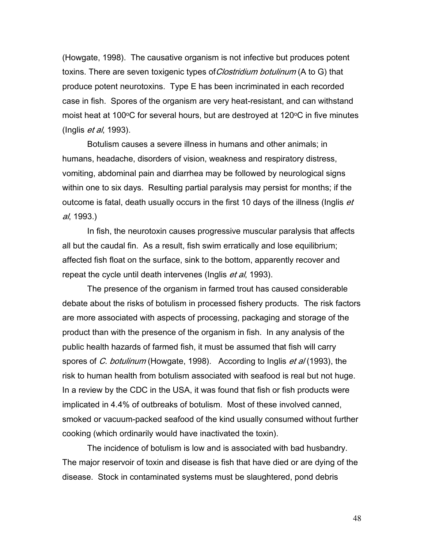(Howgate, 1998). The causative organism is not infective but produces potent toxins. There are seven toxigenic types of *Clostridium botulinum* (A to G) that produce potent neurotoxins. Type E has been incriminated in each recorded case in fish. Spores of the organism are very heat-resistant, and can withstand moist heat at 100 $\degree$ C for several hours, but are destroyed at 120 $\degree$ C in five minutes (Inglis et al, 1993).

Botulism causes a severe illness in humans and other animals; in humans, headache, disorders of vision, weakness and respiratory distress, vomiting, abdominal pain and diarrhea may be followed by neurological signs within one to six days. Resulting partial paralysis may persist for months; if the outcome is fatal, death usually occurs in the first 10 days of the illness (Inglis et al, 1993.)

In fish, the neurotoxin causes progressive muscular paralysis that affects all but the caudal fin. As a result, fish swim erratically and lose equilibrium; affected fish float on the surface, sink to the bottom, apparently recover and repeat the cycle until death intervenes (Inglis et al, 1993).

The presence of the organism in farmed trout has caused considerable debate about the risks of botulism in processed fishery products. The risk factors are more associated with aspects of processing, packaging and storage of the product than with the presence of the organism in fish. In any analysis of the public health hazards of farmed fish, it must be assumed that fish will carry spores of C. botulinum (Howgate, 1998). According to Inglis et al (1993), the risk to human health from botulism associated with seafood is real but not huge. In a review by the CDC in the USA, it was found that fish or fish products were implicated in 4.4% of outbreaks of botulism. Most of these involved canned, smoked or vacuum-packed seafood of the kind usually consumed without further cooking (which ordinarily would have inactivated the toxin).

The incidence of botulism is low and is associated with bad husbandry. The major reservoir of toxin and disease is fish that have died or are dying of the disease. Stock in contaminated systems must be slaughtered, pond debris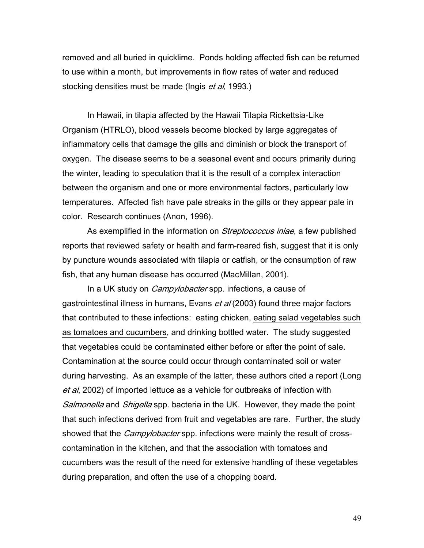removed and all buried in quicklime. Ponds holding affected fish can be returned to use within a month, but improvements in flow rates of water and reduced stocking densities must be made (Ingis *et al*, 1993.)

In Hawaii, in tilapia affected by the Hawaii Tilapia Rickettsia-Like Organism (HTRLO), blood vessels become blocked by large aggregates of inflammatory cells that damage the gills and diminish or block the transport of oxygen. The disease seems to be a seasonal event and occurs primarily during the winter, leading to speculation that it is the result of a complex interaction between the organism and one or more environmental factors, particularly low temperatures. Affected fish have pale streaks in the gills or they appear pale in color. Research continues (Anon, 1996).

As exemplified in the information on *Streptococcus iniae*, a few published reports that reviewed safety or health and farm-reared fish, suggest that it is only by puncture wounds associated with tilapia or catfish, or the consumption of raw fish, that any human disease has occurred (MacMillan, 2001).

In a UK study on *Campylobacter* spp. infections, a cause of gastrointestinal illness in humans, Evans et al (2003) found three major factors that contributed to these infections: eating chicken, eating salad vegetables such as tomatoes and cucumbers, and drinking bottled water. The study suggested that vegetables could be contaminated either before or after the point of sale. Contamination at the source could occur through contaminated soil or water during harvesting. As an example of the latter, these authors cited a report (Long et al, 2002) of imported lettuce as a vehicle for outbreaks of infection with Salmonella and Shigella spp. bacteria in the UK. However, they made the point that such infections derived from fruit and vegetables are rare. Further, the study showed that the *Campylobacter* spp. infections were mainly the result of crosscontamination in the kitchen, and that the association with tomatoes and cucumbers was the result of the need for extensive handling of these vegetables during preparation, and often the use of a chopping board.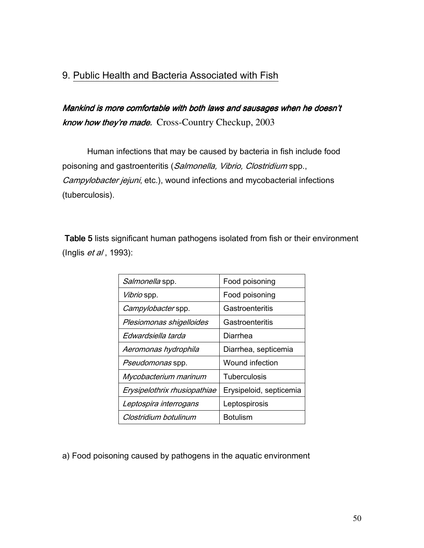## 9. Public Health and Bacteria Associated with Fish

Mankind is more comfortable with both laws and sausages when he doesn't know how they're made. Cross-Country Checkup, 2003

Human infections that may be caused by bacteria in fish include food poisoning and gastroenteritis (Salmonella, Vibrio, Clostridium spp., Campylobacter jejuni, etc.), wound infections and mycobacterial infections (tuberculosis).

Table 5 lists significant human pathogens isolated from fish or their environment (Inglis *et al*, 1993):

| Salmonella spp.              | Food poisoning          |
|------------------------------|-------------------------|
| Vibrio spp.                  | Food poisoning          |
| Campylobacter spp.           | Gastroenteritis         |
| Plesiomonas shigelloides     | Gastroenteritis         |
| Edwardsiella tarda           | Diarrhea                |
| Aeromonas hydrophila         | Diarrhea, septicemia    |
| <i>Pseudomonas</i> spp.      | Wound infection         |
| Mycobacterium marinum        | Tuberculosis            |
| Erysipelothrix rhusiopathiae | Erysipeloid, septicemia |
| Leptospira interrogans       | Leptospirosis           |
| Clostridium botulinum        | <b>Botulism</b>         |

a) Food poisoning caused by pathogens in the aquatic environment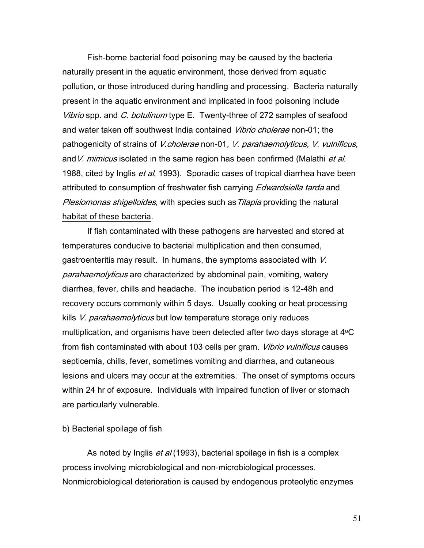Fish-borne bacterial food poisoning may be caused by the bacteria naturally present in the aquatic environment, those derived from aquatic pollution, or those introduced during handling and processing. Bacteria naturally present in the aquatic environment and implicated in food poisoning include Vibrio spp. and C. botulinum type E. Twenty-three of 272 samples of seafood and water taken off southwest India contained Vibrio cholerae non-01; the pathogenicity of strains of V.cholerae non-01, V. parahaemolyticus, V. vulnificus, and V. *mimicus* isolated in the same region has been confirmed (Malathi *et al.*) 1988, cited by Inglis *et al*, 1993). Sporadic cases of tropical diarrhea have been attributed to consumption of freshwater fish carrying *Edwardsiella tarda* and Plesiomonas shigelloides, with species such as Tilapia providing the natural habitat of these bacteria.

 If fish contaminated with these pathogens are harvested and stored at temperatures conducive to bacterial multiplication and then consumed, gastroenteritis may result. In humans, the symptoms associated with V. parahaemolyticus are characterized by abdominal pain, vomiting, watery diarrhea, fever, chills and headache. The incubation period is 12-48h and recovery occurs commonly within 5 days. Usually cooking or heat processing kills V. parahaemolyticus but low temperature storage only reduces multiplication, and organisms have been detected after two days storage at  $4^{\circ}C$ from fish contaminated with about 103 cells per gram. *Vibrio vulnificus* causes septicemia, chills, fever, sometimes vomiting and diarrhea, and cutaneous lesions and ulcers may occur at the extremities. The onset of symptoms occurs within 24 hr of exposure. Individuals with impaired function of liver or stomach are particularly vulnerable.

#### b) Bacterial spoilage of fish

As noted by Inglis *et al* (1993), bacterial spoilage in fish is a complex process involving microbiological and non-microbiological processes. Nonmicrobiological deterioration is caused by endogenous proteolytic enzymes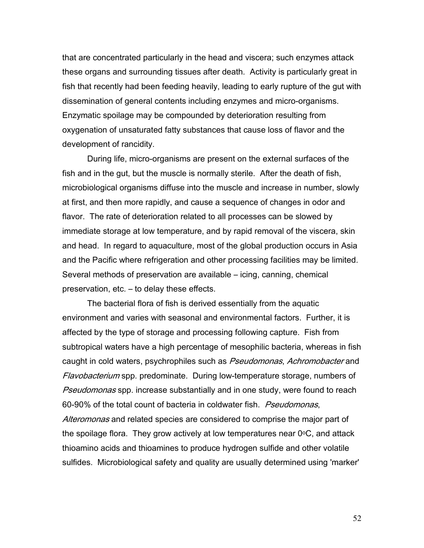that are concentrated particularly in the head and viscera; such enzymes attack these organs and surrounding tissues after death. Activity is particularly great in fish that recently had been feeding heavily, leading to early rupture of the gut with dissemination of general contents including enzymes and micro-organisms. Enzymatic spoilage may be compounded by deterioration resulting from oxygenation of unsaturated fatty substances that cause loss of flavor and the development of rancidity.

 During life, micro-organisms are present on the external surfaces of the fish and in the gut, but the muscle is normally sterile. After the death of fish, microbiological organisms diffuse into the muscle and increase in number, slowly at first, and then more rapidly, and cause a sequence of changes in odor and flavor. The rate of deterioration related to all processes can be slowed by immediate storage at low temperature, and by rapid removal of the viscera, skin and head. In regard to aquaculture, most of the global production occurs in Asia and the Pacific where refrigeration and other processing facilities may be limited. Several methods of preservation are available – icing, canning, chemical preservation, etc. – to delay these effects.

 The bacterial flora of fish is derived essentially from the aquatic environment and varies with seasonal and environmental factors. Further, it is affected by the type of storage and processing following capture. Fish from subtropical waters have a high percentage of mesophilic bacteria, whereas in fish caught in cold waters, psychrophiles such as Pseudomonas, Achromobacter and Flavobacterium spp. predominate. During low-temperature storage, numbers of **Pseudomonas spp. increase substantially and in one study, were found to reach** 60-90% of the total count of bacteria in coldwater fish. *Pseudomonas*, Alteromonas and related species are considered to comprise the major part of the spoilage flora. They grow actively at low temperatures near  $0^{\circ}$ C, and attack thioamino acids and thioamines to produce hydrogen sulfide and other volatile sulfides. Microbiological safety and quality are usually determined using 'marker'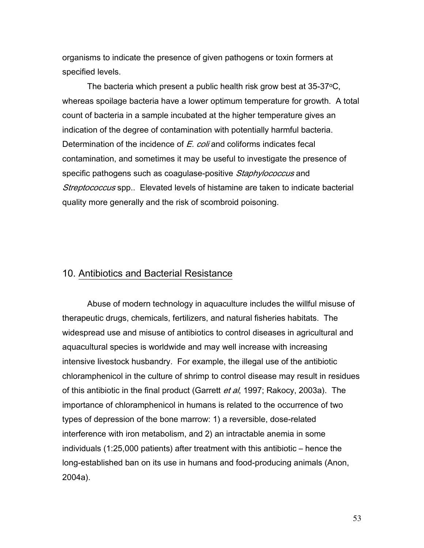organisms to indicate the presence of given pathogens or toxin formers at specified levels.

The bacteria which present a public health risk grow best at  $35-37$  °C, whereas spoilage bacteria have a lower optimum temperature for growth. A total count of bacteria in a sample incubated at the higher temperature gives an indication of the degree of contamination with potentially harmful bacteria. Determination of the incidence of E. coli and coliforms indicates fecal contamination, and sometimes it may be useful to investigate the presence of specific pathogens such as coagulase-positive Staphylococcus and Streptococcus spp.. Elevated levels of histamine are taken to indicate bacterial quality more generally and the risk of scombroid poisoning.

## 10. Antibiotics and Bacterial Resistance

Abuse of modern technology in aquaculture includes the willful misuse of therapeutic drugs, chemicals, fertilizers, and natural fisheries habitats. The widespread use and misuse of antibiotics to control diseases in agricultural and aquacultural species is worldwide and may well increase with increasing intensive livestock husbandry. For example, the illegal use of the antibiotic chloramphenicol in the culture of shrimp to control disease may result in residues of this antibiotic in the final product (Garrett *et al*, 1997; Rakocy, 2003a). The importance of chloramphenicol in humans is related to the occurrence of two types of depression of the bone marrow: 1) a reversible, dose-related interference with iron metabolism, and 2) an intractable anemia in some individuals (1:25,000 patients) after treatment with this antibiotic – hence the long-established ban on its use in humans and food-producing animals (Anon, 2004a).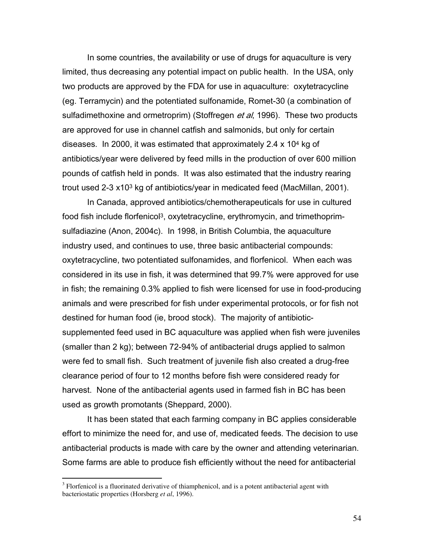In some countries, the availability or use of drugs for aquaculture is very limited, thus decreasing any potential impact on public health. In the USA, only two products are approved by the FDA for use in aquaculture: oxytetracycline (eg. Terramycin) and the potentiated sulfonamide, Romet-30 (a combination of sulfadimethoxine and ormetroprim) (Stoffregen *et al*, 1996). These two products are approved for use in channel catfish and salmonids, but only for certain diseases. In 2000, it was estimated that approximately 2.4 x 104 kg of antibiotics/year were delivered by feed mills in the production of over 600 million pounds of catfish held in ponds. It was also estimated that the industry rearing trout used 2-3 x103 kg of antibiotics/year in medicated feed (MacMillan, 2001).

In Canada, approved antibiotics/chemotherapeuticals for use in cultured food fish include florfenicol<sup>3</sup>, oxytetracycline, erythromycin, and trimethoprimsulfadiazine (Anon, 2004c). In 1998, in British Columbia, the aquaculture industry used, and continues to use, three basic antibacterial compounds: oxytetracycline, two potentiated sulfonamides, and florfenicol. When each was considered in its use in fish, it was determined that 99.7% were approved for use in fish; the remaining 0.3% applied to fish were licensed for use in food-producing animals and were prescribed for fish under experimental protocols, or for fish not destined for human food (ie, brood stock). The majority of antibioticsupplemented feed used in BC aquaculture was applied when fish were juveniles (smaller than 2 kg); between 72-94% of antibacterial drugs applied to salmon were fed to small fish. Such treatment of juvenile fish also created a drug-free clearance period of four to 12 months before fish were considered ready for harvest. None of the antibacterial agents used in farmed fish in BC has been used as growth promotants (Sheppard, 2000).

It has been stated that each farming company in BC applies considerable effort to minimize the need for, and use of, medicated feeds. The decision to use antibacterial products is made with care by the owner and attending veterinarian. Some farms are able to produce fish efficiently without the need for antibacterial

<sup>&</sup>lt;sup>3</sup> Florfenicol is a fluorinated derivative of thiamphenicol, and is a potent antibacterial agent with bacteriostatic properties (Horsberg *et al*, 1996).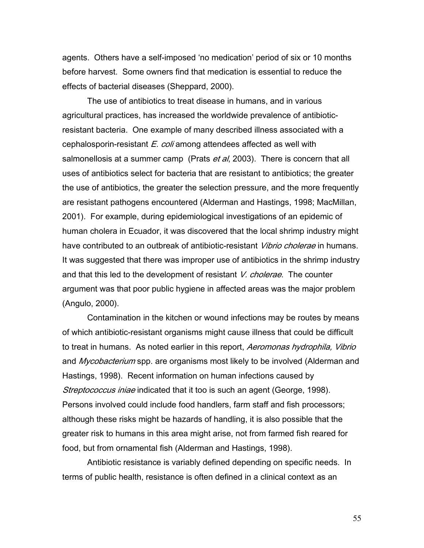agents. Others have a self-imposed 'no medication' period of six or 10 months before harvest. Some owners find that medication is essential to reduce the effects of bacterial diseases (Sheppard, 2000).

The use of antibiotics to treat disease in humans, and in various agricultural practices, has increased the worldwide prevalence of antibioticresistant bacteria. One example of many described illness associated with a cephalosporin-resistant  $E.$  coli among attendees affected as well with salmonellosis at a summer camp (Prats *et al*, 2003). There is concern that all uses of antibiotics select for bacteria that are resistant to antibiotics; the greater the use of antibiotics, the greater the selection pressure, and the more frequently are resistant pathogens encountered (Alderman and Hastings, 1998; MacMillan, 2001). For example, during epidemiological investigations of an epidemic of human cholera in Ecuador, it was discovered that the local shrimp industry might have contributed to an outbreak of antibiotic-resistant *Vibrio cholerae* in humans. It was suggested that there was improper use of antibiotics in the shrimp industry and that this led to the development of resistant V. cholerae. The counter argument was that poor public hygiene in affected areas was the major problem (Angulo, 2000).

Contamination in the kitchen or wound infections may be routes by means of which antibiotic-resistant organisms might cause illness that could be difficult to treat in humans. As noted earlier in this report, *Aeromonas hydrophila, Vibrio* and *Mycobacterium* spp. are organisms most likely to be involved (Alderman and Hastings, 1998). Recent information on human infections caused by Streptococcus iniae indicated that it too is such an agent (George, 1998). Persons involved could include food handlers, farm staff and fish processors; although these risks might be hazards of handling, it is also possible that the greater risk to humans in this area might arise, not from farmed fish reared for food, but from ornamental fish (Alderman and Hastings, 1998).

 Antibiotic resistance is variably defined depending on specific needs. In terms of public health, resistance is often defined in a clinical context as an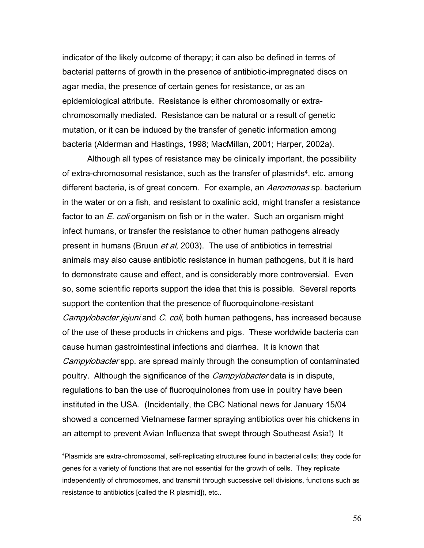indicator of the likely outcome of therapy; it can also be defined in terms of bacterial patterns of growth in the presence of antibiotic-impregnated discs on agar media, the presence of certain genes for resistance, or as an epidemiological attribute. Resistance is either chromosomally or extrachromosomally mediated. Resistance can be natural or a result of genetic mutation, or it can be induced by the transfer of genetic information among bacteria (Alderman and Hastings, 1998; MacMillan, 2001; Harper, 2002a).

Although all types of resistance may be clinically important, the possibility of extra-chromosomal resistance, such as the transfer of plasmids<sup>4</sup>, etc. among different bacteria, is of great concern. For example, an Aeromonas sp. bacterium in the water or on a fish, and resistant to oxalinic acid, might transfer a resistance factor to an  $E.$  coli organism on fish or in the water. Such an organism might infect humans, or transfer the resistance to other human pathogens already present in humans (Bruun et al, 2003). The use of antibiotics in terrestrial animals may also cause antibiotic resistance in human pathogens, but it is hard to demonstrate cause and effect, and is considerably more controversial. Even so, some scientific reports support the idea that this is possible. Several reports support the contention that the presence of fluoroquinolone-resistant Campylobacter jejuni and C. coli, both human pathogens, has increased because of the use of these products in chickens and pigs. These worldwide bacteria can cause human gastrointestinal infections and diarrhea. It is known that Campylobacter spp. are spread mainly through the consumption of contaminated poultry. Although the significance of the *Campylobacter* data is in dispute, regulations to ban the use of fluoroquinolones from use in poultry have been instituted in the USA. (Incidentally, the CBC National news for January 15/04 showed a concerned Vietnamese farmer spraying antibiotics over his chickens in an attempt to prevent Avian Influenza that swept through Southeast Asia!) It

 $\overline{a}$ 

<sup>&</sup>lt;sup>4</sup>Plasmids are extra-chromosomal, self-replicating structures found in bacterial cells; they code for genes for a variety of functions that are not essential for the growth of cells. They replicate independently of chromosomes, and transmit through successive cell divisions, functions such as resistance to antibiotics [called the R plasmid]), etc..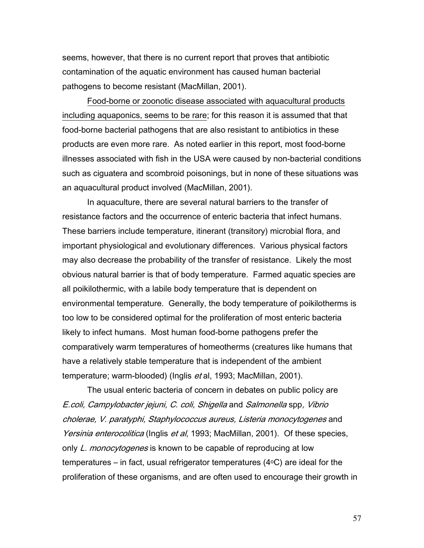seems, however, that there is no current report that proves that antibiotic contamination of the aquatic environment has caused human bacterial pathogens to become resistant (MacMillan, 2001).

 Food-borne or zoonotic disease associated with aquacultural products including aquaponics, seems to be rare; for this reason it is assumed that that food-borne bacterial pathogens that are also resistant to antibiotics in these products are even more rare. As noted earlier in this report, most food-borne illnesses associated with fish in the USA were caused by non-bacterial conditions such as ciguatera and scombroid poisonings, but in none of these situations was an aquacultural product involved (MacMillan, 2001).

 In aquaculture, there are several natural barriers to the transfer of resistance factors and the occurrence of enteric bacteria that infect humans. These barriers include temperature, itinerant (transitory) microbial flora, and important physiological and evolutionary differences. Various physical factors may also decrease the probability of the transfer of resistance. Likely the most obvious natural barrier is that of body temperature. Farmed aquatic species are all poikilothermic, with a labile body temperature that is dependent on environmental temperature. Generally, the body temperature of poikilotherms is too low to be considered optimal for the proliferation of most enteric bacteria likely to infect humans. Most human food-borne pathogens prefer the comparatively warm temperatures of homeotherms (creatures like humans that have a relatively stable temperature that is independent of the ambient temperature; warm-blooded) (Inglis et al, 1993; MacMillan, 2001).

The usual enteric bacteria of concern in debates on public policy are E.coli, Campylobacter jejuni, C. coli, Shigella and Salmonella spp, Vibrio cholerae, V. paratyphi, Staphylococcus aureus, Listeria monocytogenes and Yersinia enterocolitica (Inglis et al, 1993; MacMillan, 2001). Of these species, only L. monocytogenes is known to be capable of reproducing at low temperatures – in fact, usual refrigerator temperatures  $(4\degree C)$  are ideal for the proliferation of these organisms, and are often used to encourage their growth in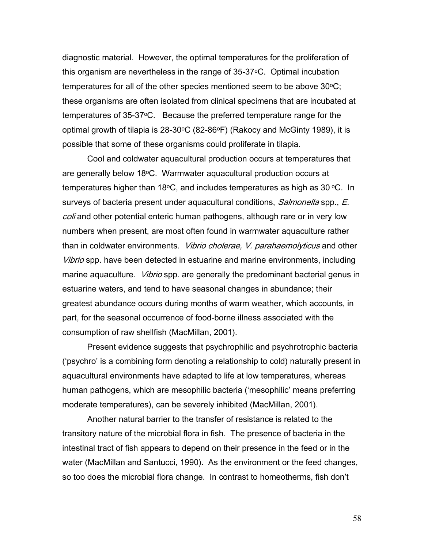diagnostic material. However, the optimal temperatures for the proliferation of this organism are nevertheless in the range of 35-37°C. Optimal incubation temperatures for all of the other species mentioned seem to be above  $30^{\circ}$ C; these organisms are often isolated from clinical specimens that are incubated at temperatures of 35-37oC. Because the preferred temperature range for the optimal growth of tilapia is  $28-30$ <sup>o</sup>C (82-86<sup>o</sup>F) (Rakocy and McGinty 1989), it is possible that some of these organisms could proliferate in tilapia.

Cool and coldwater aquacultural production occurs at temperatures that are generally below  $18\textdegree C$ . Warmwater aquacultural production occurs at temperatures higher than 18 $\degree$ C, and includes temperatures as high as 30  $\degree$ C. In surveys of bacteria present under aquacultural conditions, *Salmonella* spp., E. coli and other potential enteric human pathogens, although rare or in very low numbers when present, are most often found in warmwater aquaculture rather than in coldwater environments. *Vibrio cholerae, V. parahaemolyticus* and other Vibrio spp. have been detected in estuarine and marine environments, including marine aquaculture. *Vibrio* spp. are generally the predominant bacterial genus in estuarine waters, and tend to have seasonal changes in abundance; their greatest abundance occurs during months of warm weather, which accounts, in part, for the seasonal occurrence of food-borne illness associated with the consumption of raw shellfish (MacMillan, 2001).

Present evidence suggests that psychrophilic and psychrotrophic bacteria ('psychro' is a combining form denoting a relationship to cold) naturally present in aquacultural environments have adapted to life at low temperatures, whereas human pathogens, which are mesophilic bacteria ('mesophilic' means preferring moderate temperatures), can be severely inhibited (MacMillan, 2001).

Another natural barrier to the transfer of resistance is related to the transitory nature of the microbial flora in fish. The presence of bacteria in the intestinal tract of fish appears to depend on their presence in the feed or in the water (MacMillan and Santucci, 1990). As the environment or the feed changes, so too does the microbial flora change. In contrast to homeotherms, fish don't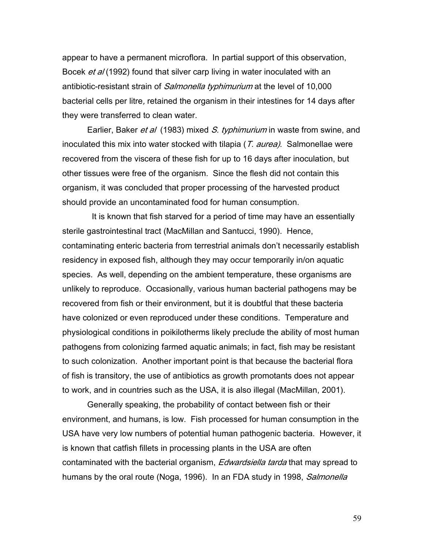appear to have a permanent microflora. In partial support of this observation, Bocek et al (1992) found that silver carp living in water inoculated with an antibiotic-resistant strain of *Salmonella typhimurium* at the level of 10,000 bacterial cells per litre, retained the organism in their intestines for 14 days after they were transferred to clean water.

Earlier, Baker *et al* (1983) mixed *S. typhimurium* in waste from swine, and inoculated this mix into water stocked with tilapia (T. aurea). Salmonellae were recovered from the viscera of these fish for up to 16 days after inoculation, but other tissues were free of the organism. Since the flesh did not contain this organism, it was concluded that proper processing of the harvested product should provide an uncontaminated food for human consumption.

 It is known that fish starved for a period of time may have an essentially sterile gastrointestinal tract (MacMillan and Santucci, 1990). Hence, contaminating enteric bacteria from terrestrial animals don't necessarily establish residency in exposed fish, although they may occur temporarily in/on aquatic species. As well, depending on the ambient temperature, these organisms are unlikely to reproduce. Occasionally, various human bacterial pathogens may be recovered from fish or their environment, but it is doubtful that these bacteria have colonized or even reproduced under these conditions. Temperature and physiological conditions in poikilotherms likely preclude the ability of most human pathogens from colonizing farmed aquatic animals; in fact, fish may be resistant to such colonization. Another important point is that because the bacterial flora of fish is transitory, the use of antibiotics as growth promotants does not appear to work, and in countries such as the USA, it is also illegal (MacMillan, 2001).

 Generally speaking, the probability of contact between fish or their environment, and humans, is low. Fish processed for human consumption in the USA have very low numbers of potential human pathogenic bacteria. However, it is known that catfish fillets in processing plants in the USA are often contaminated with the bacterial organism, *Edwardsiella tarda* that may spread to humans by the oral route (Noga, 1996). In an FDA study in 1998, *Salmonella*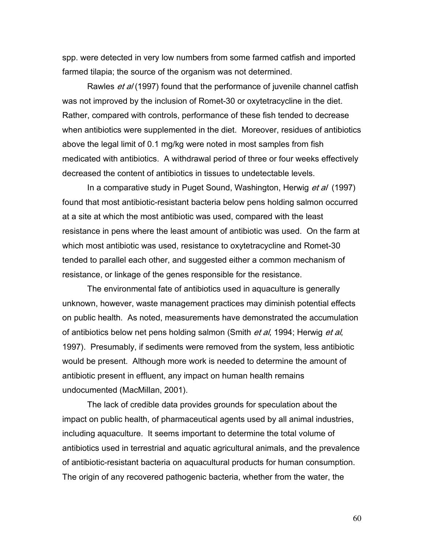spp. were detected in very low numbers from some farmed catfish and imported farmed tilapia; the source of the organism was not determined.

Rawles *et al* (1997) found that the performance of juvenile channel catfish was not improved by the inclusion of Romet-30 or oxytetracycline in the diet. Rather, compared with controls, performance of these fish tended to decrease when antibiotics were supplemented in the diet. Moreover, residues of antibiotics above the legal limit of 0.1 mg/kg were noted in most samples from fish medicated with antibiotics. A withdrawal period of three or four weeks effectively decreased the content of antibiotics in tissues to undetectable levels.

In a comparative study in Puget Sound, Washington, Herwig *et al* (1997) found that most antibiotic-resistant bacteria below pens holding salmon occurred at a site at which the most antibiotic was used, compared with the least resistance in pens where the least amount of antibiotic was used. On the farm at which most antibiotic was used, resistance to oxytetracycline and Romet-30 tended to parallel each other, and suggested either a common mechanism of resistance, or linkage of the genes responsible for the resistance.

The environmental fate of antibiotics used in aquaculture is generally unknown, however, waste management practices may diminish potential effects on public health. As noted, measurements have demonstrated the accumulation of antibiotics below net pens holding salmon (Smith *et al*, 1994; Herwig *et al*, 1997). Presumably, if sediments were removed from the system, less antibiotic would be present. Although more work is needed to determine the amount of antibiotic present in effluent, any impact on human health remains undocumented (MacMillan, 2001).

 The lack of credible data provides grounds for speculation about the impact on public health, of pharmaceutical agents used by all animal industries, including aquaculture. It seems important to determine the total volume of antibiotics used in terrestrial and aquatic agricultural animals, and the prevalence of antibiotic-resistant bacteria on aquacultural products for human consumption. The origin of any recovered pathogenic bacteria, whether from the water, the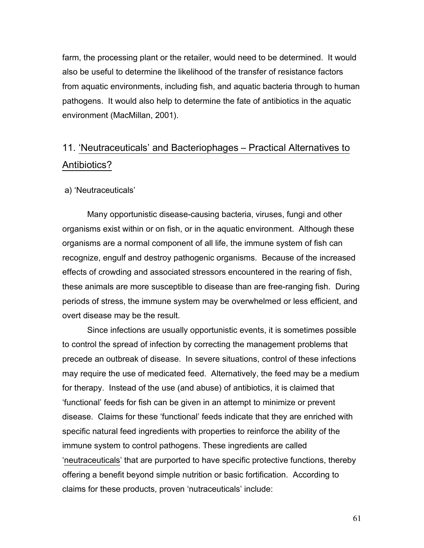farm, the processing plant or the retailer, would need to be determined. It would also be useful to determine the likelihood of the transfer of resistance factors from aquatic environments, including fish, and aquatic bacteria through to human pathogens. It would also help to determine the fate of antibiotics in the aquatic environment (MacMillan, 2001).

# 11. 'Neutraceuticals' and Bacteriophages – Practical Alternatives to Antibiotics?

#### a) 'Neutraceuticals'

Many opportunistic disease-causing bacteria, viruses, fungi and other organisms exist within or on fish, or in the aquatic environment. Although these organisms are a normal component of all life, the immune system of fish can recognize, engulf and destroy pathogenic organisms. Because of the increased effects of crowding and associated stressors encountered in the rearing of fish, these animals are more susceptible to disease than are free-ranging fish. During periods of stress, the immune system may be overwhelmed or less efficient, and overt disease may be the result.

Since infections are usually opportunistic events, it is sometimes possible to control the spread of infection by correcting the management problems that precede an outbreak of disease. In severe situations, control of these infections may require the use of medicated feed. Alternatively, the feed may be a medium for therapy. Instead of the use (and abuse) of antibiotics, it is claimed that 'functional' feeds for fish can be given in an attempt to minimize or prevent disease. Claims for these 'functional' feeds indicate that they are enriched with specific natural feed ingredients with properties to reinforce the ability of the immune system to control pathogens. These ingredients are called 'neutraceuticals' that are purported to have specific protective functions, thereby offering a benefit beyond simple nutrition or basic fortification. According to claims for these products, proven 'nutraceuticals' include: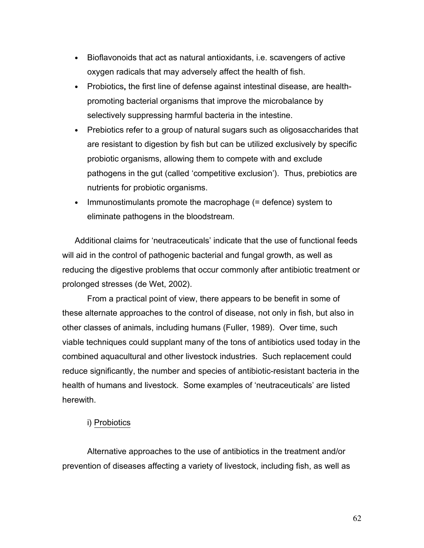- Bioflavonoids that act as natural antioxidants, i.e. scavengers of active oxygen radicals that may adversely affect the health of fish.
- Probiotics, the first line of defense against intestinal disease, are healthpromoting bacterial organisms that improve the microbalance by selectively suppressing harmful bacteria in the intestine.
- Prebiotics refer to a group of natural sugars such as oligosaccharides that are resistant to digestion by fish but can be utilized exclusively by specific probiotic organisms, allowing them to compete with and exclude pathogens in the gut (called 'competitive exclusion'). Thus, prebiotics are nutrients for probiotic organisms.
- Immunostimulants promote the macrophage  $(=$  defence) system to eliminate pathogens in the bloodstream.

Additional claims for 'neutraceuticals' indicate that the use of functional feeds will aid in the control of pathogenic bacterial and fungal growth, as well as reducing the digestive problems that occur commonly after antibiotic treatment or prolonged stresses (de Wet, 2002).

 From a practical point of view, there appears to be benefit in some of these alternate approaches to the control of disease, not only in fish, but also in other classes of animals, including humans (Fuller, 1989). Over time, such viable techniques could supplant many of the tons of antibiotics used today in the combined aquacultural and other livestock industries. Such replacement could reduce significantly, the number and species of antibiotic-resistant bacteria in the health of humans and livestock. Some examples of 'neutraceuticals' are listed herewith.

## i) Probiotics

Alternative approaches to the use of antibiotics in the treatment and/or prevention of diseases affecting a variety of livestock, including fish, as well as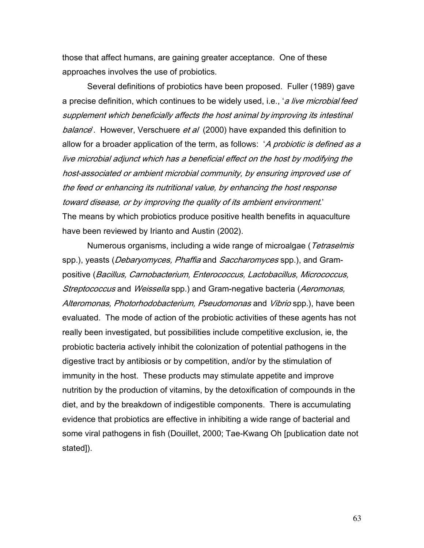those that affect humans, are gaining greater acceptance. One of these approaches involves the use of probiotics.

Several definitions of probiotics have been proposed. Fuller (1989) gave a precise definition, which continues to be widely used, i.e., 'a live microbial feed supplement which beneficially affects the host animal by improving its intestinal balance'. However, Verschuere et al (2000) have expanded this definition to allow for a broader application of the term, as follows: 'A probiotic is defined as a live microbial adjunct which has a beneficial effect on the host by modifying the host-associated or ambient microbial community, by ensuring improved use of the feed or enhancing its nutritional value, by enhancing the host response toward disease, or by improving the quality of its ambient environment.' The means by which probiotics produce positive health benefits in aquaculture have been reviewed by Irianto and Austin (2002).

Numerous organisms, including a wide range of microalgae (*Tetraselmis* spp.), yeasts (*Debaryomyces, Phaffia* and *Saccharomyces* spp.), and Grampositive (Bacillus, Carnobacterium, Enterococcus, Lactobacillus, Micrococcus, Streptococcus and Weissella spp.) and Gram-negative bacteria (Aeromonas, Alteromonas, Photorhodobacterium, Pseudomonas and Vibrio spp.), have been evaluated. The mode of action of the probiotic activities of these agents has not really been investigated, but possibilities include competitive exclusion, ie, the probiotic bacteria actively inhibit the colonization of potential pathogens in the digestive tract by antibiosis or by competition, and/or by the stimulation of immunity in the host. These products may stimulate appetite and improve nutrition by the production of vitamins, by the detoxification of compounds in the diet, and by the breakdown of indigestible components. There is accumulating evidence that probiotics are effective in inhibiting a wide range of bacterial and some viral pathogens in fish (Douillet, 2000; Tae-Kwang Oh [publication date not stated]).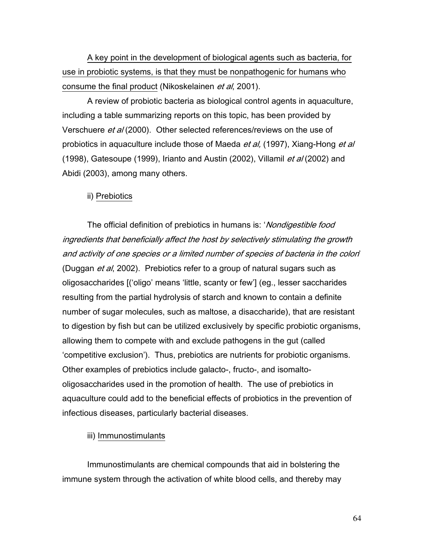A key point in the development of biological agents such as bacteria, for use in probiotic systems, is that they must be nonpathogenic for humans who consume the final product (Nikoskelainen et al, 2001).

A review of probiotic bacteria as biological control agents in aquaculture, including a table summarizing reports on this topic, has been provided by Verschuere et al (2000). Other selected references/reviews on the use of probiotics in aquaculture include those of Maeda et al, (1997), Xiang-Hong et al (1998), Gatesoupe (1999), Irianto and Austin (2002), Villamil *et al* (2002) and Abidi (2003), among many others.

## ii) Prebiotics

The official definition of prebiotics in humans is: 'Nondigestible food ingredients that beneficially affect the host by selectively stimulating the growth and activity of one species or a limited number of species of bacteria in the colon' (Duggan *et al*, 2002). Prebiotics refer to a group of natural sugars such as oligosaccharides [('oligo' means 'little, scanty or few'] (eg., lesser saccharides resulting from the partial hydrolysis of starch and known to contain a definite number of sugar molecules, such as maltose, a disaccharide), that are resistant to digestion by fish but can be utilized exclusively by specific probiotic organisms, allowing them to compete with and exclude pathogens in the gut (called 'competitive exclusion'). Thus, prebiotics are nutrients for probiotic organisms. Other examples of prebiotics include galacto-, fructo-, and isomaltooligosaccharides used in the promotion of health. The use of prebiotics in aquaculture could add to the beneficial effects of probiotics in the prevention of infectious diseases, particularly bacterial diseases.

#### iii) Immunostimulants

Immunostimulants are chemical compounds that aid in bolstering the immune system through the activation of white blood cells, and thereby may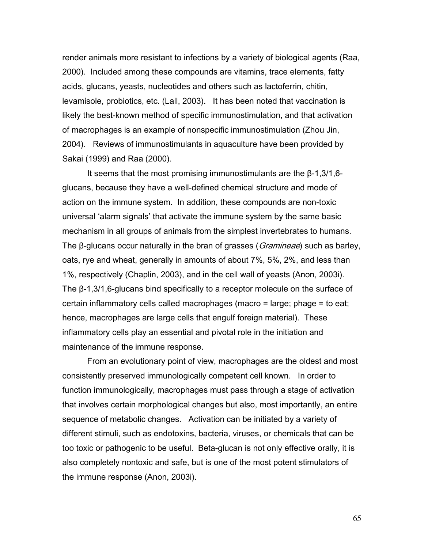render animals more resistant to infections by a variety of biological agents (Raa, 2000). Included among these compounds are vitamins, trace elements, fatty acids, glucans, yeasts, nucleotides and others such as lactoferrin, chitin, levamisole, probiotics, etc. (Lall, 2003). It has been noted that vaccination is likely the best-known method of specific immunostimulation, and that activation of macrophages is an example of nonspecific immunostimulation (Zhou Jin, 2004). Reviews of immunostimulants in aquaculture have been provided by Sakai (1999) and Raa (2000).

It seems that the most promising immunostimulants are the β-1,3/1,6 glucans, because they have a well-defined chemical structure and mode of action on the immune system. In addition, these compounds are non-toxic universal 'alarm signals' that activate the immune system by the same basic mechanism in all groups of animals from the simplest invertebrates to humans. The β-glucans occur naturally in the bran of grasses (*Gramineae*) such as barley, oats, rye and wheat, generally in amounts of about 7%, 5%, 2%, and less than 1%, respectively (Chaplin, 2003), and in the cell wall of yeasts (Anon, 2003i). The β-1,3/1,6-glucans bind specifically to a receptor molecule on the surface of certain inflammatory cells called macrophages (macro = large; phage = to eat; hence, macrophages are large cells that engulf foreign material). These inflammatory cells play an essential and pivotal role in the initiation and maintenance of the immune response.

From an evolutionary point of view, macrophages are the oldest and most consistently preserved immunologically competent cell known. In order to function immunologically, macrophages must pass through a stage of activation that involves certain morphological changes but also, most importantly, an entire sequence of metabolic changes. Activation can be initiated by a variety of different stimuli, such as endotoxins, bacteria, viruses, or chemicals that can be too toxic or pathogenic to be useful. Beta-glucan is not only effective orally, it is also completely nontoxic and safe, but is one of the most potent stimulators of the immune response (Anon, 2003i).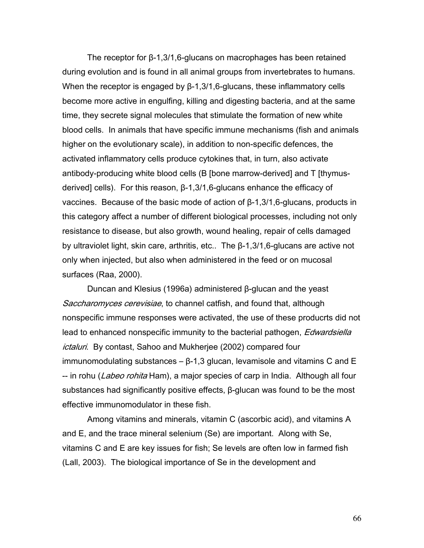The receptor for β-1,3/1,6-glucans on macrophages has been retained during evolution and is found in all animal groups from invertebrates to humans. When the receptor is engaged by β-1,3/1,6-glucans, these inflammatory cells become more active in engulfing, killing and digesting bacteria, and at the same time, they secrete signal molecules that stimulate the formation of new white blood cells. In animals that have specific immune mechanisms (fish and animals higher on the evolutionary scale), in addition to non-specific defences, the activated inflammatory cells produce cytokines that, in turn, also activate antibody-producing white blood cells (B [bone marrow-derived] and T [thymusderived] cells). For this reason, β-1,3/1,6-glucans enhance the efficacy of vaccines. Because of the basic mode of action of β-1,3/1,6-glucans, products in this category affect a number of different biological processes, including not only resistance to disease, but also growth, wound healing, repair of cells damaged by ultraviolet light, skin care, arthritis, etc.. The β-1,3/1,6-glucans are active not only when injected, but also when administered in the feed or on mucosal surfaces (Raa, 2000).

Duncan and Klesius (1996a) administered β-glucan and the yeast Saccharomyces cerevisiae, to channel catfish, and found that, although nonspecific immune responses were activated, the use of these producrts did not lead to enhanced nonspecific immunity to the bacterial pathogen, *Edwardsiella* ictaluri. By contast, Sahoo and Mukherjee (2002) compared four immunomodulating substances  $-$  β-1,3 glucan, levamisole and vitamins C and E -- in rohu (*Labeo rohita* Ham), a major species of carp in India. Although all four substances had significantly positive effects, β-glucan was found to be the most effective immunomodulator in these fish.

Among vitamins and minerals, vitamin C (ascorbic acid), and vitamins A and E, and the trace mineral selenium (Se) are important. Along with Se, vitamins C and E are key issues for fish; Se levels are often low in farmed fish (Lall, 2003). The biological importance of Se in the development and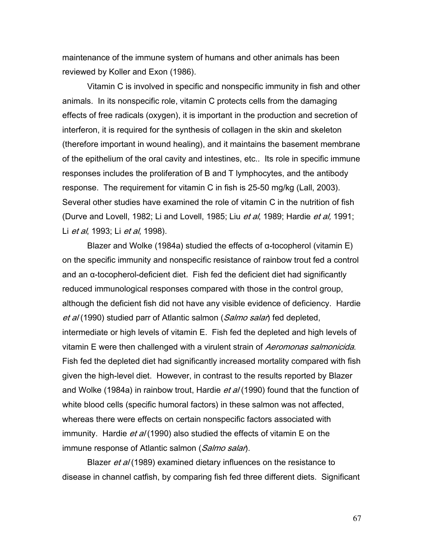maintenance of the immune system of humans and other animals has been reviewed by Koller and Exon (1986).

Vitamin C is involved in specific and nonspecific immunity in fish and other animals. In its nonspecific role, vitamin C protects cells from the damaging effects of free radicals (oxygen), it is important in the production and secretion of interferon, it is required for the synthesis of collagen in the skin and skeleton (therefore important in wound healing), and it maintains the basement membrane of the epithelium of the oral cavity and intestines, etc.. Its role in specific immune responses includes the proliferation of B and T lymphocytes, and the antibody response. The requirement for vitamin C in fish is 25-50 mg/kg (Lall, 2003). Several other studies have examined the role of vitamin C in the nutrition of fish (Durve and Lovell, 1982; Li and Lovell, 1985; Liu et al, 1989; Hardie et al, 1991; Li *et al*, 1993; Li *et al*, 1998).

Blazer and Wolke (1984a) studied the effects of α-tocopherol (vitamin E) on the specific immunity and nonspecific resistance of rainbow trout fed a control and an α-tocopherol-deficient diet. Fish fed the deficient diet had significantly reduced immunological responses compared with those in the control group, although the deficient fish did not have any visible evidence of deficiency. Hardie et al (1990) studied parr of Atlantic salmon (Salmo salar) fed depleted, intermediate or high levels of vitamin E. Fish fed the depleted and high levels of vitamin E were then challenged with a virulent strain of *Aeromonas salmonicida*. Fish fed the depleted diet had significantly increased mortality compared with fish given the high-level diet. However, in contrast to the results reported by Blazer and Wolke (1984a) in rainbow trout, Hardie *et al* (1990) found that the function of white blood cells (specific humoral factors) in these salmon was not affected, whereas there were effects on certain nonspecific factors associated with immunity. Hardie et al (1990) also studied the effects of vitamin E on the immune response of Atlantic salmon (Salmo salar).

Blazer *et al* (1989) examined dietary influences on the resistance to disease in channel catfish, by comparing fish fed three different diets. Significant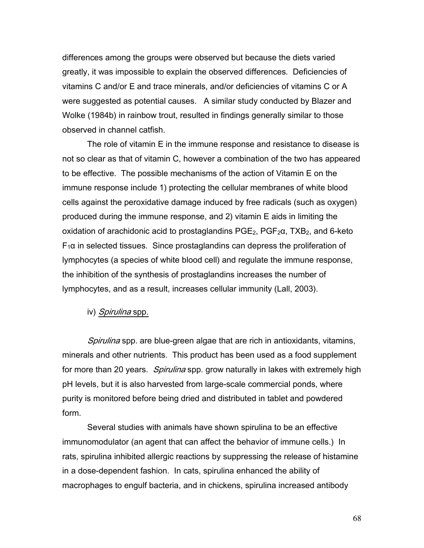differences among the groups were observed but because the diets varied greatly, it was impossible to explain the observed differences. Deficiencies of vitamins C and/or E and trace minerals, and/or deficiencies of vitamins C or A were suggested as potential causes. A similar study conducted by Blazer and Wolke (1984b) in rainbow trout, resulted in findings generally similar to those observed in channel catfish.

The role of vitamin E in the immune response and resistance to disease is not so clear as that of vitamin C, however a combination of the two has appeared to be effective. The possible mechanisms of the action of Vitamin E on the immune response include 1) protecting the cellular membranes of white blood cells against the peroxidative damage induced by free radicals (such as oxygen) produced during the immune response, and 2) vitamin E aids in limiting the oxidation of arachidonic acid to prostaglandins  $PGE_2$ ,  $PGF_2\alpha$ ,  $TXB_2$ , and 6-keto  $F_1\alpha$  in selected tissues. Since prostaglandins can depress the proliferation of lymphocytes (a species of white blood cell) and regulate the immune response, the inhibition of the synthesis of prostaglandins increases the number of lymphocytes, and as a result, increases cellular immunity (Lall, 2003).

## iv) Spirulina spp.

Spirulina spp. are blue-green algae that are rich in antioxidants, vitamins, minerals and other nutrients. This product has been used as a food supplement for more than 20 years. *Spirulina* spp. grow naturally in lakes with extremely high pH levels, but it is also harvested from large-scale commercial ponds, where purity is monitored before being dried and distributed in tablet and powdered form.

Several studies with animals have shown spirulina to be an effective immunomodulator (an agent that can affect the behavior of immune cells.) In rats, spirulina inhibited allergic reactions by suppressing the release of histamine in a dose-dependent fashion. In cats, spirulina enhanced the ability of macrophages to engulf bacteria, and in chickens, spirulina increased antibody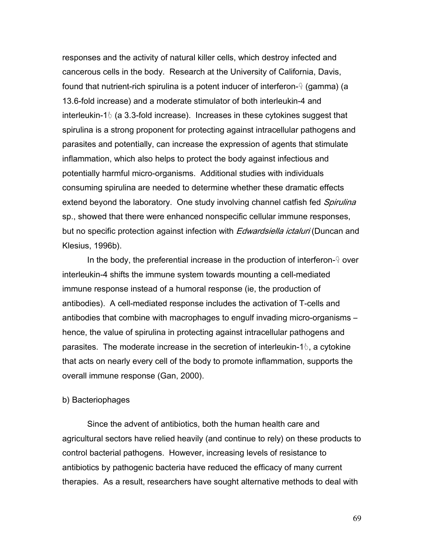responses and the activity of natural killer cells, which destroy infected and cancerous cells in the body. Research at the University of California, Davis, found that nutrient-rich spirulina is a potent inducer of interferon- $\frac{1}{3}$  (gamma) (a 13.6-fold increase) and a moderate stimulator of both interleukin-4 and interleukin-1 $\delta$  (a 3.3-fold increase). Increases in these cytokines suggest that spirulina is a strong proponent for protecting against intracellular pathogens and parasites and potentially, can increase the expression of agents that stimulate inflammation, which also helps to protect the body against infectious and potentially harmful micro-organisms. Additional studies with individuals consuming spirulina are needed to determine whether these dramatic effects extend beyond the laboratory. One study involving channel catfish fed Spirulina sp., showed that there were enhanced nonspecific cellular immune responses, but no specific protection against infection with *Edwardsiella ictaluri* (Duncan and Klesius, 1996b).

In the body, the preferential increase in the production of interferon- $9$  over interleukin-4 shifts the immune system towards mounting a cell-mediated immune response instead of a humoral response (ie, the production of antibodies). A cell-mediated response includes the activation of T-cells and antibodies that combine with macrophages to engulf invading micro-organisms – hence, the value of spirulina in protecting against intracellular pathogens and parasites. The moderate increase in the secretion of interleukin-1 $\delta$ , a cytokine that acts on nearly every cell of the body to promote inflammation, supports the overall immune response (Gan, 2000).

#### b) Bacteriophages

 Since the advent of antibiotics, both the human health care and agricultural sectors have relied heavily (and continue to rely) on these products to control bacterial pathogens. However, increasing levels of resistance to antibiotics by pathogenic bacteria have reduced the efficacy of many current therapies. As a result, researchers have sought alternative methods to deal with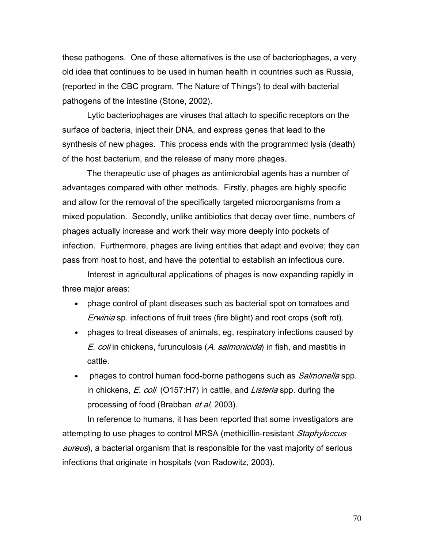these pathogens. One of these alternatives is the use of bacteriophages, a very old idea that continues to be used in human health in countries such as Russia, (reported in the CBC program, 'The Nature of Things') to deal with bacterial pathogens of the intestine (Stone, 2002).

Lytic bacteriophages are viruses that attach to specific receptors on the surface of bacteria, inject their DNA, and express genes that lead to the synthesis of new phages. This process ends with the programmed lysis (death) of the host bacterium, and the release of many more phages.

The therapeutic use of phages as antimicrobial agents has a number of advantages compared with other methods. Firstly, phages are highly specific and allow for the removal of the specifically targeted microorganisms from a mixed population. Secondly, unlike antibiotics that decay over time, numbers of phages actually increase and work their way more deeply into pockets of infection. Furthermore, phages are living entities that adapt and evolve; they can pass from host to host, and have the potential to establish an infectious cure.

Interest in agricultural applications of phages is now expanding rapidly in three major areas:

- phage control of plant diseases such as bacterial spot on tomatoes and Erwinia sp. infections of fruit trees (fire blight) and root crops (soft rot).
- phages to treat diseases of animals, eg, respiratory infections caused by E. coli in chickens, furunculosis (A. salmonicida) in fish, and mastitis in cattle.
- phages to control human food-borne pathogens such as *Salmonella* spp. in chickens, *E. coli* (O157:H7) in cattle, and *Listeria* spp. during the processing of food (Brabban *et al.* 2003).

In reference to humans, it has been reported that some investigators are attempting to use phages to control MRSA (methicillin-resistant Staphyloccus aureus), a bacterial organism that is responsible for the vast majority of serious infections that originate in hospitals (von Radowitz, 2003).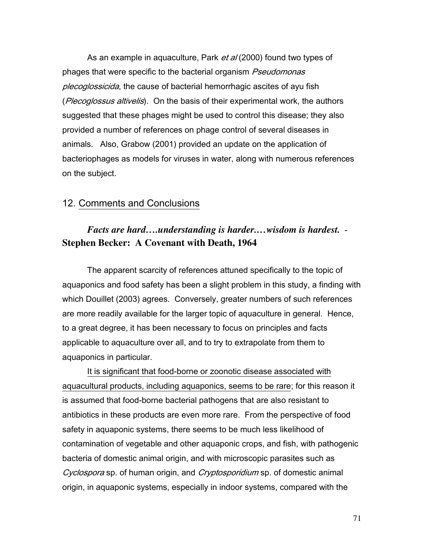As an example in aquaculture, Park et al (2000) found two types of phages that were specific to the bacterial organism Pseudomonas plecoglossicida, the cause of bacterial hemorrhagic ascites of ayu fish (Plecoglossus altivelis). On the basis of their experimental work, the authors suggested that these phages might be used to control this disease; they also provided a number of references on phage control of several diseases in animals. Also, Grabow (2001) provided an update on the application of bacteriophages as models for viruses in water, along with numerous references on the subject.

## 12. Comments and Conclusions

# *Facts are hard….understanding is harder.…wisdom is hardest.* - **Stephen Becker: A Covenant with Death, 1964**

The apparent scarcity of references attuned specifically to the topic of aquaponics and food safety has been a slight problem in this study, a finding with which Douillet (2003) agrees. Conversely, greater numbers of such references are more readily available for the larger topic of aquaculture in general. Hence, to a great degree, it has been necessary to focus on principles and facts applicable to aquaculture over all, and to try to extrapolate from them to aquaponics in particular.

It is significant that food-borne or zoonotic disease associated with aquacultural products, including aquaponics, seems to be rare; for this reason it is assumed that food-borne bacterial pathogens that are also resistant to antibiotics in these products are even more rare. From the perspective of food safety in aquaponic systems, there seems to be much less likelihood of contamination of vegetable and other aquaponic crops, and fish, with pathogenic bacteria of domestic animal origin, and with microscopic parasites such as Cyclospora sp. of human origin, and Cryptosporidium sp. of domestic animal origin, in aquaponic systems, especially in indoor systems, compared with the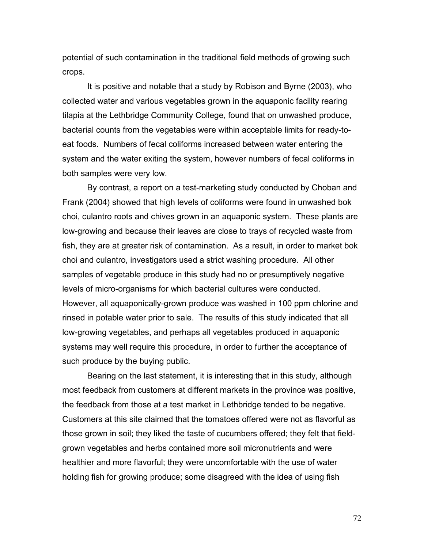potential of such contamination in the traditional field methods of growing such crops.

It is positive and notable that a study by Robison and Byrne (2003), who collected water and various vegetables grown in the aquaponic facility rearing tilapia at the Lethbridge Community College, found that on unwashed produce, bacterial counts from the vegetables were within acceptable limits for ready-toeat foods. Numbers of fecal coliforms increased between water entering the system and the water exiting the system, however numbers of fecal coliforms in both samples were very low.

By contrast, a report on a test-marketing study conducted by Choban and Frank (2004) showed that high levels of coliforms were found in unwashed bok choi, culantro roots and chives grown in an aquaponic system. These plants are low-growing and because their leaves are close to trays of recycled waste from fish, they are at greater risk of contamination. As a result, in order to market bok choi and culantro, investigators used a strict washing procedure. All other samples of vegetable produce in this study had no or presumptively negative levels of micro-organisms for which bacterial cultures were conducted. However, all aquaponically-grown produce was washed in 100 ppm chlorine and rinsed in potable water prior to sale. The results of this study indicated that all low-growing vegetables, and perhaps all vegetables produced in aquaponic systems may well require this procedure, in order to further the acceptance of such produce by the buying public.

Bearing on the last statement, it is interesting that in this study, although most feedback from customers at different markets in the province was positive, the feedback from those at a test market in Lethbridge tended to be negative. Customers at this site claimed that the tomatoes offered were not as flavorful as those grown in soil; they liked the taste of cucumbers offered; they felt that fieldgrown vegetables and herbs contained more soil micronutrients and were healthier and more flavorful; they were uncomfortable with the use of water holding fish for growing produce; some disagreed with the idea of using fish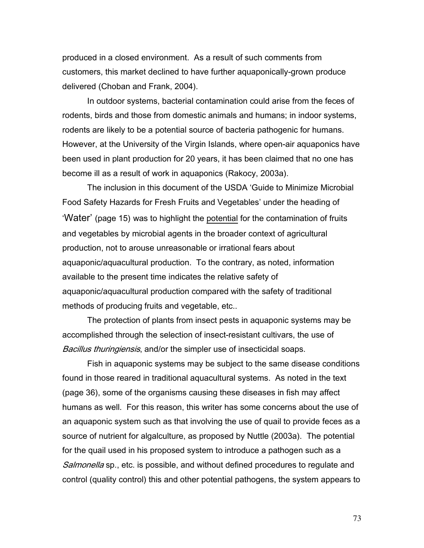produced in a closed environment. As a result of such comments from customers, this market declined to have further aquaponically-grown produce delivered (Choban and Frank, 2004).

In outdoor systems, bacterial contamination could arise from the feces of rodents, birds and those from domestic animals and humans; in indoor systems, rodents are likely to be a potential source of bacteria pathogenic for humans. However, at the University of the Virgin Islands, where open-air aquaponics have been used in plant production for 20 years, it has been claimed that no one has become ill as a result of work in aquaponics (Rakocy, 2003a).

The inclusion in this document of the USDA 'Guide to Minimize Microbial Food Safety Hazards for Fresh Fruits and Vegetables' under the heading of 'Water' (page 15) was to highlight the potential for the contamination of fruits and vegetables by microbial agents in the broader context of agricultural production, not to arouse unreasonable or irrational fears about aquaponic/aquacultural production. To the contrary, as noted, information available to the present time indicates the relative safety of aquaponic/aquacultural production compared with the safety of traditional methods of producing fruits and vegetable, etc..

The protection of plants from insect pests in aquaponic systems may be accomplished through the selection of insect-resistant cultivars, the use of Bacillus thuringiensis, and/or the simpler use of insecticidal soaps.

 Fish in aquaponic systems may be subject to the same disease conditions found in those reared in traditional aquacultural systems. As noted in the text (page 36), some of the organisms causing these diseases in fish may affect humans as well. For this reason, this writer has some concerns about the use of an aquaponic system such as that involving the use of quail to provide feces as a source of nutrient for algalculture, as proposed by Nuttle (2003a). The potential for the quail used in his proposed system to introduce a pathogen such as a Salmonella sp., etc. is possible, and without defined procedures to regulate and control (quality control) this and other potential pathogens, the system appears to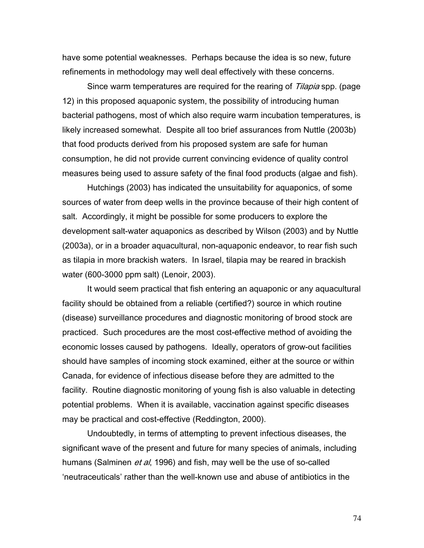have some potential weaknesses. Perhaps because the idea is so new, future refinements in methodology may well deal effectively with these concerns.

Since warm temperatures are required for the rearing of Tilapia spp. (page 12) in this proposed aquaponic system, the possibility of introducing human bacterial pathogens, most of which also require warm incubation temperatures, is likely increased somewhat. Despite all too brief assurances from Nuttle (2003b) that food products derived from his proposed system are safe for human consumption, he did not provide current convincing evidence of quality control measures being used to assure safety of the final food products (algae and fish).

Hutchings (2003) has indicated the unsuitability for aquaponics, of some sources of water from deep wells in the province because of their high content of salt. Accordingly, it might be possible for some producers to explore the development salt-water aquaponics as described by Wilson (2003) and by Nuttle (2003a), or in a broader aquacultural, non-aquaponic endeavor, to rear fish such as tilapia in more brackish waters. In Israel, tilapia may be reared in brackish water (600-3000 ppm salt) (Lenoir, 2003).

It would seem practical that fish entering an aquaponic or any aquacultural facility should be obtained from a reliable (certified?) source in which routine (disease) surveillance procedures and diagnostic monitoring of brood stock are practiced. Such procedures are the most cost-effective method of avoiding the economic losses caused by pathogens. Ideally, operators of grow-out facilities should have samples of incoming stock examined, either at the source or within Canada, for evidence of infectious disease before they are admitted to the facility. Routine diagnostic monitoring of young fish is also valuable in detecting potential problems. When it is available, vaccination against specific diseases may be practical and cost-effective (Reddington, 2000).

 Undoubtedly, in terms of attempting to prevent infectious diseases, the significant wave of the present and future for many species of animals, including humans (Salminen *et al*, 1996) and fish, may well be the use of so-called 'neutraceuticals' rather than the well-known use and abuse of antibiotics in the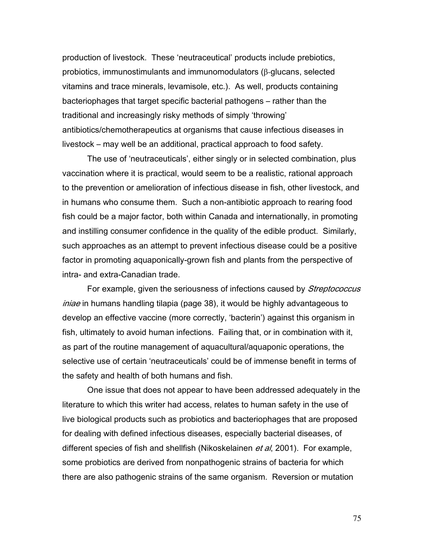production of livestock. These 'neutraceutical' products include prebiotics, probiotics, immunostimulants and immunomodulators (β-glucans, selected vitamins and trace minerals, levamisole, etc.). As well, products containing bacteriophages that target specific bacterial pathogens – rather than the traditional and increasingly risky methods of simply 'throwing' antibiotics/chemotherapeutics at organisms that cause infectious diseases in livestock – may well be an additional, practical approach to food safety.

The use of 'neutraceuticals', either singly or in selected combination, plus vaccination where it is practical, would seem to be a realistic, rational approach to the prevention or amelioration of infectious disease in fish, other livestock, and in humans who consume them. Such a non-antibiotic approach to rearing food fish could be a major factor, both within Canada and internationally, in promoting and instilling consumer confidence in the quality of the edible product. Similarly, such approaches as an attempt to prevent infectious disease could be a positive factor in promoting aquaponically-grown fish and plants from the perspective of intra- and extra-Canadian trade.

For example, given the seriousness of infections caused by Streptococcus iniae in humans handling tilapia (page 38), it would be highly advantageous to develop an effective vaccine (more correctly, 'bacterin') against this organism in fish, ultimately to avoid human infections. Failing that, or in combination with it, as part of the routine management of aquacultural/aquaponic operations, the selective use of certain 'neutraceuticals' could be of immense benefit in terms of the safety and health of both humans and fish.

One issue that does not appear to have been addressed adequately in the literature to which this writer had access, relates to human safety in the use of live biological products such as probiotics and bacteriophages that are proposed for dealing with defined infectious diseases, especially bacterial diseases, of different species of fish and shellfish (Nikoskelainen *et al*, 2001). For example, some probiotics are derived from nonpathogenic strains of bacteria for which there are also pathogenic strains of the same organism. Reversion or mutation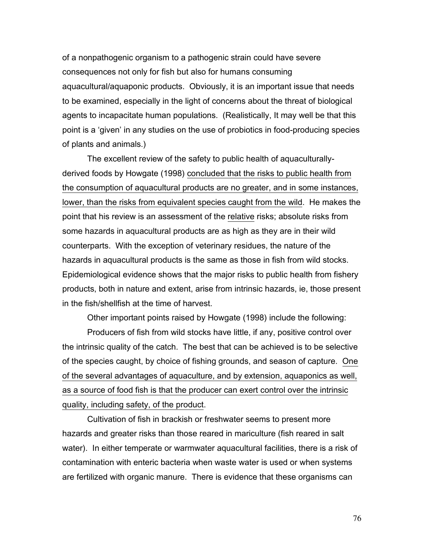of a nonpathogenic organism to a pathogenic strain could have severe consequences not only for fish but also for humans consuming aquacultural/aquaponic products. Obviously, it is an important issue that needs to be examined, especially in the light of concerns about the threat of biological agents to incapacitate human populations. (Realistically, It may well be that this point is a 'given' in any studies on the use of probiotics in food-producing species of plants and animals.)

The excellent review of the safety to public health of aquaculturallyderived foods by Howgate (1998) concluded that the risks to public health from the consumption of aquacultural products are no greater, and in some instances, lower, than the risks from equivalent species caught from the wild. He makes the point that his review is an assessment of the relative risks; absolute risks from some hazards in aquacultural products are as high as they are in their wild counterparts. With the exception of veterinary residues, the nature of the hazards in aquacultural products is the same as those in fish from wild stocks. Epidemiological evidence shows that the major risks to public health from fishery products, both in nature and extent, arise from intrinsic hazards, ie, those present in the fish/shellfish at the time of harvest.

Other important points raised by Howgate (1998) include the following:

Producers of fish from wild stocks have little, if any, positive control over the intrinsic quality of the catch. The best that can be achieved is to be selective of the species caught, by choice of fishing grounds, and season of capture. One of the several advantages of aquaculture, and by extension, aquaponics as well, as a source of food fish is that the producer can exert control over the intrinsic quality, including safety, of the product.

Cultivation of fish in brackish or freshwater seems to present more hazards and greater risks than those reared in mariculture (fish reared in salt water). In either temperate or warmwater aquacultural facilities, there is a risk of contamination with enteric bacteria when waste water is used or when systems are fertilized with organic manure. There is evidence that these organisms can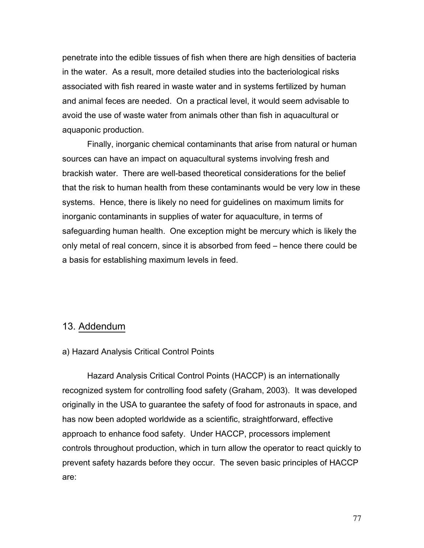penetrate into the edible tissues of fish when there are high densities of bacteria in the water. As a result, more detailed studies into the bacteriological risks associated with fish reared in waste water and in systems fertilized by human and animal feces are needed. On a practical level, it would seem advisable to avoid the use of waste water from animals other than fish in aquacultural or aquaponic production.

Finally, inorganic chemical contaminants that arise from natural or human sources can have an impact on aquacultural systems involving fresh and brackish water. There are well-based theoretical considerations for the belief that the risk to human health from these contaminants would be very low in these systems. Hence, there is likely no need for guidelines on maximum limits for inorganic contaminants in supplies of water for aquaculture, in terms of safeguarding human health. One exception might be mercury which is likely the only metal of real concern, since it is absorbed from feed – hence there could be a basis for establishing maximum levels in feed.

### 13. Addendum

#### a) Hazard Analysis Critical Control Points

Hazard Analysis Critical Control Points (HACCP) is an internationally recognized system for controlling food safety (Graham, 2003). It was developed originally in the USA to guarantee the safety of food for astronauts in space, and has now been adopted worldwide as a scientific, straightforward, effective approach to enhance food safety. Under HACCP, processors implement controls throughout production, which in turn allow the operator to react quickly to prevent safety hazards before they occur. The seven basic principles of HACCP are: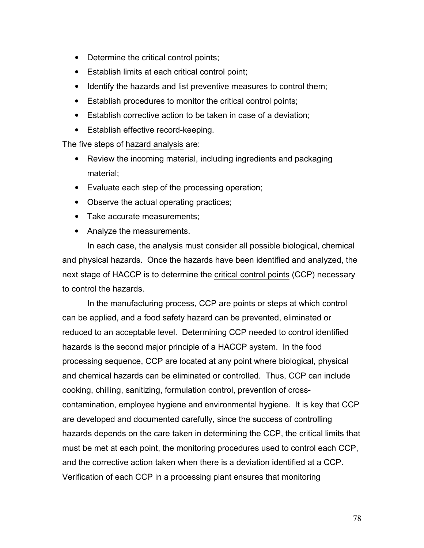- Determine the critical control points;
- Establish limits at each critical control point;
- Identify the hazards and list preventive measures to control them;
- Establish procedures to monitor the critical control points;
- Establish corrective action to be taken in case of a deviation;
- Establish effective record-keeping.

The five steps of hazard analysis are:

- Review the incoming material, including ingredients and packaging material;
- Evaluate each step of the processing operation;
- Observe the actual operating practices;
- Take accurate measurements:
- Analyze the measurements.

In each case, the analysis must consider all possible biological, chemical and physical hazards. Once the hazards have been identified and analyzed, the next stage of HACCP is to determine the critical control points (CCP) necessary to control the hazards.

 In the manufacturing process, CCP are points or steps at which control can be applied, and a food safety hazard can be prevented, eliminated or reduced to an acceptable level. Determining CCP needed to control identified hazards is the second major principle of a HACCP system. In the food processing sequence, CCP are located at any point where biological, physical and chemical hazards can be eliminated or controlled. Thus, CCP can include cooking, chilling, sanitizing, formulation control, prevention of crosscontamination, employee hygiene and environmental hygiene. It is key that CCP are developed and documented carefully, since the success of controlling hazards depends on the care taken in determining the CCP, the critical limits that must be met at each point, the monitoring procedures used to control each CCP, and the corrective action taken when there is a deviation identified at a CCP. Verification of each CCP in a processing plant ensures that monitoring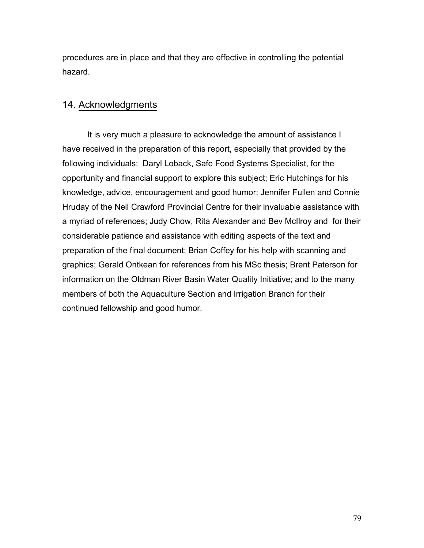procedures are in place and that they are effective in controlling the potential hazard.

### 14. Acknowledgments

It is very much a pleasure to acknowledge the amount of assistance I have received in the preparation of this report, especially that provided by the following individuals: Daryl Loback, Safe Food Systems Specialist, for the opportunity and financial support to explore this subject; Eric Hutchings for his knowledge, advice, encouragement and good humor; Jennifer Fullen and Connie Hruday of the Neil Crawford Provincial Centre for their invaluable assistance with a myriad of references; Judy Chow, Rita Alexander and Bev McIlroy and for their considerable patience and assistance with editing aspects of the text and preparation of the final document; Brian Coffey for his help with scanning and graphics; Gerald Ontkean for references from his MSc thesis; Brent Paterson for information on the Oldman River Basin Water Quality Initiative; and to the many members of both the Aquaculture Section and Irrigation Branch for their continued fellowship and good humor.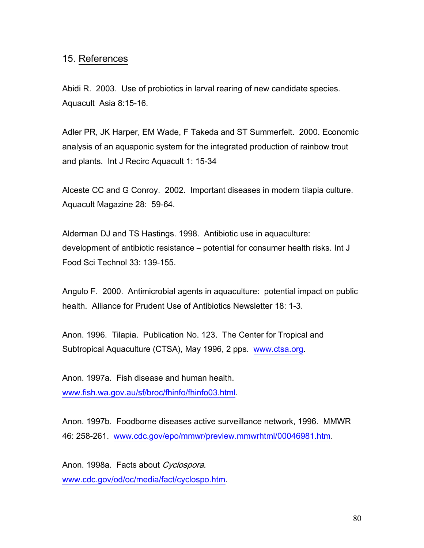## 15. References

Abidi R. 2003. Use of probiotics in larval rearing of new candidate species. Aquacult Asia 8:15-16.

Adler PR, JK Harper, EM Wade, F Takeda and ST Summerfelt. 2000. Economic analysis of an aquaponic system for the integrated production of rainbow trout and plants. Int J Recirc Aquacult 1: 15-34

Alceste CC and G Conroy. 2002. Important diseases in modern tilapia culture. Aquacult Magazine 28: 59-64.

Alderman DJ and TS Hastings. 1998. Antibiotic use in aquaculture: development of antibiotic resistance – potential for consumer health risks. Int J Food Sci Technol 33: 139-155.

Angulo F. 2000. Antimicrobial agents in aquaculture: potential impact on public health. Alliance for Prudent Use of Antibiotics Newsletter 18: 1-3.

Anon. 1996. Tilapia. Publication No. 123. The Center for Tropical and Subtropical Aquaculture (CTSA), May 1996, 2 pps. www.ctsa.org.

Anon. 1997a. Fish disease and human health. www.fish.wa.gov.au/sf/broc/fhinfo/fhinfo03.html.

Anon. 1997b. Foodborne diseases active surveillance network, 1996. MMWR 46: 258-261. www.cdc.gov/epo/mmwr/preview.mmwrhtml/00046981.htm.

Anon. 1998a. Facts about Cyclospora. www.cdc.gov/od/oc/media/fact/cyclospo.htm.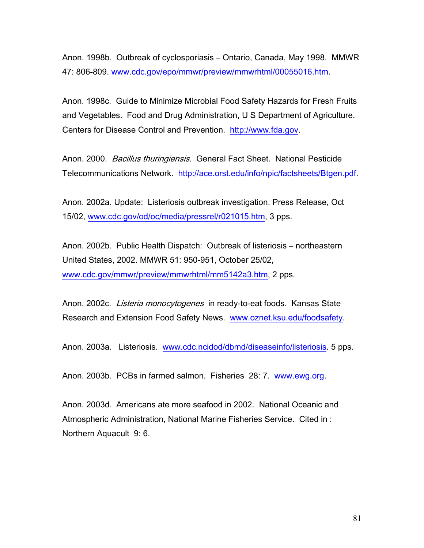Anon. 1998b. Outbreak of cyclosporiasis – Ontario, Canada, May 1998. MMWR 47: 806-809. www.cdc.gov/epo/mmwr/preview/mmwrhtml/00055016.htm.

Anon. 1998c. Guide to Minimize Microbial Food Safety Hazards for Fresh Fruits and Vegetables. Food and Drug Administration, U S Department of Agriculture. Centers for Disease Control and Prevention. http://www.fda.gov.

Anon. 2000. *Bacillus thuringiensis*. General Fact Sheet. National Pesticide Telecommunications Network. http://ace.orst.edu/info/npic/factsheets/Btgen.pdf.

Anon. 2002a. Update: Listeriosis outbreak investigation. Press Release, Oct 15/02, www.cdc.gov/od/oc/media/pressrel/r021015.htm, 3 pps.

Anon. 2002b. Public Health Dispatch: Outbreak of listeriosis – northeastern United States, 2002. MMWR 51: 950-951, October 25/02, www.cdc.gov/mmwr/preview/mmwrhtml/mm5142a3.htm, 2 pps.

Anon. 2002c. Listeria monocytogenes in ready-to-eat foods. Kansas State Research and Extension Food Safety News. www.oznet.ksu.edu/foodsafety.

Anon. 2003a. Listeriosis. www.cdc.ncidod/dbmd/diseaseinfo/listeriosis. 5 pps.

Anon. 2003b. PCBs in farmed salmon. Fisheries 28: 7. www.ewg.org.

Anon. 2003d. Americans ate more seafood in 2002. National Oceanic and Atmospheric Administration, National Marine Fisheries Service. Cited in : Northern Aquacult 9: 6.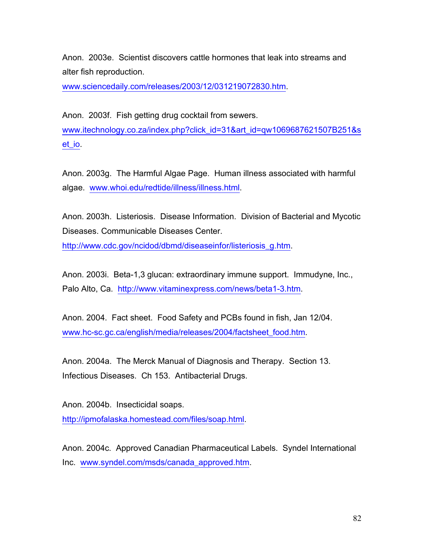Anon. 2003e. Scientist discovers cattle hormones that leak into streams and alter fish reproduction.

www.sciencedaily.com/releases/2003/12/031219072830.htm.

Anon. 2003f. Fish getting drug cocktail from sewers. www.itechnology.co.za/index.php?click\_id=31&art\_id=qw1069687621507B251&s et\_io.

Anon. 2003g. The Harmful Algae Page. Human illness associated with harmful algae. www.whoi.edu/redtide/illness/illness.html.

Anon. 2003h. Listeriosis. Disease Information. Division of Bacterial and Mycotic Diseases. Communicable Diseases Center.

http://www.cdc.gov/ncidod/dbmd/diseaseinfor/listeriosis\_g.htm.

Anon. 2003i. Beta-1,3 glucan: extraordinary immune support. Immudyne, Inc., Palo Alto, Ca. http://www.vitaminexpress.com/news/beta1-3.htm.

Anon. 2004. Fact sheet. Food Safety and PCBs found in fish, Jan 12/04. www.hc-sc.gc.ca/english/media/releases/2004/factsheet\_food.htm.

Anon. 2004a. The Merck Manual of Diagnosis and Therapy. Section 13. Infectious Diseases. Ch 153. Antibacterial Drugs.

Anon. 2004b. Insecticidal soaps. http://ipmofalaska.homestead.com/files/soap.html.

Anon. 2004c. Approved Canadian Pharmaceutical Labels. Syndel International Inc. www.syndel.com/msds/canada\_approved.htm.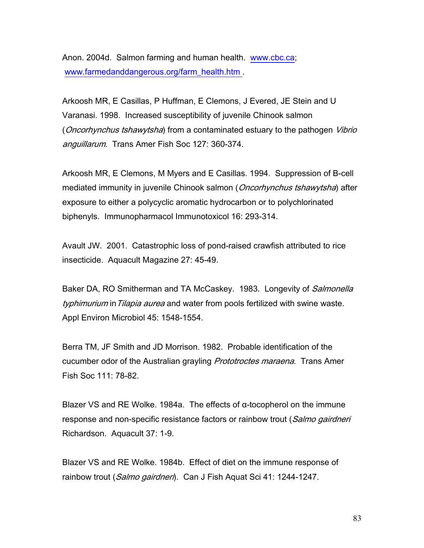Anon. 2004d. Salmon farming and human health. www.cbc.ca; www.farmedanddangerous.org/farm\_health.htm .

Arkoosh MR, E Casillas, P Huffman, E Clemons, J Evered, JE Stein and U Varanasi. 1998. Increased susceptibility of juvenile Chinook salmon (*Oncorhynchus tshawytsha*) from a contaminated estuary to the pathogen *Vibrio* anguillarum. Trans Amer Fish Soc 127: 360-374.

Arkoosh MR, E Clemons, M Myers and E Casillas. 1994. Suppression of B-cell mediated immunity in juvenile Chinook salmon (*Oncorhynchus tshawytsha*) after exposure to either a polycyclic aromatic hydrocarbon or to polychlorinated biphenyls. Immunopharmacol Immunotoxicol 16: 293-314.

Avault JW. 2001. Catastrophic loss of pond-raised crawfish attributed to rice insecticide. Aquacult Magazine 27: 45-49.

Baker DA, RO Smitherman and TA McCaskey. 1983. Longevity of Salmonella typhimurium in Tilapia aurea and water from pools fertilized with swine waste. Appl Environ Microbiol 45: 1548-1554.

Berra TM, JF Smith and JD Morrison. 1982. Probable identification of the cucumber odor of the Australian grayling *Prototroctes maraena*. Trans Amer Fish Soc 111: 78-82.

Blazer VS and RE Wolke. 1984a. The effects of  $\alpha$ -tocopherol on the immune response and non-specific resistance factors or rainbow trout (Salmo gairdneri) Richardson. Aquacult 37: 1-9.

Blazer VS and RE Wolke. 1984b. Effect of diet on the immune response of rainbow trout (*Salmo gairdneri*). Can J Fish Aquat Sci 41: 1244-1247.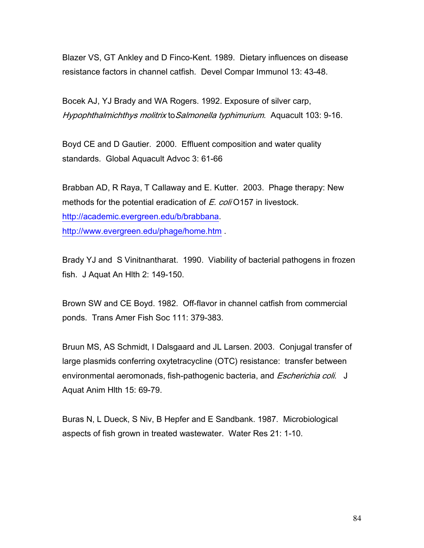Blazer VS, GT Ankley and D Finco-Kent. 1989. Dietary influences on disease resistance factors in channel catfish. Devel Compar Immunol 13: 43-48.

Bocek AJ, YJ Brady and WA Rogers. 1992. Exposure of silver carp, Hypophthalmichthys molitrix toSalmonella typhimurium. Aquacult 103: 9-16.

Boyd CE and D Gautier. 2000. Effluent composition and water quality standards. Global Aquacult Advoc 3: 61-66

Brabban AD, R Raya, T Callaway and E. Kutter. 2003. Phage therapy: New methods for the potential eradication of E. coli O157 in livestock. http://academic.evergreen.edu/b/brabbana. http://www.evergreen.edu/phage/home.htm .

Brady YJ and S Vinitnantharat. 1990. Viability of bacterial pathogens in frozen fish. J Aquat An Hlth 2: 149-150.

Brown SW and CE Boyd. 1982. Off-flavor in channel catfish from commercial ponds. Trans Amer Fish Soc 111: 379-383.

Bruun MS, AS Schmidt, I Dalsgaard and JL Larsen. 2003. Conjugal transfer of large plasmids conferring oxytetracycline (OTC) resistance: transfer between environmental aeromonads, fish-pathogenic bacteria, and *Escherichia coli*. J Aquat Anim Hlth 15: 69-79.

Buras N, L Dueck, S Niv, B Hepfer and E Sandbank. 1987. Microbiological aspects of fish grown in treated wastewater. Water Res 21: 1-10.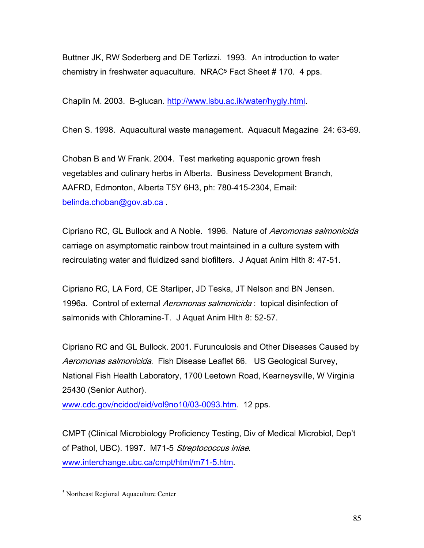Buttner JK, RW Soderberg and DE Terlizzi. 1993. An introduction to water chemistry in freshwater aquaculture. NRAC5 Fact Sheet # 170. 4 pps.

Chaplin M. 2003. Β-glucan. http://www.lsbu.ac.ik/water/hygly.html.

Chen S. 1998. Aquacultural waste management. Aquacult Magazine 24: 63-69.

Choban B and W Frank. 2004. Test marketing aquaponic grown fresh vegetables and culinary herbs in Alberta. Business Development Branch, AAFRD, Edmonton, Alberta T5Y 6H3, ph: 780-415-2304, Email: belinda.choban@gov.ab.ca .

Cipriano RC, GL Bullock and A Noble. 1996. Nature of Aeromonas salmonicida carriage on asymptomatic rainbow trout maintained in a culture system with recirculating water and fluidized sand biofilters. J Aquat Anim Hlth 8: 47-51.

Cipriano RC, LA Ford, CE Starliper, JD Teska, JT Nelson and BN Jensen. 1996a. Control of external *Aeromonas salmonicida* : topical disinfection of salmonids with Chloramine-T. J Aquat Anim Hlth 8: 52-57.

Cipriano RC and GL Bullock. 2001. Furunculosis and Other Diseases Caused by Aeromonas salmonicida. Fish Disease Leaflet 66. US Geological Survey, National Fish Health Laboratory, 1700 Leetown Road, Kearneysville, W Virginia 25430 (Senior Author).

www.cdc.gov/ncidod/eid/vol9no10/03-0093.htm. 12 pps.

CMPT (Clinical Microbiology Proficiency Testing, Div of Medical Microbiol, Dep't of Pathol, UBC). 1997. M71-5 Streptococcus iniae. www.interchange.ubc.ca/cmpt/html/m71-5.htm.

 $\overline{a}$ 

<sup>5</sup> Northeast Regional Aquaculture Center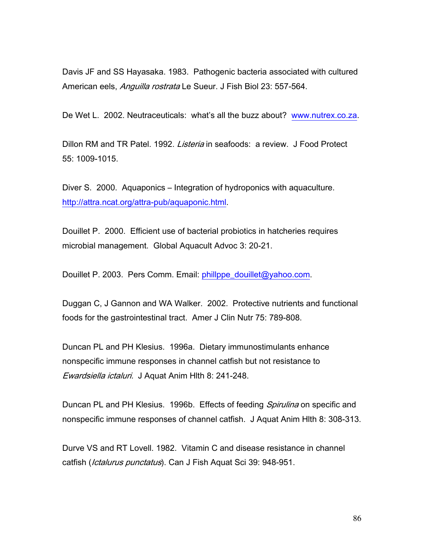Davis JF and SS Hayasaka. 1983. Pathogenic bacteria associated with cultured American eels, Anguilla rostrata Le Sueur. J Fish Biol 23: 557-564.

De Wet L. 2002. Neutraceuticals: what's all the buzz about? www.nutrex.co.za.

Dillon RM and TR Patel. 1992. *Listeria* in seafoods: a review. J Food Protect 55: 1009-1015.

Diver S. 2000. Aquaponics – Integration of hydroponics with aquaculture. http://attra.ncat.org/attra-pub/aquaponic.html.

Douillet P. 2000. Efficient use of bacterial probiotics in hatcheries requires microbial management. Global Aquacult Advoc 3: 20-21.

Douillet P. 2003. Pers Comm. Email: phillppe\_douillet@yahoo.com.

Duggan C, J Gannon and WA Walker. 2002. Protective nutrients and functional foods for the gastrointestinal tract. Amer J Clin Nutr 75: 789-808.

Duncan PL and PH Klesius. 1996a. Dietary immunostimulants enhance nonspecific immune responses in channel catfish but not resistance to Ewardsiella ictaluri. J Aquat Anim Hlth 8: 241-248.

Duncan PL and PH Klesius. 1996b. Effects of feeding Spirulina on specific and nonspecific immune responses of channel catfish. J Aquat Anim Hlth 8: 308-313.

Durve VS and RT Lovell. 1982. Vitamin C and disease resistance in channel catfish (*Ictalurus punctatus*). Can J Fish Aquat Sci 39: 948-951.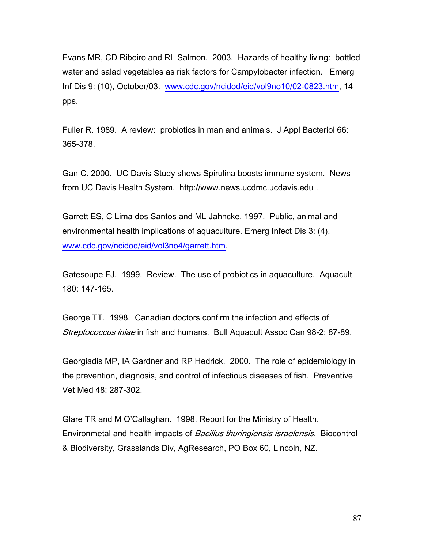Evans MR, CD Ribeiro and RL Salmon. 2003. Hazards of healthy living: bottled water and salad vegetables as risk factors for Campylobacter infection. Emerg Inf Dis 9: (10), October/03. www.cdc.gov/ncidod/eid/vol9no10/02-0823.htm, 14 pps.

Fuller R. 1989. A review: probiotics in man and animals. J Appl Bacteriol 66: 365-378.

Gan C. 2000. UC Davis Study shows Spirulina boosts immune system. News from UC Davis Health System. http://www.news.ucdmc.ucdavis.edu .

Garrett ES, C Lima dos Santos and ML Jahncke. 1997. Public, animal and environmental health implications of aquaculture. Emerg Infect Dis 3: (4). www.cdc.gov/ncidod/eid/vol3no4/garrett.htm.

Gatesoupe FJ. 1999. Review. The use of probiotics in aquaculture. Aquacult 180: 147-165.

George TT. 1998. Canadian doctors confirm the infection and effects of Streptococcus iniae in fish and humans. Bull Aquacult Assoc Can 98-2: 87-89.

Georgiadis MP, IA Gardner and RP Hedrick. 2000. The role of epidemiology in the prevention, diagnosis, and control of infectious diseases of fish. Preventive Vet Med 48: 287-302.

Glare TR and M O'Callaghan. 1998. Report for the Ministry of Health. Environmetal and health impacts of Bacillus thuringiensis israelensis. Biocontrol & Biodiversity, Grasslands Div, AgResearch, PO Box 60, Lincoln, NZ.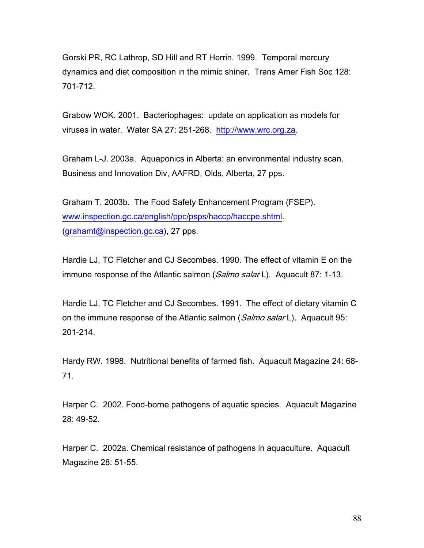Gorski PR, RC Lathrop, SD Hill and RT Herrin. 1999. Temporal mercury dynamics and diet composition in the mimic shiner. Trans Amer Fish Soc 128: 701-712.

Grabow WOK. 2001. Bacteriophages: update on application as models for viruses in water. Water SA 27: 251-268. http://www.wrc.org.za.

Graham L-J. 2003a. Aquaponics in Alberta: an environmental industry scan. Business and Innovation Div, AAFRD, Olds, Alberta, 27 pps.

Graham T. 2003b. The Food Safety Enhancement Program (FSEP). www.inspection.gc.ca/english/ppc/psps/haccp/haccpe.shtml. (grahamt@inspection.gc.ca), 27 pps.

Hardie LJ, TC Fletcher and CJ Secombes. 1990. The effect of vitamin E on the immune response of the Atlantic salmon (Salmo salar L). Aquacult 87: 1-13.

Hardie LJ, TC Fletcher and CJ Secombes. 1991. The effect of dietary vitamin C on the immune response of the Atlantic salmon (Salmo salar L). Aquacult 95: 201-214.

Hardy RW. 1998. Nutritional benefits of farmed fish. Aquacult Magazine 24: 68- 71.

Harper C. 2002. Food-borne pathogens of aquatic species. Aquacult Magazine 28: 49-52.

Harper C. 2002a. Chemical resistance of pathogens in aquaculture. Aquacult Magazine 28: 51-55.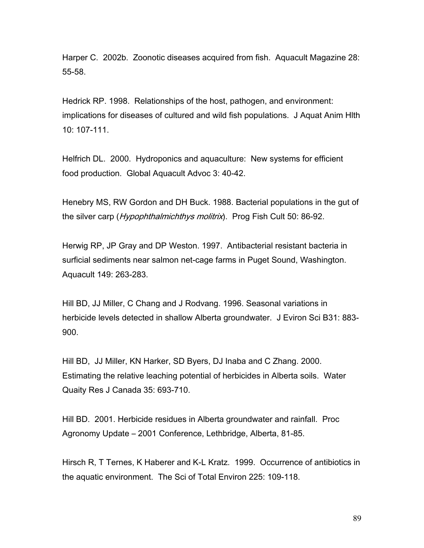Harper C. 2002b. Zoonotic diseases acquired from fish. Aquacult Magazine 28: 55-58.

Hedrick RP. 1998. Relationships of the host, pathogen, and environment: implications for diseases of cultured and wild fish populations. J Aquat Anim Hlth 10: 107-111.

Helfrich DL. 2000. Hydroponics and aquaculture: New systems for efficient food production. Global Aquacult Advoc 3: 40-42.

Henebry MS, RW Gordon and DH Buck. 1988. Bacterial populations in the gut of the silver carp (Hypophthalmichthys molitrix). Prog Fish Cult 50: 86-92.

Herwig RP, JP Gray and DP Weston. 1997. Antibacterial resistant bacteria in surficial sediments near salmon net-cage farms in Puget Sound, Washington. Aquacult 149: 263-283.

Hill BD, JJ Miller, C Chang and J Rodvang. 1996. Seasonal variations in herbicide levels detected in shallow Alberta groundwater. J Eviron Sci B31: 883- 900.

Hill BD, JJ Miller, KN Harker, SD Byers, DJ Inaba and C Zhang. 2000. Estimating the relative leaching potential of herbicides in Alberta soils. Water Quaity Res J Canada 35: 693-710.

Hill BD. 2001. Herbicide residues in Alberta groundwater and rainfall. Proc Agronomy Update – 2001 Conference, Lethbridge, Alberta, 81-85.

Hirsch R, T Ternes, K Haberer and K-L Kratz. 1999. Occurrence of antibiotics in the aquatic environment. The Sci of Total Environ 225: 109-118.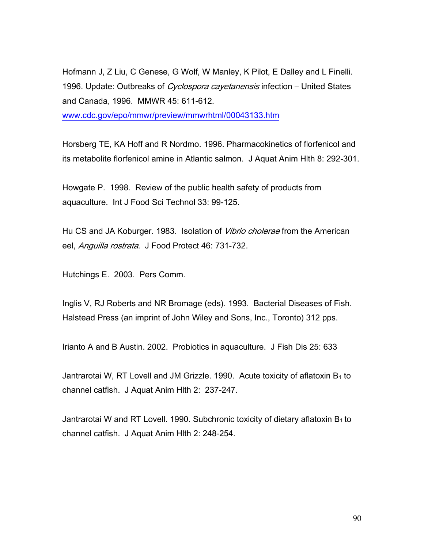Hofmann J, Z Liu, C Genese, G Wolf, W Manley, K Pilot, E Dalley and L Finelli. 1996. Update: Outbreaks of *Cyclospora cayetanensis* infection – United States and Canada, 1996. MMWR 45: 611-612. www.cdc.gov/epo/mmwr/preview/mmwrhtml/00043133.htm

Horsberg TE, KA Hoff and R Nordmo. 1996. Pharmacokinetics of florfenicol and its metabolite florfenicol amine in Atlantic salmon. J Aquat Anim Hlth 8: 292-301.

Howgate P. 1998. Review of the public health safety of products from aquaculture. Int J Food Sci Technol 33: 99-125.

Hu CS and JA Koburger. 1983. Isolation of *Vibrio cholerae* from the American eel, Anguilla rostrata. J Food Protect 46: 731-732.

Hutchings E. 2003. Pers Comm.

Inglis V, RJ Roberts and NR Bromage (eds). 1993. Bacterial Diseases of Fish. Halstead Press (an imprint of John Wiley and Sons, Inc., Toronto) 312 pps.

Irianto A and B Austin. 2002. Probiotics in aquaculture. J Fish Dis 25: 633

Jantrarotai W, RT Lovell and JM Grizzle. 1990. Acute toxicity of aflatoxin  $B_1$  to channel catfish. J Aquat Anim Hlth 2: 237-247.

Jantrarotai W and RT Lovell. 1990. Subchronic toxicity of dietary aflatoxin  $B_1$  to channel catfish. J Aquat Anim Hlth 2: 248-254.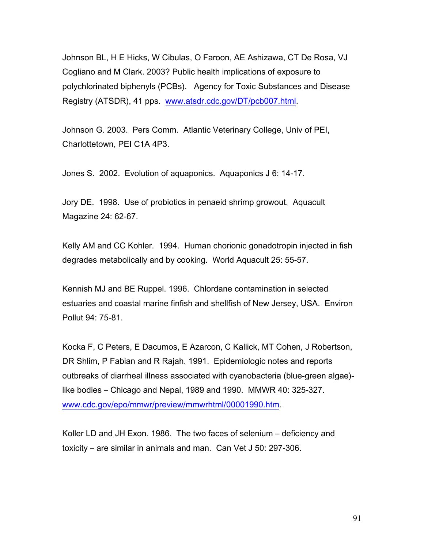Johnson BL, H E Hicks, W Cibulas, O Faroon, AE Ashizawa, CT De Rosa, VJ Cogliano and M Clark. 2003? Public health implications of exposure to polychlorinated biphenyls (PCBs). Agency for Toxic Substances and Disease Registry (ATSDR), 41 pps. www.atsdr.cdc.gov/DT/pcb007.html.

Johnson G. 2003. Pers Comm. Atlantic Veterinary College, Univ of PEI, Charlottetown, PEI C1A 4P3.

Jones S. 2002. Evolution of aquaponics. Aquaponics J 6: 14-17.

Jory DE. 1998. Use of probiotics in penaeid shrimp growout. Aquacult Magazine 24: 62-67.

Kelly AM and CC Kohler. 1994. Human chorionic gonadotropin injected in fish degrades metabolically and by cooking. World Aquacult 25: 55-57.

Kennish MJ and BE Ruppel. 1996. Chlordane contamination in selected estuaries and coastal marine finfish and shellfish of New Jersey, USA. Environ Pollut 94: 75-81.

Kocka F, C Peters, E Dacumos, E Azarcon, C Kallick, MT Cohen, J Robertson, DR Shlim, P Fabian and R Rajah. 1991. Epidemiologic notes and reports outbreaks of diarrheal illness associated with cyanobacteria (blue-green algae) like bodies – Chicago and Nepal, 1989 and 1990. MMWR 40: 325-327. www.cdc.gov/epo/mmwr/preview/mmwrhtml/00001990.htm.

Koller LD and JH Exon. 1986. The two faces of selenium – deficiency and toxicity – are similar in animals and man. Can Vet J 50: 297-306.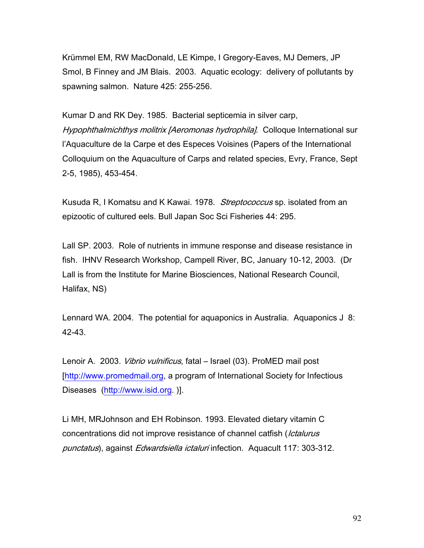Krümmel EM, RW MacDonald, LE Kimpe, I Gregory-Eaves, MJ Demers, JP Smol, B Finney and JM Blais. 2003. Aquatic ecology: delivery of pollutants by spawning salmon. Nature 425: 255-256.

Kumar D and RK Dey. 1985. Bacterial septicemia in silver carp, Hypophthalmichthys molitrix [Aeromonas hydrophila]. Colloque International sur l'Aquaculture de la Carpe et des Especes Voisines (Papers of the International Colloquium on the Aquaculture of Carps and related species, Evry, France, Sept 2-5, 1985), 453-454.

Kusuda R, I Komatsu and K Kawai. 1978. Streptococcus sp. isolated from an epizootic of cultured eels. Bull Japan Soc Sci Fisheries 44: 295.

Lall SP. 2003. Role of nutrients in immune response and disease resistance in fish. IHNV Research Workshop, Campell River, BC, January 10-12, 2003. (Dr Lall is from the Institute for Marine Biosciences, National Research Council, Halifax, NS)

Lennard WA. 2004. The potential for aquaponics in Australia. Aquaponics J 8: 42-43.

Lenoir A. 2003. Vibrio vulnificus, fatal - Israel (03). ProMED mail post [http://www.promedmail.org, a program of International Society for Infectious Diseases (http://www.isid.org. )].

Li MH, MRJohnson and EH Robinson. 1993. Elevated dietary vitamin C concentrations did not improve resistance of channel catfish (Ictalurus punctatus), against Edwardsiella ictaluri infection. Aquacult 117: 303-312.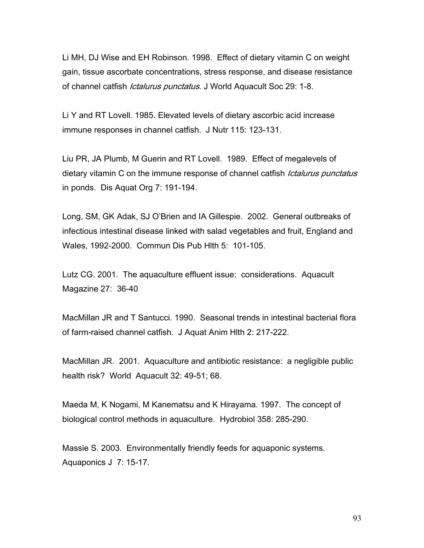Li MH, DJ Wise and EH Robinson. 1998. Effect of dietary vitamin C on weight gain, tissue ascorbate concentrations, stress response, and disease resistance of channel catfish *Ictalurus punctatus*. J World Aquacult Soc 29: 1-8.

Li Y and RT Lovell. 1985. Elevated levels of dietary ascorbic acid increase immune responses in channel catfish. J Nutr 115: 123-131.

Liu PR, JA Plumb, M Guerin and RT Lovell. 1989. Effect of megalevels of dietary vitamin C on the immune response of channel catfish *Ictalurus punctatus* in ponds. Dis Aquat Org 7: 191-194.

Long, SM, GK Adak, SJ O'Brien and IA Gillespie. 2002. General outbreaks of infectious intestinal disease linked with salad vegetables and fruit, England and Wales, 1992-2000. Commun Dis Pub Hlth 5: 101-105.

Lutz CG. 2001. The aquaculture effluent issue: considerations. Aquacult Magazine 27: 36-40

MacMillan JR and T Santucci. 1990. Seasonal trends in intestinal bacterial flora of farm-raised channel catfish. J Aquat Anim Hlth 2: 217-222.

MacMillan JR. 2001. Aquaculture and antibiotic resistance: a negligible public health risk? World Aquacult 32: 49-51; 68.

Maeda M, K Nogami, M Kanematsu and K Hirayama. 1997. The concept of biological control methods in aquaculture. Hydrobiol 358: 285-290.

Massie S. 2003. Environmentally friendly feeds for aquaponic systems. Aquaponics J 7: 15-17.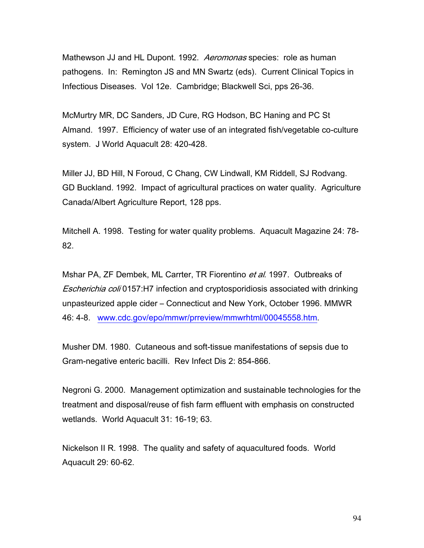Mathewson JJ and HL Dupont. 1992. Aeromonas species: role as human pathogens. In: Remington JS and MN Swartz (eds). Current Clinical Topics in Infectious Diseases. Vol 12e. Cambridge; Blackwell Sci, pps 26-36.

McMurtry MR, DC Sanders, JD Cure, RG Hodson, BC Haning and PC St Almand. 1997. Efficiency of water use of an integrated fish/vegetable co-culture system. J World Aquacult 28: 420-428.

Miller JJ, BD Hill, N Foroud, C Chang, CW Lindwall, KM Riddell, SJ Rodvang. GD Buckland. 1992. Impact of agricultural practices on water quality. Agriculture Canada/Albert Agriculture Report, 128 pps.

Mitchell A. 1998. Testing for water quality problems. Aquacult Magazine 24: 78- 82.

Mshar PA, ZF Dembek, ML Carrter, TR Fiorentino et al. 1997. Outbreaks of Escherichia coli 0157:H7 infection and cryptosporidiosis associated with drinking unpasteurized apple cider – Connecticut and New York, October 1996. MMWR 46: 4-8. www.cdc.gov/epo/mmwr/prreview/mmwrhtml/00045558.htm.

Musher DM. 1980. Cutaneous and soft-tissue manifestations of sepsis due to Gram-negative enteric bacilli. Rev Infect Dis 2: 854-866.

Negroni G. 2000. Management optimization and sustainable technologies for the treatment and disposal/reuse of fish farm effluent with emphasis on constructed wetlands. World Aquacult 31: 16-19; 63.

Nickelson II R. 1998. The quality and safety of aquacultured foods. World Aquacult 29: 60-62.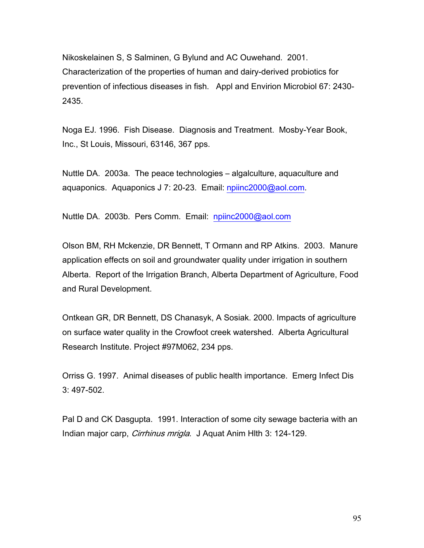Nikoskelainen S, S Salminen, G Bylund and AC Ouwehand. 2001. Characterization of the properties of human and dairy-derived probiotics for prevention of infectious diseases in fish. Appl and Envirion Microbiol 67: 2430- 2435.

Noga EJ. 1996. Fish Disease. Diagnosis and Treatment. Mosby-Year Book, Inc., St Louis, Missouri, 63146, 367 pps.

Nuttle DA. 2003a. The peace technologies – algalculture, aquaculture and aquaponics. Aquaponics J 7: 20-23. Email: npiinc2000@aol.com.

Nuttle DA. 2003b. Pers Comm. Email: npiinc2000@aol.com

Olson BM, RH Mckenzie, DR Bennett, T Ormann and RP Atkins. 2003. Manure application effects on soil and groundwater quality under irrigation in southern Alberta. Report of the Irrigation Branch, Alberta Department of Agriculture, Food and Rural Development.

Ontkean GR, DR Bennett, DS Chanasyk, A Sosiak. 2000. Impacts of agriculture on surface water quality in the Crowfoot creek watershed. Alberta Agricultural Research Institute. Project #97M062, 234 pps.

Orriss G. 1997. Animal diseases of public health importance. Emerg Infect Dis 3: 497-502.

Pal D and CK Dasgupta. 1991. Interaction of some city sewage bacteria with an Indian major carp, *Cirrhinus mrigla*. J Aquat Anim Hith 3: 124-129.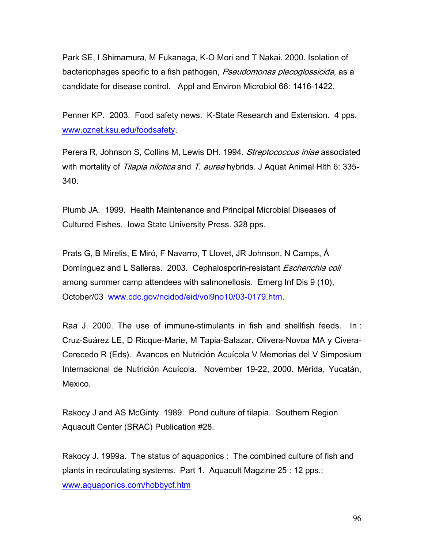Park SE, I Shimamura, M Fukanaga, K-O Mori and T Nakai. 2000. Isolation of bacteriophages specific to a fish pathogen, Pseudomonas plecoglossicida, as a candidate for disease control. Appl and Environ Microbiol 66: 1416-1422.

Penner KP. 2003. Food safety news. K-State Research and Extension. 4 pps. www.oznet.ksu.edu/foodsafety.

Perera R, Johnson S, Collins M, Lewis DH. 1994. Streptococcus iniae associated with mortality of *Tilapia nilotica* and T. aurea hybrids. J Aquat Animal Hith 6: 335-340.

Plumb JA. 1999. Health Maintenance and Principal Microbial Diseases of Cultured Fishes. Iowa State University Press. 328 pps.

Prats G, B Mirelis, E Miró, F Navarro, T Llovet, JR Johnson, N Camps, Á Domínguez and L Salleras. 2003. Cephalosporin-resistant Escherichia coli among summer camp attendees with salmonellosis. Emerg Inf Dis 9 (10), October/03 www.cdc.gov/ncidod/eid/vol9no10/03-0179.htm.

Raa J. 2000. The use of immune-stimulants in fish and shellfish feeds. In : Cruz-Suárez LE, D Ricque-Marie, M Tapia-Salazar, Olivera-Novoa MA y Civera-Cerecedo R (Eds). Avances en Nutrición Acuícola V Memorias del V Simposium Internacional de Nutrición Acuícola. November 19-22, 2000. Mérida, Yucatán, Mexico.

Rakocy J and AS McGinty. 1989. Pond culture of tilapia. Southern Region Aquacult Center (SRAC) Publication #28.

Rakocy J. 1999a. The status of aquaponics : The combined culture of fish and plants in recirculating systems. Part 1. Aquacult Magzine 25 : 12 pps.; www.aquaponics.com/hobbycf.htm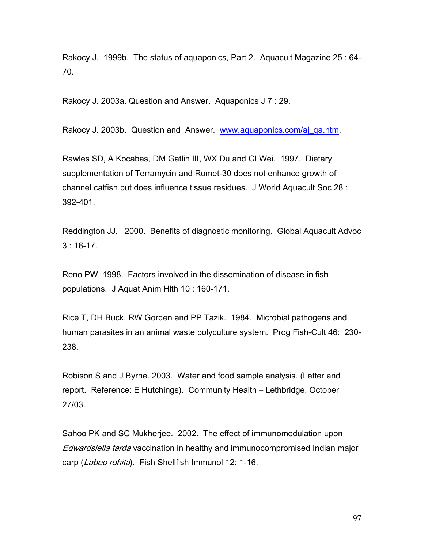Rakocy J. 1999b. The status of aquaponics, Part 2. Aquacult Magazine 25 : 64- 70.

Rakocy J. 2003a. Question and Answer. Aquaponics J 7 : 29.

Rakocy J. 2003b. Question and Answer. www.aquaponics.com/aj\_qa.htm.

Rawles SD, A Kocabas, DM Gatlin III, WX Du and CI Wei. 1997. Dietary supplementation of Terramycin and Romet-30 does not enhance growth of channel catfish but does influence tissue residues. J World Aquacult Soc 28 : 392-401.

Reddington JJ. 2000. Benefits of diagnostic monitoring. Global Aquacult Advoc 3 : 16-17.

Reno PW. 1998. Factors involved in the dissemination of disease in fish populations. J Aquat Anim Hlth 10 : 160-171.

Rice T, DH Buck, RW Gorden and PP Tazik. 1984. Microbial pathogens and human parasites in an animal waste polyculture system. Prog Fish-Cult 46: 230- 238.

Robison S and J Byrne. 2003. Water and food sample analysis. (Letter and report. Reference: E Hutchings). Community Health – Lethbridge, October 27/03.

Sahoo PK and SC Mukherjee. 2002. The effect of immunomodulation upon Edwardsiella tarda vaccination in healthy and immunocompromised Indian major carp (Labeo rohita). Fish Shellfish Immunol 12: 1-16.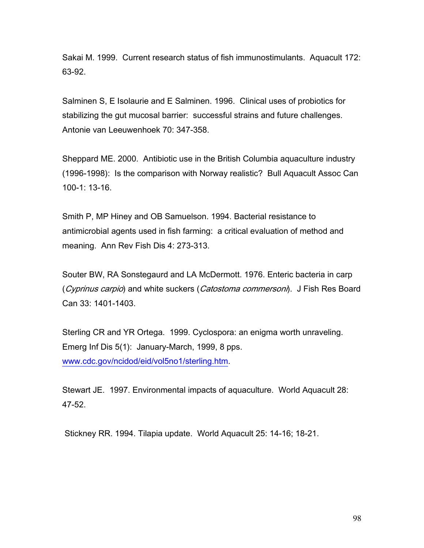Sakai M. 1999. Current research status of fish immunostimulants. Aquacult 172: 63-92.

Salminen S, E Isolaurie and E Salminen. 1996. Clinical uses of probiotics for stabilizing the gut mucosal barrier: successful strains and future challenges. Antonie van Leeuwenhoek 70: 347-358.

Sheppard ME. 2000. Antibiotic use in the British Columbia aquaculture industry (1996-1998): Is the comparison with Norway realistic? Bull Aquacult Assoc Can 100-1: 13-16.

Smith P, MP Hiney and OB Samuelson. 1994. Bacterial resistance to antimicrobial agents used in fish farming: a critical evaluation of method and meaning. Ann Rev Fish Dis 4: 273-313.

Souter BW, RA Sonstegaurd and LA McDermott. 1976. Enteric bacteria in carp (Cyprinus carpio) and white suckers (Catostoma commersoni). J Fish Res Board Can 33: 1401-1403.

Sterling CR and YR Ortega. 1999. Cyclospora: an enigma worth unraveling. Emerg Inf Dis 5(1): January-March, 1999, 8 pps. www.cdc.gov/ncidod/eid/vol5no1/sterling.htm.

Stewart JE. 1997. Environmental impacts of aquaculture. World Aquacult 28: 47-52.

Stickney RR. 1994. Tilapia update. World Aquacult 25: 14-16; 18-21.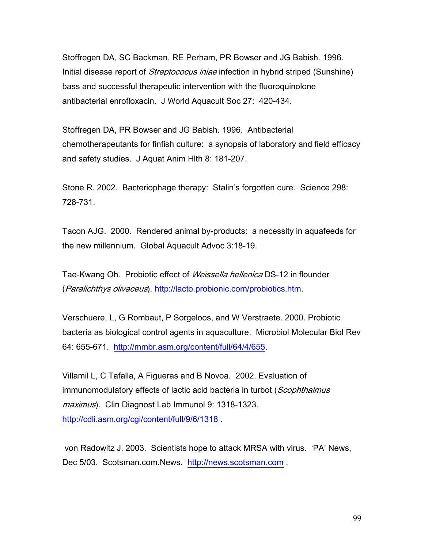Stoffregen DA, SC Backman, RE Perham, PR Bowser and JG Babish. 1996. Initial disease report of *Streptococus iniae* infection in hybrid striped (Sunshine) bass and successful therapeutic intervention with the fluoroquinolone antibacterial enrofloxacin. J World Aquacult Soc 27: 420-434.

Stoffregen DA, PR Bowser and JG Babish. 1996. Antibacterial chemotherapeutants for finfish culture: a synopsis of laboratory and field efficacy and safety studies. J Aquat Anim Hlth 8: 181-207.

Stone R. 2002. Bacteriophage therapy: Stalin's forgotten cure. Science 298: 728-731.

Tacon AJG. 2000. Rendered animal by-products: a necessity in aquafeeds for the new millennium. Global Aquacult Advoc 3:18-19.

Tae-Kwang Oh. Probiotic effect of *Weissella hellenica* DS-12 in flounder (Paralichthys olivaceus). http://lacto.probionic.com/probiotics.htm.

Verschuere, L, G Rombaut, P Sorgeloos, and W Verstraete. 2000. Probiotic bacteria as biological control agents in aquaculture. Microbiol Molecular Biol Rev 64: 655-671. http://mmbr.asm.org/content/full/64/4/655.

Villamil L, C Tafalla, A Figueras and B Novoa. 2002. Evaluation of immunomodulatory effects of lactic acid bacteria in turbot (Scophthalmus maximus). Clin Diagnost Lab Immunol 9: 1318-1323. http://cdli.asm.org/cgi/content/full/9/6/1318 .

 von Radowitz J. 2003. Scientists hope to attack MRSA with virus. 'PA' News, Dec 5/03. Scotsman.com.News. http://news.scotsman.com.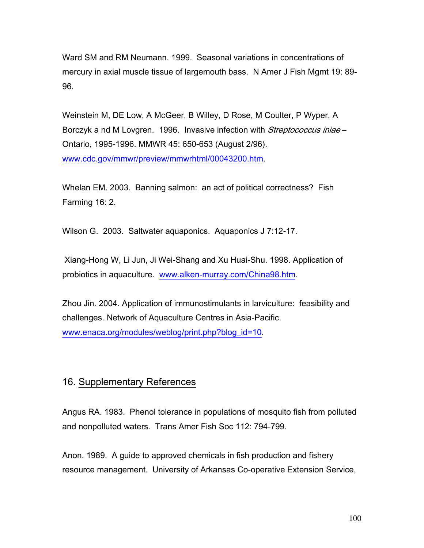Ward SM and RM Neumann. 1999. Seasonal variations in concentrations of mercury in axial muscle tissue of largemouth bass. N Amer J Fish Mgmt 19: 89- 96.

Weinstein M, DE Low, A McGeer, B Willey, D Rose, M Coulter, P Wyper, A Borczyk a nd M Lovgren. 1996. Invasive infection with *Streptococcus iniae* – Ontario, 1995-1996. MMWR 45: 650-653 (August 2/96). www.cdc.gov/mmwr/preview/mmwrhtml/00043200.htm.

Whelan EM. 2003. Banning salmon: an act of political correctness? Fish Farming 16: 2.

Wilson G. 2003. Saltwater aquaponics. Aquaponics J 7:12-17.

 Xiang-Hong W, Li Jun, Ji Wei-Shang and Xu Huai-Shu. 1998. Application of probiotics in aquaculture. www.alken-murray.com/China98.htm.

Zhou Jin. 2004. Application of immunostimulants in larviculture: feasibility and challenges. Network of Aquaculture Centres in Asia-Pacific. www.enaca.org/modules/weblog/print.php?blog\_id=10.

# 16. Supplementary References

Angus RA. 1983. Phenol tolerance in populations of mosquito fish from polluted and nonpolluted waters. Trans Amer Fish Soc 112: 794-799.

Anon. 1989. A guide to approved chemicals in fish production and fishery resource management. University of Arkansas Co-operative Extension Service,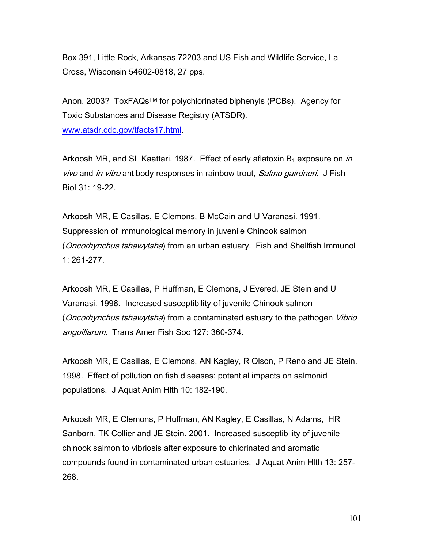Box 391, Little Rock, Arkansas 72203 and US Fish and Wildlife Service, La Cross, Wisconsin 54602-0818, 27 pps.

Anon. 2003? ToxFAQsTM for polychlorinated biphenyls (PCBs). Agency for Toxic Substances and Disease Registry (ATSDR). www.atsdr.cdc.gov/tfacts17.html.

Arkoosh MR, and SL Kaattari. 1987. Effect of early aflatoxin  $B_1$  exposure on *in* vivo and *in vitro* antibody responses in rainbow trout, *Salmo gairdneri*. J Fish Biol 31: 19-22.

Arkoosh MR, E Casillas, E Clemons, B McCain and U Varanasi. 1991. Suppression of immunological memory in juvenile Chinook salmon (*Oncorhynchus tshawytsha*) from an urban estuary. Fish and Shellfish Immunol 1: 261-277.

Arkoosh MR, E Casillas, P Huffman, E Clemons, J Evered, JE Stein and U Varanasi. 1998. Increased susceptibility of juvenile Chinook salmon (*Oncorhynchus tshawytsha*) from a contaminated estuary to the pathogen *Vibrio* anguillarum. Trans Amer Fish Soc 127: 360-374.

Arkoosh MR, E Casillas, E Clemons, AN Kagley, R Olson, P Reno and JE Stein. 1998. Effect of pollution on fish diseases: potential impacts on salmonid populations. J Aquat Anim Hlth 10: 182-190.

Arkoosh MR, E Clemons, P Huffman, AN Kagley, E Casillas, N Adams, HR Sanborn, TK Collier and JE Stein. 2001. Increased susceptibility of juvenile chinook salmon to vibriosis after exposure to chlorinated and aromatic compounds found in contaminated urban estuaries. J Aquat Anim Hlth 13: 257- 268.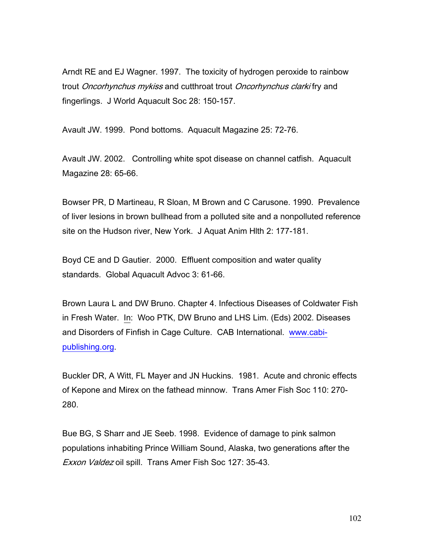Arndt RE and EJ Wagner. 1997. The toxicity of hydrogen peroxide to rainbow trout Oncorhynchus mykiss and cutthroat trout Oncorhynchus clarki fry and fingerlings. J World Aquacult Soc 28: 150-157.

Avault JW. 1999. Pond bottoms. Aquacult Magazine 25: 72-76.

Avault JW. 2002. Controlling white spot disease on channel catfish. Aquacult Magazine 28: 65-66.

Bowser PR, D Martineau, R Sloan, M Brown and C Carusone. 1990. Prevalence of liver lesions in brown bullhead from a polluted site and a nonpolluted reference site on the Hudson river, New York. J Aquat Anim Hlth 2: 177-181.

Boyd CE and D Gautier. 2000. Effluent composition and water quality standards. Global Aquacult Advoc 3: 61-66.

Brown Laura L and DW Bruno. Chapter 4. Infectious Diseases of Coldwater Fish in Fresh Water. In: Woo PTK, DW Bruno and LHS Lim. (Eds) 2002. Diseases and Disorders of Finfish in Cage Culture. CAB International. www.cabipublishing.org.

Buckler DR, A Witt, FL Mayer and JN Huckins. 1981. Acute and chronic effects of Kepone and Mirex on the fathead minnow. Trans Amer Fish Soc 110: 270- 280.

Bue BG, S Sharr and JE Seeb. 1998. Evidence of damage to pink salmon populations inhabiting Prince William Sound, Alaska, two generations after the Exxon Valdez oil spill. Trans Amer Fish Soc 127: 35-43.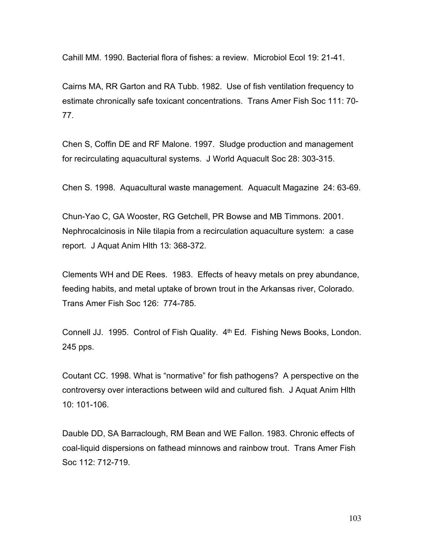Cahill MM. 1990. Bacterial flora of fishes: a review. Microbiol Ecol 19: 21-41.

Cairns MA, RR Garton and RA Tubb. 1982. Use of fish ventilation frequency to estimate chronically safe toxicant concentrations. Trans Amer Fish Soc 111: 70- 77.

Chen S, Coffin DE and RF Malone. 1997. Sludge production and management for recirculating aquacultural systems. J World Aquacult Soc 28: 303-315.

Chen S. 1998. Aquacultural waste management. Aquacult Magazine 24: 63-69.

Chun-Yao C, GA Wooster, RG Getchell, PR Bowse and MB Timmons. 2001. Nephrocalcinosis in Nile tilapia from a recirculation aquaculture system: a case report. J Aquat Anim Hlth 13: 368-372.

Clements WH and DE Rees. 1983. Effects of heavy metals on prey abundance, feeding habits, and metal uptake of brown trout in the Arkansas river, Colorado. Trans Amer Fish Soc 126: 774-785.

Connell JJ. 1995. Control of Fish Quality. 4th Ed. Fishing News Books, London. 245 pps.

Coutant CC. 1998. What is "normative" for fish pathogens? A perspective on the controversy over interactions between wild and cultured fish. J Aquat Anim Hlth  $10:101-106$ 

Dauble DD, SA Barraclough, RM Bean and WE Fallon. 1983. Chronic effects of coal-liquid dispersions on fathead minnows and rainbow trout. Trans Amer Fish Soc 112: 712-719.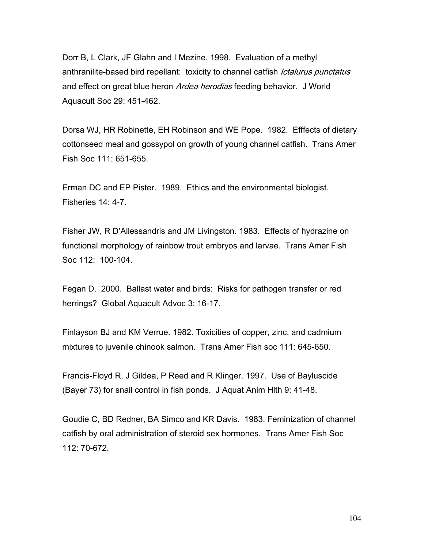Dorr B, L Clark, JF Glahn and I Mezine. 1998. Evaluation of a methyl anthranilite-based bird repellant: toxicity to channel catfish *Ictalurus punctatus* and effect on great blue heron Ardea herodias feeding behavior. J World Aquacult Soc 29: 451-462.

Dorsa WJ, HR Robinette, EH Robinson and WE Pope. 1982. Efffects of dietary cottonseed meal and gossypol on growth of young channel catfish. Trans Amer Fish Soc 111: 651-655.

Erman DC and EP Pister. 1989. Ethics and the environmental biologist. Fisheries 14: 4-7.

Fisher JW, R D'Allessandris and JM Livingston. 1983. Effects of hydrazine on functional morphology of rainbow trout embryos and larvae. Trans Amer Fish Soc 112: 100-104.

Fegan D. 2000. Ballast water and birds: Risks for pathogen transfer or red herrings? Global Aquacult Advoc 3: 16-17.

Finlayson BJ and KM Verrue. 1982. Toxicities of copper, zinc, and cadmium mixtures to juvenile chinook salmon. Trans Amer Fish soc 111: 645-650.

Francis-Floyd R, J Gildea, P Reed and R Klinger. 1997. Use of Bayluscide (Bayer 73) for snail control in fish ponds. J Aquat Anim Hlth 9: 41-48.

Goudie C, BD Redner, BA Simco and KR Davis. 1983. Feminization of channel catfish by oral administration of steroid sex hormones. Trans Amer Fish Soc 112: 70-672.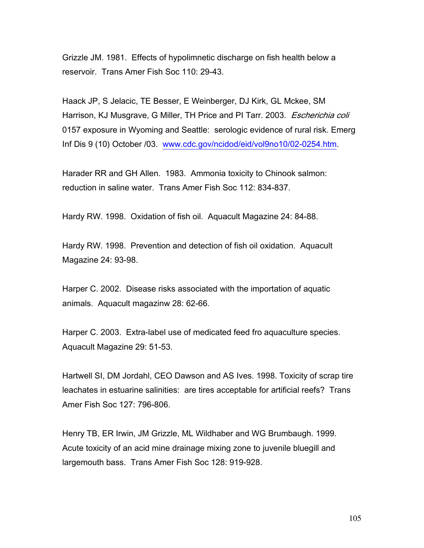Grizzle JM. 1981. Effects of hypolimnetic discharge on fish health below a reservoir. Trans Amer Fish Soc 110: 29-43.

Haack JP, S Jelacic, TE Besser, E Weinberger, DJ Kirk, GL Mckee, SM Harrison, KJ Musgrave, G Miller, TH Price and PI Tarr. 2003. Escherichia coli 0157 exposure in Wyoming and Seattle: serologic evidence of rural risk. Emerg Inf Dis 9 (10) October /03. www.cdc.gov/ncidod/eid/vol9no10/02-0254.htm.

Harader RR and GH Allen. 1983. Ammonia toxicity to Chinook salmon: reduction in saline water. Trans Amer Fish Soc 112: 834-837.

Hardy RW. 1998. Oxidation of fish oil. Aquacult Magazine 24: 84-88.

Hardy RW. 1998. Prevention and detection of fish oil oxidation. Aquacult Magazine 24: 93-98.

Harper C. 2002. Disease risks associated with the importation of aquatic animals. Aquacult magazinw 28: 62-66.

Harper C. 2003. Extra-label use of medicated feed fro aquaculture species. Aquacult Magazine 29: 51-53.

Hartwell SI, DM Jordahl, CEO Dawson and AS Ives. 1998. Toxicity of scrap tire leachates in estuarine salinities: are tires acceptable for artificial reefs? Trans Amer Fish Soc 127: 796-806.

Henry TB, ER Irwin, JM Grizzle, ML Wildhaber and WG Brumbaugh. 1999. Acute toxicity of an acid mine drainage mixing zone to juvenile bluegill and largemouth bass. Trans Amer Fish Soc 128: 919-928.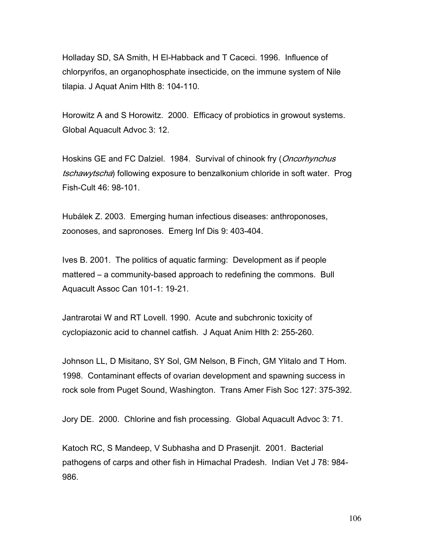Holladay SD, SA Smith, H El-Habback and T Caceci. 1996. Influence of chlorpyrifos, an organophosphate insecticide, on the immune system of Nile tilapia. J Aquat Anim Hlth 8: 104-110.

Horowitz A and S Horowitz. 2000. Efficacy of probiotics in growout systems. Global Aquacult Advoc 3: 12.

Hoskins GE and FC Dalziel. 1984. Survival of chinook fry (*Oncorhynchus* tschawytscha) following exposure to benzalkonium chloride in soft water. Prog Fish-Cult 46: 98-101.

Hubálek Z. 2003. Emerging human infectious diseases: anthroponoses, zoonoses, and sapronoses. Emerg Inf Dis 9: 403-404.

Ives B. 2001. The politics of aquatic farming: Development as if people mattered – a community-based approach to redefining the commons. Bull Aquacult Assoc Can 101-1: 19-21.

Jantrarotai W and RT Lovell. 1990. Acute and subchronic toxicity of cyclopiazonic acid to channel catfish. J Aquat Anim Hlth 2: 255-260.

Johnson LL, D Misitano, SY Sol, GM Nelson, B Finch, GM Ylitalo and T Hom. 1998. Contaminant effects of ovarian development and spawning success in rock sole from Puget Sound, Washington. Trans Amer Fish Soc 127: 375-392.

Jory DE. 2000. Chlorine and fish processing. Global Aquacult Advoc 3: 71.

Katoch RC, S Mandeep, V Subhasha and D Prasenjit. 2001. Bacterial pathogens of carps and other fish in Himachal Pradesh. Indian Vet J 78: 984- 986.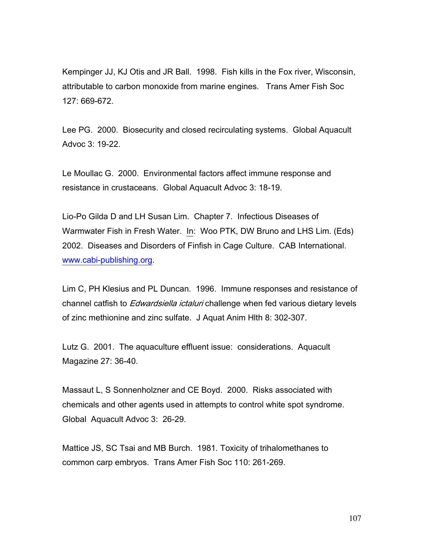Kempinger JJ, KJ Otis and JR Ball. 1998. Fish kills in the Fox river, Wisconsin, attributable to carbon monoxide from marine engines. Trans Amer Fish Soc 127: 669-672.

Lee PG. 2000. Biosecurity and closed recirculating systems. Global Aquacult Advoc 3: 19-22.

Le Moullac G. 2000. Environmental factors affect immune response and resistance in crustaceans. Global Aquacult Advoc 3: 18-19.

Lio-Po Gilda D and LH Susan Lim. Chapter 7. Infectious Diseases of Warmwater Fish in Fresh Water. In: Woo PTK, DW Bruno and LHS Lim. (Eds) 2002. Diseases and Disorders of Finfish in Cage Culture. CAB International. www.cabi-publishing.org.

Lim C, PH Klesius and PL Duncan. 1996. Immune responses and resistance of channel catfish to *Edwardsiella ictaluri* challenge when fed various dietary levels of zinc methionine and zinc sulfate. J Aquat Anim Hlth 8: 302-307.

Lutz G. 2001. The aquaculture effluent issue: considerations. Aquacult Magazine 27: 36-40.

Massaut L, S Sonnenholzner and CE Boyd. 2000. Risks associated with chemicals and other agents used in attempts to control white spot syndrome. Global Aquacult Advoc 3: 26-29.

Mattice JS, SC Tsai and MB Burch. 1981. Toxicity of trihalomethanes to common carp embryos. Trans Amer Fish Soc 110: 261-269.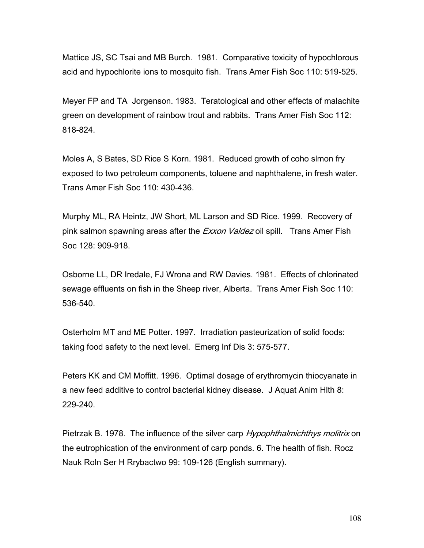Mattice JS, SC Tsai and MB Burch. 1981. Comparative toxicity of hypochlorous acid and hypochlorite ions to mosquito fish. Trans Amer Fish Soc 110: 519-525.

Meyer FP and TA Jorgenson. 1983. Teratological and other effects of malachite green on development of rainbow trout and rabbits. Trans Amer Fish Soc 112: 818-824.

Moles A, S Bates, SD Rice S Korn. 1981. Reduced growth of coho slmon fry exposed to two petroleum components, toluene and naphthalene, in fresh water. Trans Amer Fish Soc 110: 430-436.

Murphy ML, RA Heintz, JW Short, ML Larson and SD Rice. 1999. Recovery of pink salmon spawning areas after the *Exxon Valdez* oil spill. Trans Amer Fish Soc 128: 909-918.

Osborne LL, DR Iredale, FJ Wrona and RW Davies. 1981. Effects of chlorinated sewage effluents on fish in the Sheep river, Alberta. Trans Amer Fish Soc 110: 536-540.

Osterholm MT and ME Potter. 1997. Irradiation pasteurization of solid foods: taking food safety to the next level. Emerg Inf Dis 3: 575-577.

Peters KK and CM Moffitt. 1996. Optimal dosage of erythromycin thiocyanate in a new feed additive to control bacterial kidney disease. J Aquat Anim Hlth 8: 229-240.

Pietrzak B. 1978. The influence of the silver carp Hypophthalmichthys molitrix on the eutrophication of the environment of carp ponds. 6. The health of fish. Rocz Nauk Roln Ser H Rrybactwo 99: 109-126 (English summary).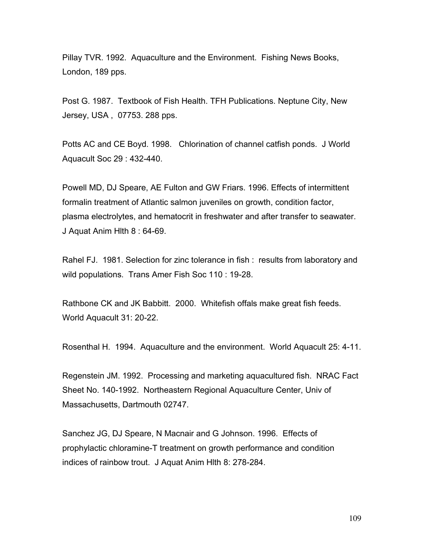Pillay TVR. 1992. Aquaculture and the Environment. Fishing News Books, London, 189 pps.

Post G. 1987. Textbook of Fish Health. TFH Publications. Neptune City, New Jersey, USA , 07753. 288 pps.

Potts AC and CE Boyd. 1998. Chlorination of channel catfish ponds. J World Aquacult Soc 29 : 432-440.

Powell MD, DJ Speare, AE Fulton and GW Friars. 1996. Effects of intermittent formalin treatment of Atlantic salmon juveniles on growth, condition factor, plasma electrolytes, and hematocrit in freshwater and after transfer to seawater. J Aquat Anim Hlth 8 : 64-69.

Rahel FJ. 1981. Selection for zinc tolerance in fish : results from laboratory and wild populations. Trans Amer Fish Soc 110 : 19-28.

Rathbone CK and JK Babbitt. 2000. Whitefish offals make great fish feeds. World Aquacult 31: 20-22.

Rosenthal H. 1994. Aquaculture and the environment. World Aquacult 25: 4-11.

Regenstein JM. 1992. Processing and marketing aquacultured fish. NRAC Fact Sheet No. 140-1992. Northeastern Regional Aquaculture Center, Univ of Massachusetts, Dartmouth 02747.

Sanchez JG, DJ Speare, N Macnair and G Johnson. 1996. Effects of prophylactic chloramine-T treatment on growth performance and condition indices of rainbow trout. J Aquat Anim Hlth 8: 278-284.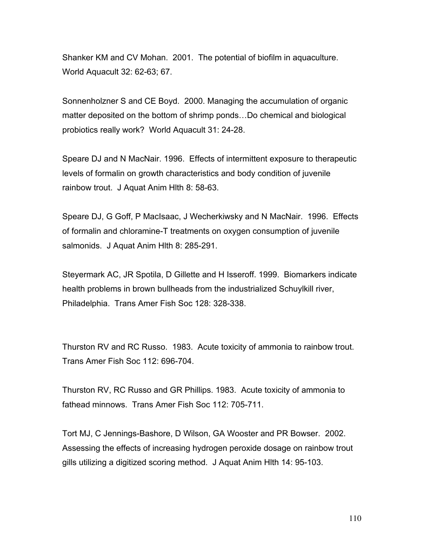Shanker KM and CV Mohan. 2001. The potential of biofilm in aquaculture. World Aquacult 32: 62-63; 67.

Sonnenholzner S and CE Boyd. 2000. Managing the accumulation of organic matter deposited on the bottom of shrimp ponds…Do chemical and biological probiotics really work? World Aquacult 31: 24-28.

Speare DJ and N MacNair. 1996. Effects of intermittent exposure to therapeutic levels of formalin on growth characteristics and body condition of juvenile rainbow trout. J Aquat Anim Hlth 8: 58-63.

Speare DJ, G Goff, P MacIsaac, J Wecherkiwsky and N MacNair. 1996. Effects of formalin and chloramine-T treatments on oxygen consumption of juvenile salmonids. J Aquat Anim Hlth 8: 285-291.

Steyermark AC, JR Spotila, D Gillette and H Isseroff. 1999. Biomarkers indicate health problems in brown bullheads from the industrialized Schuylkill river, Philadelphia. Trans Amer Fish Soc 128: 328-338.

Thurston RV and RC Russo. 1983. Acute toxicity of ammonia to rainbow trout. Trans Amer Fish Soc 112: 696-704.

Thurston RV, RC Russo and GR Phillips. 1983. Acute toxicity of ammonia to fathead minnows. Trans Amer Fish Soc 112: 705-711.

Tort MJ, C Jennings-Bashore, D Wilson, GA Wooster and PR Bowser. 2002. Assessing the effects of increasing hydrogen peroxide dosage on rainbow trout gills utilizing a digitized scoring method. J Aquat Anim Hlth 14: 95-103.